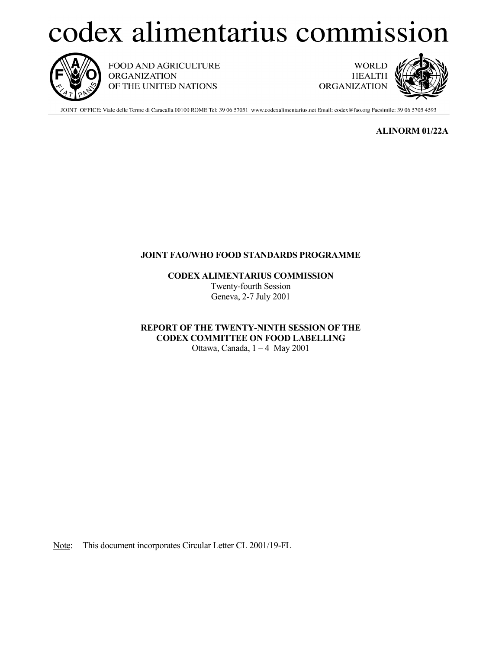## codex alimentarius commission



FOOD AND AGRICULTURE **ORGANIZATION** OF THE UNITED NATIONS

**WORLD HEALTH ORGANIZATION** 



JOINT OFFICE: Viale delle Terme di Caracalla 00100 ROME Tel: 39 06 57051 www.codexalimentarius.net Email: codex@fao.org Facsimile: 39 06 5705 4593

**ALINORM 01/22A**

## **JOINT FAO/WHO FOOD STANDARDS PROGRAMME**

**CODEX ALIMENTARIUS COMMISSION** Twenty-fourth Session Geneva, 2-7 July 2001

**REPORT OF THE TWENTY-NINTH SESSION OF THE CODEX COMMITTEE ON FOOD LABELLING** Ottawa, Canada, 1 – 4 May 2001

Note: This document incorporates Circular Letter CL 2001/19-FL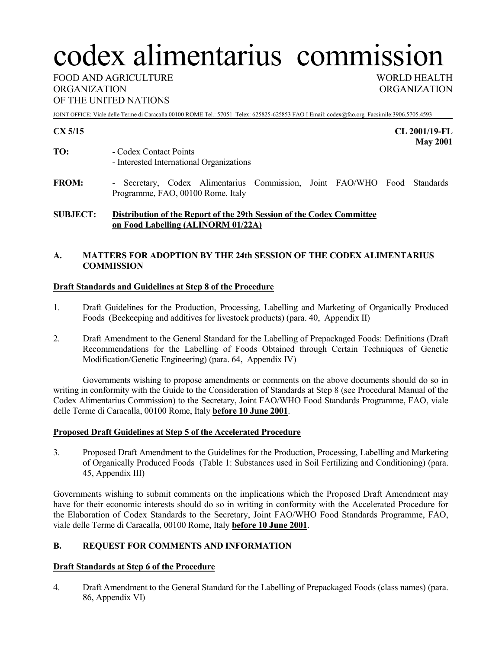# codex alimentarius commission

FOOD AND AGRICULTURE WORLD HEALTH ORGANIZATION ORGANIZATION OF THE UNITED NATIONS

JOINT OFFICE: Viale delle Terme di Caracalla 00100 ROME Tel.: 57051 Telex: 625825-625853 FAO I Email: codex@fao.org Facsimile:3906.5705.4593

**CX 5/15 CL 2001/19-FL May 2001**

- **TO:** Codex Contact Points - Interested International Organizations
- **FROM:** Secretary, Codex Alimentarius Commission, Joint FAO/WHO Food Standards Programme, FAO, 00100 Rome, Italy

## **SUBJECT: Distribution of the Report of the 29th Session of the Codex Committee on Food Labelling (ALINORM 01/22A)**

## **A. MATTERS FOR ADOPTION BY THE 24th SESSION OF THE CODEX ALIMENTARIUS COMMISSION**

#### **Draft Standards and Guidelines at Step 8 of the Procedure**

- 1. Draft Guidelines for the Production, Processing, Labelling and Marketing of Organically Produced Foods (Beekeeping and additives for livestock products) (para. 40, Appendix II)
- 2. Draft Amendment to the General Standard for the Labelling of Prepackaged Foods: Definitions (Draft Recommendations for the Labelling of Foods Obtained through Certain Techniques of Genetic Modification/Genetic Engineering) (para. 64, Appendix IV)

Governments wishing to propose amendments or comments on the above documents should do so in writing in conformity with the Guide to the Consideration of Standards at Step 8 (see Procedural Manual of the Codex Alimentarius Commission) to the Secretary, Joint FAO/WHO Food Standards Programme, FAO, viale delle Terme di Caracalla, 00100 Rome, Italy **before 10 June 2001**.

#### **Proposed Draft Guidelines at Step 5 of the Accelerated Procedure**

3. Proposed Draft Amendment to the Guidelines for the Production, Processing, Labelling and Marketing of Organically Produced Foods (Table 1: Substances used in Soil Fertilizing and Conditioning) (para. 45, Appendix III)

Governments wishing to submit comments on the implications which the Proposed Draft Amendment may have for their economic interests should do so in writing in conformity with the Accelerated Procedure for the Elaboration of Codex Standards to the Secretary, Joint FAO/WHO Food Standards Programme, FAO, viale delle Terme di Caracalla, 00100 Rome, Italy **before 10 June 2001**.

## **B. REQUEST FOR COMMENTS AND INFORMATION**

## **Draft Standards at Step 6 of the Procedure**

4. Draft Amendment to the General Standard for the Labelling of Prepackaged Foods (class names) (para. 86, Appendix VI)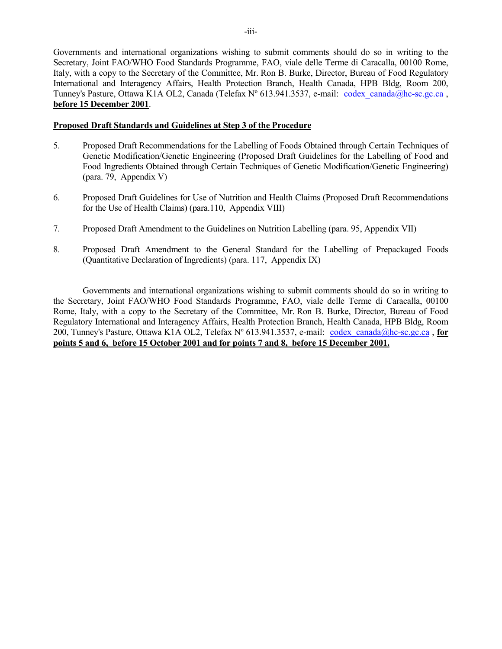Governments and international organizations wishing to submit comments should do so in writing to the Secretary, Joint FAO/WHO Food Standards Programme, FAO, viale delle Terme di Caracalla, 00100 Rome, Italy, with a copy to the Secretary of the Committee, Mr. Ron B. Burke, Director, Bureau of Food Regulatory International and Interagency Affairs, Health Protection Branch, Health Canada, HPB Bldg, Room 200, Tunney's Pasture, Ottawa K1A OL2, Canada (Telefax N° 613.941.3537, e-mail: codex canada@hc-sc.gc.ca , **before 15 December 2001**.

#### **Proposed Draft Standards and Guidelines at Step 3 of the Procedure**

- 5. Proposed Draft Recommendations for the Labelling of Foods Obtained through Certain Techniques of Genetic Modification/Genetic Engineering (Proposed Draft Guidelines for the Labelling of Food and Food Ingredients Obtained through Certain Techniques of Genetic Modification/Genetic Engineering) (para. 79, Appendix V)
- 6. Proposed Draft Guidelines for Use of Nutrition and Health Claims (Proposed Draft Recommendations for the Use of Health Claims) (para.110, Appendix VIII)
- 7. Proposed Draft Amendment to the Guidelines on Nutrition Labelling (para. 95, Appendix VII)
- 8. Proposed Draft Amendment to the General Standard for the Labelling of Prepackaged Foods (Quantitative Declaration of Ingredients) (para. 117, Appendix IX)

Governments and international organizations wishing to submit comments should do so in writing to the Secretary, Joint FAO/WHO Food Standards Programme, FAO, viale delle Terme di Caracalla, 00100 Rome, Italy, with a copy to the Secretary of the Committee, Mr. Ron B. Burke, Director, Bureau of Food Regulatory International and Interagency Affairs, Health Protection Branch, Health Canada, HPB Bldg, Room 200, Tunney's Pasture, Ottawa K1A OL2, Telefax Nº 613.941.3537, e-mail: codex\_canada@hc-sc.gc.ca , **for points 5 and 6, before 15 October 2001 and for points 7 and 8, before 15 December 2001.**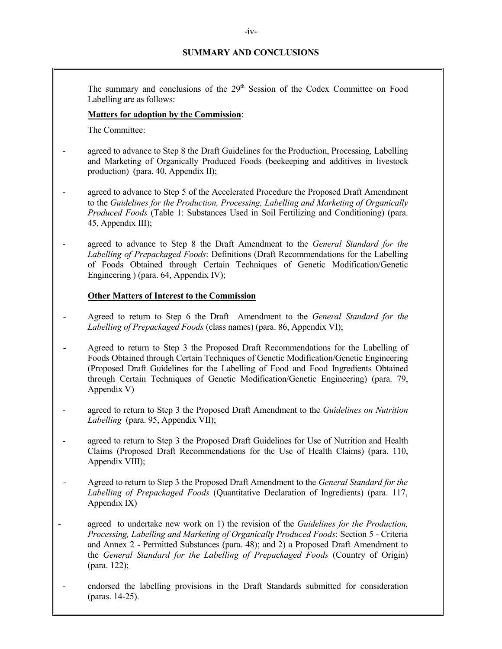## **SUMMARY AND CONCLUSIONS**

The summary and conclusions of the 29<sup>th</sup> Session of the Codex Committee on Food Labelling are as follows:

#### **Matters for adoption by the Commission**:

The Committee:

- agreed to advance to Step 8 the Draft Guidelines for the Production, Processing, Labelling and Marketing of Organically Produced Foods (beekeeping and additives in livestock production) (para. 40, Appendix II);
- agreed to advance to Step 5 of the Accelerated Procedure the Proposed Draft Amendment to the *Guidelines for the Production, Processing, Labelling and Marketing of Organically Produced Foods* (Table 1: Substances Used in Soil Fertilizing and Conditioning) (para. 45, Appendix III);
- agreed to advance to Step 8 the Draft Amendment to the *General Standard for the Labelling of Prepackaged Foods*: Definitions (Draft Recommendations for the Labelling of Foods Obtained through Certain Techniques of Genetic Modification/Genetic Engineering ) (para. 64, Appendix IV);

#### **Other Matters of Interest to the Commission**

- Agreed to return to Step 6 the Draft Amendment to the *General Standard for the Labelling of Prepackaged Foods* (class names) (para. 86, Appendix VI);
- Agreed to return to Step 3 the Proposed Draft Recommendations for the Labelling of Foods Obtained through Certain Techniques of Genetic Modification/Genetic Engineering (Proposed Draft Guidelines for the Labelling of Food and Food Ingredients Obtained through Certain Techniques of Genetic Modification/Genetic Engineering) (para. 79, Appendix V)
- agreed to return to Step 3 the Proposed Draft Amendment to the *Guidelines on Nutrition Labelling* (para. 95, Appendix VII);
- agreed to return to Step 3 the Proposed Draft Guidelines for Use of Nutrition and Health Claims (Proposed Draft Recommendations for the Use of Health Claims) (para. 110, Appendix VIII);
- Agreed to return to Step 3 the Proposed Draft Amendment to the *General Standard for the Labelling of Prepackaged Foods* (Quantitative Declaration of Ingredients) (para. 117, Appendix IX)
- agreed to undertake new work on 1) the revision of the *Guidelines for the Production, Processing, Labelling and Marketing of Organically Produced Foods*: Section 5 - Criteria and Annex 2 - Permitted Substances (para. 48); and 2) a Proposed Draft Amendment to the *General Standard for the Labelling of Prepackaged Foods* (Country of Origin) (para. 122);
- endorsed the labelling provisions in the Draft Standards submitted for consideration (paras. 14-25).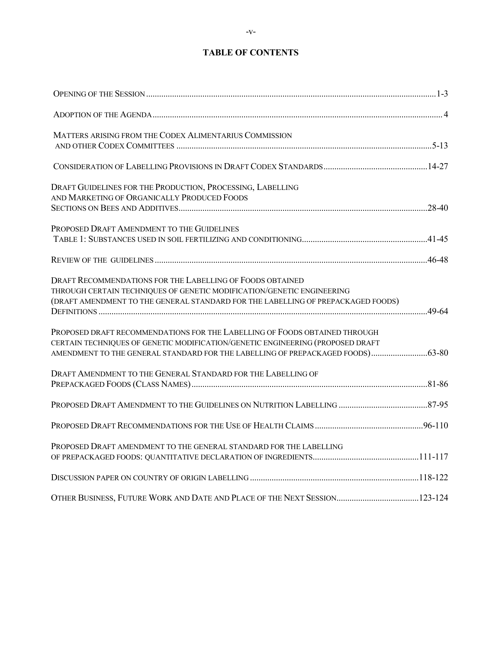## **TABLE OF CONTENTS**

| MATTERS ARISING FROM THE CODEX ALIMENTARIUS COMMISSION                           |  |
|----------------------------------------------------------------------------------|--|
|                                                                                  |  |
|                                                                                  |  |
| DRAFT GUIDELINES FOR THE PRODUCTION, PROCESSING, LABELLING                       |  |
| AND MARKETING OF ORGANICALLY PRODUCED FOODS                                      |  |
|                                                                                  |  |
| PROPOSED DRAFT AMENDMENT TO THE GUIDELINES                                       |  |
|                                                                                  |  |
|                                                                                  |  |
| DRAFT RECOMMENDATIONS FOR THE LABELLING OF FOODS OBTAINED                        |  |
| THROUGH CERTAIN TECHNIQUES OF GENETIC MODIFICATION/GENETIC ENGINEERING           |  |
| (DRAFT AMENDMENT TO THE GENERAL STANDARD FOR THE LABELLING OF PREPACKAGED FOODS) |  |
| PROPOSED DRAFT RECOMMENDATIONS FOR THE LABELLING OF FOODS OBTAINED THROUGH       |  |
| CERTAIN TECHNIQUES OF GENETIC MODIFICATION/GENETIC ENGINEERING (PROPOSED DRAFT   |  |
| AMENDMENT TO THE GENERAL STANDARD FOR THE LABELLING OF PREPACKAGED FOODS) 63-80  |  |
| DRAFT AMENDMENT TO THE GENERAL STANDARD FOR THE LABELLING OF                     |  |
|                                                                                  |  |
|                                                                                  |  |
|                                                                                  |  |
| PROPOSED DRAFT AMENDMENT TO THE GENERAL STANDARD FOR THE LABELLING               |  |
|                                                                                  |  |
|                                                                                  |  |
| OTHER BUSINESS, FUTURE WORK AND DATE AND PLACE OF THE NEXT SESSION123-124        |  |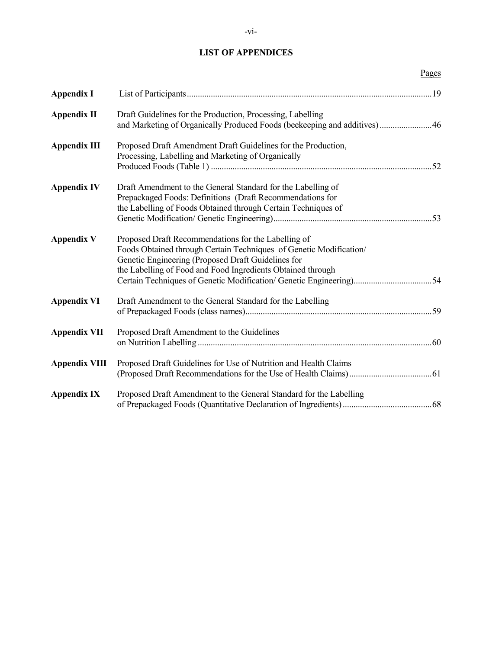#### **LIST OF APPENDICES**

Pages

| <b>Appendix I</b>    |                                                                                                                                                                                                                                                |  |
|----------------------|------------------------------------------------------------------------------------------------------------------------------------------------------------------------------------------------------------------------------------------------|--|
| <b>Appendix II</b>   | Draft Guidelines for the Production, Processing, Labelling<br>and Marketing of Organically Produced Foods (beekeeping and additives)46                                                                                                         |  |
| <b>Appendix III</b>  | Proposed Draft Amendment Draft Guidelines for the Production,<br>Processing, Labelling and Marketing of Organically                                                                                                                            |  |
| <b>Appendix IV</b>   | Draft Amendment to the General Standard for the Labelling of<br>Prepackaged Foods: Definitions (Draft Recommendations for<br>the Labelling of Foods Obtained through Certain Techniques of                                                     |  |
| <b>Appendix V</b>    | Proposed Draft Recommendations for the Labelling of<br>Foods Obtained through Certain Techniques of Genetic Modification/<br>Genetic Engineering (Proposed Draft Guidelines for<br>the Labelling of Food and Food Ingredients Obtained through |  |
| <b>Appendix VI</b>   | Draft Amendment to the General Standard for the Labelling                                                                                                                                                                                      |  |
| <b>Appendix VII</b>  | Proposed Draft Amendment to the Guidelines                                                                                                                                                                                                     |  |
| <b>Appendix VIII</b> | Proposed Draft Guidelines for Use of Nutrition and Health Claims                                                                                                                                                                               |  |

(Proposed Draft Recommendations for the Use of Health Claims)......................................61

of Prepackaged Foods (Quantitative Declaration of Ingredients).........................................68

Appendix IX Proposed Draft Amendment to the General Standard for the Labelling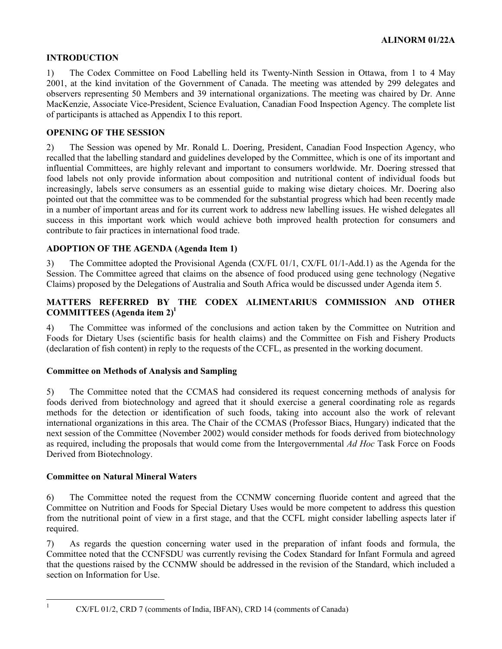## **INTRODUCTION**

1) The Codex Committee on Food Labelling held its Twenty-Ninth Session in Ottawa, from 1 to 4 May 2001, at the kind invitation of the Government of Canada. The meeting was attended by 299 delegates and observers representing 50 Members and 39 international organizations. The meeting was chaired by Dr. Anne MacKenzie, Associate Vice-President, Science Evaluation, Canadian Food Inspection Agency. The complete list of participants is attached as Appendix I to this report.

#### **OPENING OF THE SESSION**

2) The Session was opened by Mr. Ronald L. Doering, President, Canadian Food Inspection Agency, who recalled that the labelling standard and guidelines developed by the Committee, which is one of its important and influential Committees, are highly relevant and important to consumers worldwide. Mr. Doering stressed that food labels not only provide information about composition and nutritional content of individual foods but increasingly, labels serve consumers as an essential guide to making wise dietary choices. Mr. Doering also pointed out that the committee was to be commended for the substantial progress which had been recently made in a number of important areas and for its current work to address new labelling issues. He wished delegates all success in this important work which would achieve both improved health protection for consumers and contribute to fair practices in international food trade.

## **ADOPTION OF THE AGENDA (Agenda Item 1)**

3) The Committee adopted the Provisional Agenda (CX/FL 01/1, CX/FL 01/1-Add.1) as the Agenda for the Session. The Committee agreed that claims on the absence of food produced using gene technology (Negative Claims) proposed by the Delegations of Australia and South Africa would be discussed under Agenda item 5.

## **MATTERS REFERRED BY THE CODEX ALIMENTARIUS COMMISSION AND OTHER COMMITTEES (Agenda item 2)1**

4) The Committee was informed of the conclusions and action taken by the Committee on Nutrition and Foods for Dietary Uses (scientific basis for health claims) and the Committee on Fish and Fishery Products (declaration of fish content) in reply to the requests of the CCFL, as presented in the working document.

#### **Committee on Methods of Analysis and Sampling**

5) The Committee noted that the CCMAS had considered its request concerning methods of analysis for foods derived from biotechnology and agreed that it should exercise a general coordinating role as regards methods for the detection or identification of such foods, taking into account also the work of relevant international organizations in this area. The Chair of the CCMAS (Professor Biacs, Hungary) indicated that the next session of the Committee (November 2002) would consider methods for foods derived from biotechnology as required, including the proposals that would come from the Intergovernmental *Ad Hoc* Task Force on Foods Derived from Biotechnology.

#### **Committee on Natural Mineral Waters**

6) The Committee noted the request from the CCNMW concerning fluoride content and agreed that the Committee on Nutrition and Foods for Special Dietary Uses would be more competent to address this question from the nutritional point of view in a first stage, and that the CCFL might consider labelling aspects later if required.

7) As regards the question concerning water used in the preparation of infant foods and formula, the Committee noted that the CCNFSDU was currently revising the Codex Standard for Infant Formula and agreed that the questions raised by the CCNMW should be addressed in the revision of the Standard, which included a section on Information for Use.

 $\mathbf{1}$ 

<sup>1</sup> CX/FL 01/2, CRD 7 (comments of India, IBFAN), CRD 14 (comments of Canada)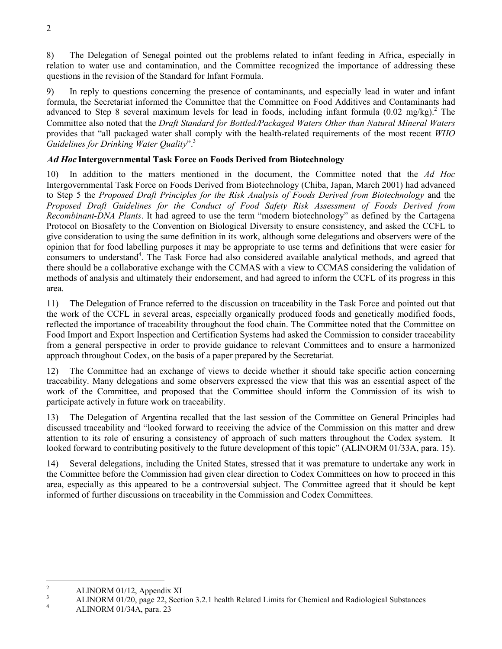8) The Delegation of Senegal pointed out the problems related to infant feeding in Africa, especially in relation to water use and contamination, and the Committee recognized the importance of addressing these questions in the revision of the Standard for Infant Formula.

9) In reply to questions concerning the presence of contaminants, and especially lead in water and infant formula, the Secretariat informed the Committee that the Committee on Food Additives and Contaminants had advanced to Step 8 several maximum levels for lead in foods, including infant formula  $(0.02 \text{ mg/kg})$ .<sup>2</sup> The Committee also noted that the *Draft Standard for Bottled*/*Packaged Waters Other than Natural Mineral Waters* provides that "all packaged water shall comply with the health-related requirements of the most recent *WHO Guidelines for Drinking Water Quality*".3

#### **Ad Hoc Intergovernmental Task Force on Foods Derived from Biotechnology**

10) In addition to the matters mentioned in the document, the Committee noted that the *Ad Hoc* Intergovernmental Task Force on Foods Derived from Biotechnology (Chiba, Japan, March 2001) had advanced to Step 5 the *Proposed Draft Principles for the Risk Analysis of Foods Derived from Biotechnology* and the *Proposed Draft Guidelines for the Conduct of Food Safety Risk Assessment of Foods Derived from Recombinant-DNA Plants*. It had agreed to use the term "modern biotechnology" as defined by the Cartagena Protocol on Biosafety to the Convention on Biological Diversity to ensure consistency, and asked the CCFL to give consideration to using the same definition in its work, although some delegations and observers were of the opinion that for food labelling purposes it may be appropriate to use terms and definitions that were easier for consumers to understand<sup>4</sup>. The Task Force had also considered available analytical methods, and agreed that there should be a collaborative exchange with the CCMAS with a view to CCMAS considering the validation of methods of analysis and ultimately their endorsement, and had agreed to inform the CCFL of its progress in this area.

11) The Delegation of France referred to the discussion on traceability in the Task Force and pointed out that the work of the CCFL in several areas, especially organically produced foods and genetically modified foods, reflected the importance of traceability throughout the food chain. The Committee noted that the Committee on Food Import and Export Inspection and Certification Systems had asked the Commission to consider traceability from a general perspective in order to provide guidance to relevant Committees and to ensure a harmonized approach throughout Codex, on the basis of a paper prepared by the Secretariat.

12) The Committee had an exchange of views to decide whether it should take specific action concerning traceability. Many delegations and some observers expressed the view that this was an essential aspect of the work of the Committee, and proposed that the Committee should inform the Commission of its wish to participate actively in future work on traceability.

13) The Delegation of Argentina recalled that the last session of the Committee on General Principles had discussed traceability and "looked forward to receiving the advice of the Commission on this matter and drew attention to its role of ensuring a consistency of approach of such matters throughout the Codex system. It looked forward to contributing positively to the future development of this topic" (ALINORM 01/33A, para. 15).

14) Several delegations, including the United States, stressed that it was premature to undertake any work in the Committee before the Commission had given clear direction to Codex Committees on how to proceed in this area, especially as this appeared to be a controversial subject. The Committee agreed that it should be kept informed of further discussions on traceability in the Commission and Codex Committees.

 $\frac{1}{2}$  $\frac{2}{3}$  ALINORM 01/12, Appendix XI

ALINORM 01/20, page 22, Section 3.2.1 health Related Limits for Chemical and Radiological Substances

<sup>4</sup> ALINORM 01/34A, para. 23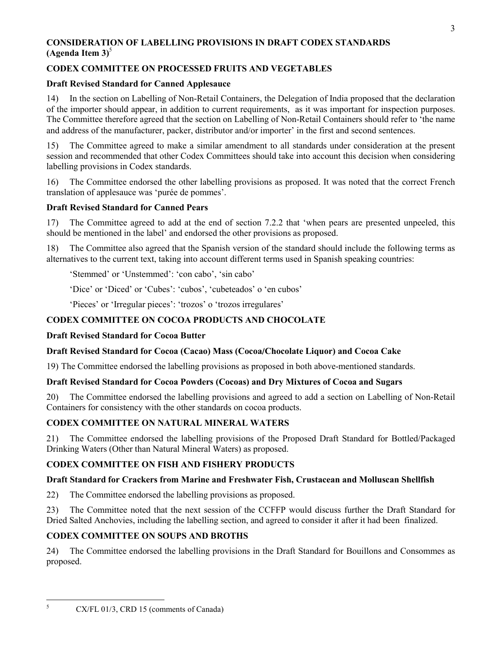## **CONSIDERATION OF LABELLING PROVISIONS IN DRAFT CODEX STANDARDS**  $(A$ genda Item  $3)^5$

## **CODEX COMMITTEE ON PROCESSED FRUITS AND VEGETABLES**

## **Draft Revised Standard for Canned Applesauce**

14) In the section on Labelling of Non-Retail Containers, the Delegation of India proposed that the declaration of the importer should appear, in addition to current requirements, as it was important for inspection purposes. The Committee therefore agreed that the section on Labelling of Non-Retail Containers should refer to 'the name and address of the manufacturer, packer, distributor and/or importer' in the first and second sentences.

15) The Committee agreed to make a similar amendment to all standards under consideration at the present session and recommended that other Codex Committees should take into account this decision when considering labelling provisions in Codex standards.

16) The Committee endorsed the other labelling provisions as proposed. It was noted that the correct French translation of applesauce was 'purée de pommes'.

## **Draft Revised Standard for Canned Pears**

17) The Committee agreed to add at the end of section 7.2.2 that 'when pears are presented unpeeled, this should be mentioned in the label' and endorsed the other provisions as proposed.

18) The Committee also agreed that the Spanish version of the standard should include the following terms as alternatives to the current text, taking into account different terms used in Spanish speaking countries:

'Stemmed' or 'Unstemmed': 'con cabo', 'sin cabo'

'Dice' or 'Diced' or 'Cubes': 'cubos', 'cubeteados' o 'en cubos'

'Pieces' or 'Irregular pieces': 'trozos' o 'trozos irregulares'

## **CODEX COMMITTEE ON COCOA PRODUCTS AND CHOCOLATE**

## **Draft Revised Standard for Cocoa Butter**

## **Draft Revised Standard for Cocoa (Cacao) Mass (Cocoa**/**Chocolate Liquor) and Cocoa Cake**

19) The Committee endorsed the labelling provisions as proposed in both above-mentioned standards.

## **Draft Revised Standard for Cocoa Powders (Cocoas) and Dry Mixtures of Cocoa and Sugars**

20) The Committee endorsed the labelling provisions and agreed to add a section on Labelling of Non-Retail Containers for consistency with the other standards on cocoa products.

## **CODEX COMMITTEE ON NATURAL MINERAL WATERS**

21) The Committee endorsed the labelling provisions of the Proposed Draft Standard for Bottled/Packaged Drinking Waters (Other than Natural Mineral Waters) as proposed.

## **CODEX COMMITTEE ON FISH AND FISHERY PRODUCTS**

## **Draft Standard for Crackers from Marine and Freshwater Fish, Crustacean and Molluscan Shellfish**

22) The Committee endorsed the labelling provisions as proposed.

23) The Committee noted that the next session of the CCFFP would discuss further the Draft Standard for Dried Salted Anchovies, including the labelling section, and agreed to consider it after it had been finalized.

## **CODEX COMMITTEE ON SOUPS AND BROTHS**

24) The Committee endorsed the labelling provisions in the Draft Standard for Bouillons and Consommes as proposed.

5

CX/FL 01/3, CRD 15 (comments of Canada)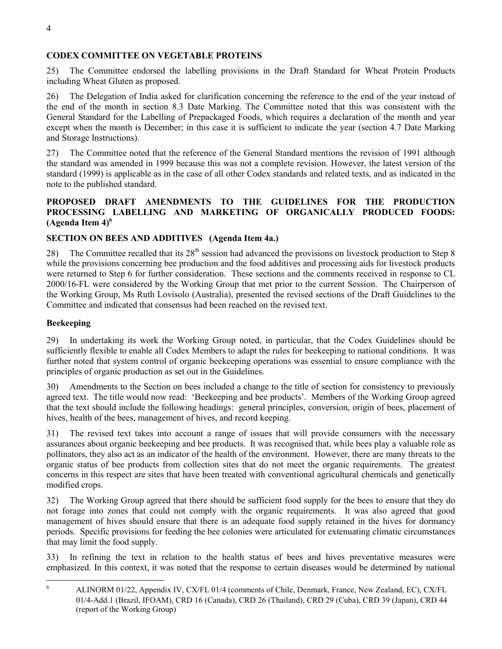## **CODEX COMMITTEE ON VEGETABLE PROTEINS**

25) The Committee endorsed the labelling provisions in the Draft Standard for Wheat Protein Products including Wheat Gluten as proposed.

26) The Delegation of India asked for clarification concerning the reference to the end of the year instead of the end of the month in section 8.3 Date Marking. The Committee noted that this was consistent with the General Standard for the Labelling of Prepackaged Foods, which requires a declaration of the month and year except when the month is December; in this case it is sufficient to indicate the year (section 4.7 Date Marking and Storage Instructions).

27) The Committee noted that the reference of the General Standard mentions the revision of 1991 although the standard was amended in 1999 because this was not a complete revision. However, the latest version of the standard (1999) is applicable as in the case of all other Codex standards and related texts, and as indicated in the note to the published standard.

## **PROPOSED DRAFT AMENDMENTS TO THE GUIDELINES FOR THE PRODUCTION PROCESSING LABELLING AND MARKETING OF ORGANICALLY PRODUCED FOODS: (Agenda Item 4)6**

## **SECTION ON BEES AND ADDITIVES (Agenda Item 4a.)**

The Committee recalled that its  $28<sup>th</sup>$  session had advanced the provisions on livestock production to Step 8 while the provisions concerning bee production and the food additives and processing aids for livestock products were returned to Step 6 for further consideration. These sections and the comments received in response to CL 2000/16-FL were considered by the Working Group that met prior to the current Session. The Chairperson of the Working Group, Ms Ruth Lovisolo (Australia), presented the revised sections of the Draft Guidelines to the Committee and indicated that consensus had been reached on the revised text.

## **Beekeeping**

 $\frac{1}{6}$ 

29) In undertaking its work the Working Group noted, in particular, that the Codex Guidelines should be sufficiently flexible to enable all Codex Members to adapt the rules for beekeeping to national conditions. It was further noted that system control of organic beekeeping operations was essential to ensure compliance with the principles of organic production as set out in the Guidelines.

30) Amendments to the Section on bees included a change to the title of section for consistency to previously agreed text. The title would now read: 'Beekeeping and bee products'. Members of the Working Group agreed that the text should include the following headings: general principles, conversion, origin of bees, placement of hives, health of the bees, management of hives, and record keeping.

31) The revised text takes into account a range of issues that will provide consumers with the necessary assurances about organic beekeeping and bee products. It was recognised that, while bees play a valuable role as pollinators, they also act as an indicator of the health of the environment. However, there are many threats to the organic status of bee products from collection sites that do not meet the organic requirements. The greatest concerns in this respect are sites that have been treated with conventional agricultural chemicals and genetically modified crops.

32) The Working Group agreed that there should be sufficient food supply for the bees to ensure that they do not forage into zones that could not comply with the organic requirements. It was also agreed that good management of hives should ensure that there is an adequate food supply retained in the hives for dormancy periods. Specific provisions for feeding the bee colonies were articulated for extenuating climatic circumstances that may limit the food supply.

33) In refining the text in relation to the health status of bees and hives preventative measures were emphasized. In this context, it was noted that the response to certain diseases would be determined by national

ALINORM 01/22, Appendix IV, CX/FL 01/4 (comments of Chile, Denmark, France, New Zealand, EC), CX/FL 01/4-Add.1 (Brazil, IFOAM), CRD 16 (Canada), CRD 26 (Thailand), CRD 29 (Cuba), CRD 39 (Japan), CRD 44 (report of the Working Group)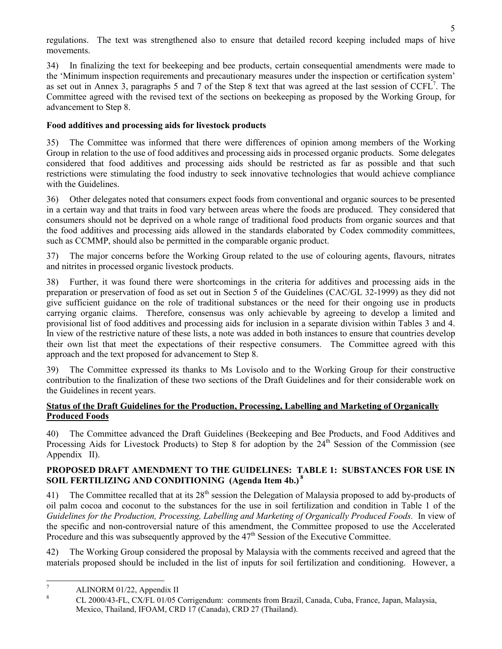regulations. The text was strengthened also to ensure that detailed record keeping included maps of hive movements.

34) In finalizing the text for beekeeping and bee products, certain consequential amendments were made to the 'Minimum inspection requirements and precautionary measures under the inspection or certification system' as set out in Annex 3, paragraphs 5 and 7 of the Step 8 text that was agreed at the last session of  $CCFL<sup>7</sup>$ . The Committee agreed with the revised text of the sections on beekeeping as proposed by the Working Group, for advancement to Step 8.

## **Food additives and processing aids for livestock products**

35) The Committee was informed that there were differences of opinion among members of the Working Group in relation to the use of food additives and processing aids in processed organic products. Some delegates considered that food additives and processing aids should be restricted as far as possible and that such restrictions were stimulating the food industry to seek innovative technologies that would achieve compliance with the Guidelines.

36) Other delegates noted that consumers expect foods from conventional and organic sources to be presented in a certain way and that traits in food vary between areas where the foods are produced. They considered that consumers should not be deprived on a whole range of traditional food products from organic sources and that the food additives and processing aids allowed in the standards elaborated by Codex commodity committees, such as CCMMP, should also be permitted in the comparable organic product.

37) The major concerns before the Working Group related to the use of colouring agents, flavours, nitrates and nitrites in processed organic livestock products.

38) Further, it was found there were shortcomings in the criteria for additives and processing aids in the preparation or preservation of food as set out in Section 5 of the Guidelines (CAC/GL 32-1999) as they did not give sufficient guidance on the role of traditional substances or the need for their ongoing use in products carrying organic claims. Therefore, consensus was only achievable by agreeing to develop a limited and provisional list of food additives and processing aids for inclusion in a separate division within Tables 3 and 4. In view of the restrictive nature of these lists, a note was added in both instances to ensure that countries develop their own list that meet the expectations of their respective consumers. The Committee agreed with this approach and the text proposed for advancement to Step 8.

39) The Committee expressed its thanks to Ms Lovisolo and to the Working Group for their constructive contribution to the finalization of these two sections of the Draft Guidelines and for their considerable work on the Guidelines in recent years.

## **Status of the Draft Guidelines for the Production, Processing, Labelling and Marketing of Organically Produced Foods**

40) The Committee advanced the Draft Guidelines (Beekeeping and Bee Products, and Food Additives and Processing Aids for Livestock Products) to Step 8 for adoption by the  $24<sup>th</sup>$  Session of the Commission (see Appendix II).

## **PROPOSED DRAFT AMENDMENT TO THE GUIDELINES: TABLE 1: SUBSTANCES FOR USE IN SOIL FERTILIZING AND CONDITIONING (Agenda Item 4b.)<sup>8</sup>**

The Committee recalled that at its  $28<sup>th</sup>$  session the Delegation of Malaysia proposed to add by-products of oil palm cocoa and coconut to the substances for the use in soil fertilization and condition in Table 1 of the *Guidelines for the Production, Processing, Labelling and Marketing of Organically Produced Foods.* In view of the specific and non-controversial nature of this amendment, the Committee proposed to use the Accelerated Procedure and this was subsequently approved by the  $47<sup>th</sup>$  Session of the Executive Committee.

42) The Working Group considered the proposal by Malaysia with the comments received and agreed that the materials proposed should be included in the list of inputs for soil fertilization and conditioning. However, a

<sup>-&</sup>lt;br>7 ALINORM 01/22, Appendix II

<sup>8</sup> CL 2000/43-FL, CX/FL 01/05 Corrigendum: comments from Brazil, Canada, Cuba, France, Japan, Malaysia, Mexico, Thailand, IFOAM, CRD 17 (Canada), CRD 27 (Thailand).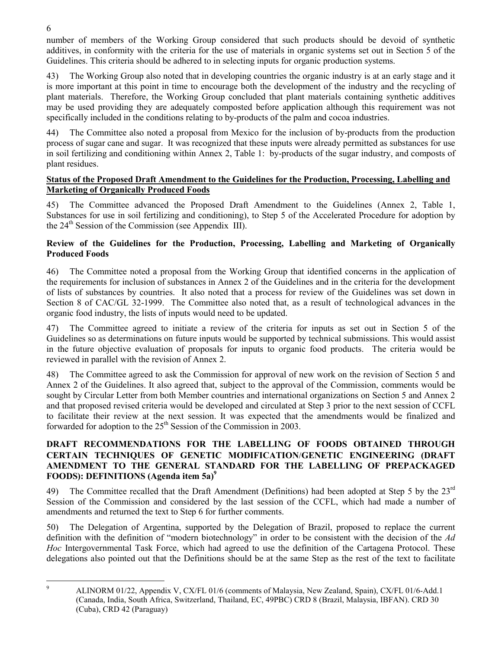number of members of the Working Group considered that such products should be devoid of synthetic additives, in conformity with the criteria for the use of materials in organic systems set out in Section 5 of the Guidelines. This criteria should be adhered to in selecting inputs for organic production systems.

43) The Working Group also noted that in developing countries the organic industry is at an early stage and it is more important at this point in time to encourage both the development of the industry and the recycling of plant materials. Therefore, the Working Group concluded that plant materials containing synthetic additives may be used providing they are adequately composted before application although this requirement was not specifically included in the conditions relating to by-products of the palm and cocoa industries.

44) The Committee also noted a proposal from Mexico for the inclusion of by-products from the production process of sugar cane and sugar. It was recognized that these inputs were already permitted as substances for use in soil fertilizing and conditioning within Annex 2, Table 1: by-products of the sugar industry, and composts of plant residues.

## **Status of the Proposed Draft Amendment to the Guidelines for the Production, Processing, Labelling and Marketing of Organically Produced Foods**

45) The Committee advanced the Proposed Draft Amendment to the Guidelines (Annex 2, Table 1, Substances for use in soil fertilizing and conditioning), to Step 5 of the Accelerated Procedure for adoption by the  $24<sup>th</sup>$  Session of the Commission (see Appendix III).

## **Review of the Guidelines for the Production, Processing, Labelling and Marketing of Organically Produced Foods**

46) The Committee noted a proposal from the Working Group that identified concerns in the application of the requirements for inclusion of substances in Annex 2 of the Guidelines and in the criteria for the development of lists of substances by countries. It also noted that a process for review of the Guidelines was set down in Section 8 of CAC/GL 32-1999. The Committee also noted that, as a result of technological advances in the organic food industry, the lists of inputs would need to be updated.

47) The Committee agreed to initiate a review of the criteria for inputs as set out in Section 5 of the Guidelines so as determinations on future inputs would be supported by technical submissions. This would assist in the future objective evaluation of proposals for inputs to organic food products. The criteria would be reviewed in parallel with the revision of Annex 2.

48) The Committee agreed to ask the Commission for approval of new work on the revision of Section 5 and Annex 2 of the Guidelines. It also agreed that, subject to the approval of the Commission, comments would be sought by Circular Letter from both Member countries and international organizations on Section 5 and Annex 2 and that proposed revised criteria would be developed and circulated at Step 3 prior to the next session of CCFL to facilitate their review at the next session. It was expected that the amendments would be finalized and forwarded for adoption to the  $25<sup>th</sup>$  Session of the Commission in 2003.

## **DRAFT RECOMMENDATIONS FOR THE LABELLING OF FOODS OBTAINED THROUGH CERTAIN TECHNIQUES OF GENETIC MODIFICATION**/**GENETIC ENGINEERING (DRAFT AMENDMENT TO THE GENERAL STANDARD FOR THE LABELLING OF PREPACKAGED FOODS): DEFINITIONS (Agenda item 5a)9**

49) The Committee recalled that the Draft Amendment (Definitions) had been adopted at Step 5 by the 23<sup>rd</sup> Session of the Commission and considered by the last session of the CCFL, which had made a number of amendments and returned the text to Step 6 for further comments.

50) The Delegation of Argentina, supported by the Delegation of Brazil, proposed to replace the current definition with the definition of "modern biotechnology" in order to be consistent with the decision of the *Ad Hoc* Intergovernmental Task Force, which had agreed to use the definition of the Cartagena Protocol. These delegations also pointed out that the Definitions should be at the same Step as the rest of the text to facilitate

-<br>9

6

ALINORM 01/22, Appendix V, CX/FL 01/6 (comments of Malaysia, New Zealand, Spain), CX/FL 01/6-Add.1 (Canada, India, South Africa, Switzerland, Thailand, EC, 49PBC) CRD 8 (Brazil, Malaysia, IBFAN). CRD 30 (Cuba), CRD 42 (Paraguay)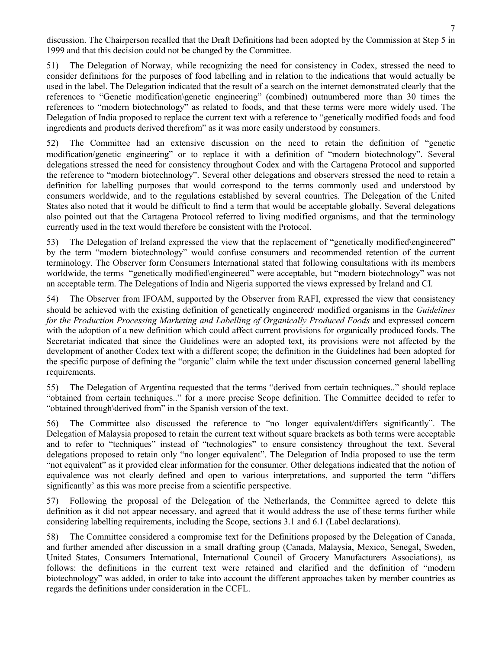discussion. The Chairperson recalled that the Draft Definitions had been adopted by the Commission at Step 5 in 1999 and that this decision could not be changed by the Committee.

51) The Delegation of Norway, while recognizing the need for consistency in Codex, stressed the need to consider definitions for the purposes of food labelling and in relation to the indications that would actually be used in the label. The Delegation indicated that the result of a search on the internet demonstrated clearly that the references to "Genetic modification\genetic engineering" (combined) outnumbered more than 30 times the references to "modern biotechnology" as related to foods, and that these terms were more widely used. The Delegation of India proposed to replace the current text with a reference to "genetically modified foods and food ingredients and products derived therefrom" as it was more easily understood by consumers.

52) The Committee had an extensive discussion on the need to retain the definition of "genetic modification/genetic engineering" or to replace it with a definition of "modern biotechnology". Several delegations stressed the need for consistency throughout Codex and with the Cartagena Protocol and supported the reference to "modern biotechnology". Several other delegations and observers stressed the need to retain a definition for labelling purposes that would correspond to the terms commonly used and understood by consumers worldwide, and to the regulations established by several countries. The Delegation of the United States also noted that it would be difficult to find a term that would be acceptable globally. Several delegations also pointed out that the Cartagena Protocol referred to living modified organisms, and that the terminology currently used in the text would therefore be consistent with the Protocol.

53) The Delegation of Ireland expressed the view that the replacement of "genetically modified\engineered" by the term "modern biotechnology" would confuse consumers and recommended retention of the current terminology. The Observer form Consumers International stated that following consultations with its members worldwide, the terms "genetically modified\engineered" were acceptable, but "modern biotechnology" was not an acceptable term. The Delegations of India and Nigeria supported the views expressed by Ireland and CI.

54) The Observer from IFOAM, supported by the Observer from RAFI, expressed the view that consistency should be achieved with the existing definition of genetically engineered/ modified organisms in the *Guidelines for the Production Processing Marketing and Labelling of Organically Produced Foods* and expressed concern with the adoption of a new definition which could affect current provisions for organically produced foods. The Secretariat indicated that since the Guidelines were an adopted text, its provisions were not affected by the development of another Codex text with a different scope; the definition in the Guidelines had been adopted for the specific purpose of defining the "organic" claim while the text under discussion concerned general labelling requirements.

55) The Delegation of Argentina requested that the terms "derived from certain techniques.." should replace "obtained from certain techniques.." for a more precise Scope definition. The Committee decided to refer to "obtained through\derived from" in the Spanish version of the text.

56) The Committee also discussed the reference to "no longer equivalent/differs significantly". The Delegation of Malaysia proposed to retain the current text without square brackets as both terms were acceptable and to refer to "techniques" instead of "technologies" to ensure consistency throughout the text. Several delegations proposed to retain only "no longer equivalent". The Delegation of India proposed to use the term "not equivalent" as it provided clear information for the consumer. Other delegations indicated that the notion of equivalence was not clearly defined and open to various interpretations, and supported the term "differs significantly' as this was more precise from a scientific perspective.

57) Following the proposal of the Delegation of the Netherlands, the Committee agreed to delete this definition as it did not appear necessary, and agreed that it would address the use of these terms further while considering labelling requirements, including the Scope, sections 3.1 and 6.1 (Label declarations).

58) The Committee considered a compromise text for the Definitions proposed by the Delegation of Canada, and further amended after discussion in a small drafting group (Canada, Malaysia, Mexico, Senegal, Sweden, United States, Consumers International, International Council of Grocery Manufacturers Associations), as follows: the definitions in the current text were retained and clarified and the definition of "modern biotechnology" was added, in order to take into account the different approaches taken by member countries as regards the definitions under consideration in the CCFL.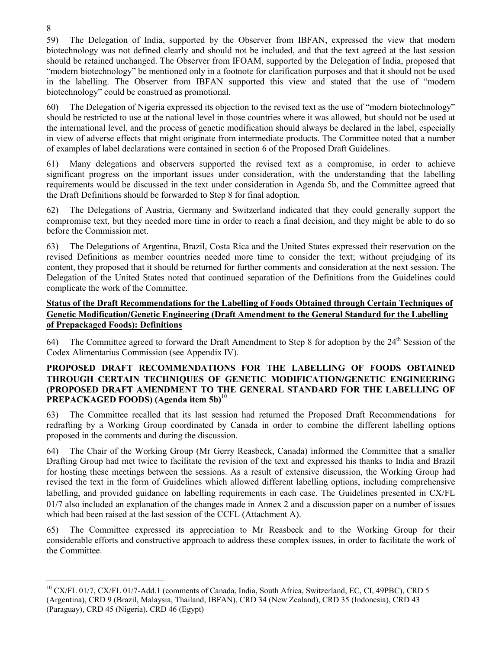59) The Delegation of India, supported by the Observer from IBFAN, expressed the view that modern biotechnology was not defined clearly and should not be included, and that the text agreed at the last session should be retained unchanged. The Observer from IFOAM, supported by the Delegation of India, proposed that "modern biotechnology" be mentioned only in a footnote for clarification purposes and that it should not be used in the labelling. The Observer from IBFAN supported this view and stated that the use of "modern biotechnology" could be construed as promotional.

60) The Delegation of Nigeria expressed its objection to the revised text as the use of "modern biotechnology" should be restricted to use at the national level in those countries where it was allowed, but should not be used at the international level, and the process of genetic modification should always be declared in the label, especially in view of adverse effects that might originate from intermediate products. The Committee noted that a number of examples of label declarations were contained in section 6 of the Proposed Draft Guidelines.

61) Many delegations and observers supported the revised text as a compromise, in order to achieve significant progress on the important issues under consideration, with the understanding that the labelling requirements would be discussed in the text under consideration in Agenda 5b, and the Committee agreed that the Draft Definitions should be forwarded to Step 8 for final adoption.

62) The Delegations of Austria, Germany and Switzerland indicated that they could generally support the compromise text, but they needed more time in order to reach a final decision, and they might be able to do so before the Commission met.

63) The Delegations of Argentina, Brazil, Costa Rica and the United States expressed their reservation on the revised Definitions as member countries needed more time to consider the text; without prejudging of its content, they proposed that it should be returned for further comments and consideration at the next session. The Delegation of the United States noted that continued separation of the Definitions from the Guidelines could complicate the work of the Committee.

## **Status of the Draft Recommendations for the Labelling of Foods Obtained through Certain Techniques of Genetic Modification**/**Genetic Engineering (Draft Amendment to the General Standard for the Labelling of Prepackaged Foods): Definitions**

64) The Committee agreed to forward the Draft Amendment to Step 8 for adoption by the  $24<sup>th</sup>$  Session of the Codex Alimentarius Commission (see Appendix IV).

## **PROPOSED DRAFT RECOMMENDATIONS FOR THE LABELLING OF FOODS OBTAINED THROUGH CERTAIN TECHNIQUES OF GENETIC MODIFICATION**/**GENETIC ENGINEERING (PROPOSED DRAFT AMENDMENT TO THE GENERAL STANDARD FOR THE LABELLING OF PREPACKAGED FOODS) (Agenda item 5b)**<sup>10</sup>

63) The Committee recalled that its last session had returned the Proposed Draft Recommendations for redrafting by a Working Group coordinated by Canada in order to combine the different labelling options proposed in the comments and during the discussion.

64) The Chair of the Working Group (Mr Gerry Reasbeck, Canada) informed the Committee that a smaller Drafting Group had met twice to facilitate the revision of the text and expressed his thanks to India and Brazil for hosting these meetings between the sessions. As a result of extensive discussion, the Working Group had revised the text in the form of Guidelines which allowed different labelling options, including comprehensive labelling, and provided guidance on labelling requirements in each case. The Guidelines presented in CX/FL 01/7 also included an explanation of the changes made in Annex 2 and a discussion paper on a number of issues which had been raised at the last session of the CCFL (Attachment A).

65) The Committee expressed its appreciation to Mr Reasbeck and to the Working Group for their considerable efforts and constructive approach to address these complex issues, in order to facilitate the work of the Committee.

 $\overline{a}$ 

<sup>&</sup>lt;sup>10</sup> CX/FL 01/7, CX/FL 01/7-Add.1 (comments of Canada, India, South Africa, Switzerland, EC, CI, 49PBC), CRD 5 (Argentina), CRD 9 (Brazil, Malaysia, Thailand, IBFAN), CRD 34 (New Zealand), CRD 35 (Indonesia), CRD 43 (Paraguay), CRD 45 (Nigeria), CRD 46 (Egypt)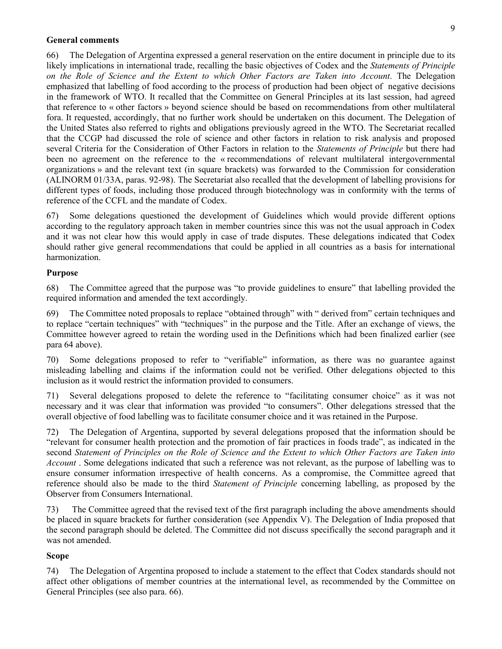#### **General comments**

66) The Delegation of Argentina expressed a general reservation on the entire document in principle due to its likely implications in international trade, recalling the basic objectives of Codex and the *Statements of Principle on the Role of Science and the Extent to which Other Factors are Taken into Account*. The Delegation emphasized that labelling of food according to the process of production had been object of negative decisions in the framework of WTO. It recalled that the Committee on General Principles at its last session, had agreed that reference to « other factors » beyond science should be based on recommendations from other multilateral fora. It requested, accordingly, that no further work should be undertaken on this document. The Delegation of the United States also referred to rights and obligations previously agreed in the WTO. The Secretariat recalled that the CCGP had discussed the role of science and other factors in relation to risk analysis and proposed several Criteria for the Consideration of Other Factors in relation to the *Statements of Principle* but there had been no agreement on the reference to the « recommendations of relevant multilateral intergovernmental organizations » and the relevant text (in square brackets) was forwarded to the Commission for consideration (ALINORM 01/33A, paras. 92-98). The Secretariat also recalled that the development of labelling provisions for different types of foods, including those produced through biotechnology was in conformity with the terms of reference of the CCFL and the mandate of Codex.

67) Some delegations questioned the development of Guidelines which would provide different options according to the regulatory approach taken in member countries since this was not the usual approach in Codex and it was not clear how this would apply in case of trade disputes. These delegations indicated that Codex should rather give general recommendations that could be applied in all countries as a basis for international harmonization.

#### **Purpose**

68) The Committee agreed that the purpose was "to provide guidelines to ensure" that labelling provided the required information and amended the text accordingly.

69) The Committee noted proposals to replace "obtained through" with " derived from" certain techniques and to replace "certain techniques" with "techniques" in the purpose and the Title. After an exchange of views, the Committee however agreed to retain the wording used in the Definitions which had been finalized earlier (see para 64 above).

70) Some delegations proposed to refer to "verifiable" information, as there was no guarantee against misleading labelling and claims if the information could not be verified. Other delegations objected to this inclusion as it would restrict the information provided to consumers.

71) Several delegations proposed to delete the reference to "facilitating consumer choice" as it was not necessary and it was clear that information was provided "to consumers". Other delegations stressed that the overall objective of food labelling was to facilitate consumer choice and it was retained in the Purpose.

72) The Delegation of Argentina, supported by several delegations proposed that the information should be "relevant for consumer health protection and the promotion of fair practices in foods trade", as indicated in the second *Statement of Principles on the Role of Science and the Extent to which Other Factors are Taken into Account* . Some delegations indicated that such a reference was not relevant, as the purpose of labelling was to ensure consumer information irrespective of health concerns. As a compromise, the Committee agreed that reference should also be made to the third *Statement of Principle* concerning labelling, as proposed by the Observer from Consumers International.

73) The Committee agreed that the revised text of the first paragraph including the above amendments should be placed in square brackets for further consideration (see Appendix V). The Delegation of India proposed that the second paragraph should be deleted. The Committee did not discuss specifically the second paragraph and it was not amended.

#### **Scope**

74) The Delegation of Argentina proposed to include a statement to the effect that Codex standards should not affect other obligations of member countries at the international level, as recommended by the Committee on General Principles (see also para. 66).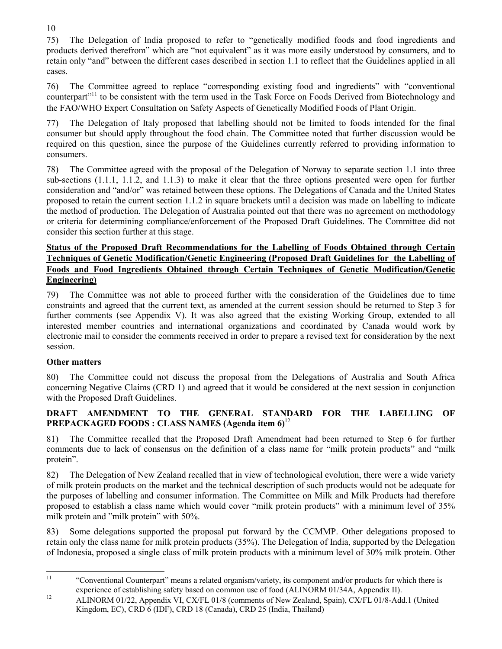75) The Delegation of India proposed to refer to "genetically modified foods and food ingredients and products derived therefrom" which are "not equivalent" as it was more easily understood by consumers, and to retain only "and" between the different cases described in section 1.1 to reflect that the Guidelines applied in all cases.

76) The Committee agreed to replace "corresponding existing food and ingredients" with "conventional counterpart"11 to be consistent with the term used in the Task Force on Foods Derived from Biotechnology and the FAO/WHO Expert Consultation on Safety Aspects of Genetically Modified Foods of Plant Origin.

77) The Delegation of Italy proposed that labelling should not be limited to foods intended for the final consumer but should apply throughout the food chain. The Committee noted that further discussion would be required on this question, since the purpose of the Guidelines currently referred to providing information to consumers.

78) The Committee agreed with the proposal of the Delegation of Norway to separate section 1.1 into three sub-sections (1.1.1, 1.1.2, and 1.1.3) to make it clear that the three options presented were open for further consideration and "and/or" was retained between these options. The Delegations of Canada and the United States proposed to retain the current section 1.1.2 in square brackets until a decision was made on labelling to indicate the method of production. The Delegation of Australia pointed out that there was no agreement on methodology or criteria for determining compliance/enforcement of the Proposed Draft Guidelines. The Committee did not consider this section further at this stage.

## **Status of the Proposed Draft Recommendations for the Labelling of Foods Obtained through Certain Techniques of Genetic Modification**/**Genetic Engineering (Proposed Draft Guidelines for the Labelling of Foods and Food Ingredients Obtained through Certain Techniques of Genetic Modification**/**Genetic Engineering)**

79) The Committee was not able to proceed further with the consideration of the Guidelines due to time constraints and agreed that the current text, as amended at the current session should be returned to Step 3 for further comments (see Appendix V). It was also agreed that the existing Working Group, extended to all interested member countries and international organizations and coordinated by Canada would work by electronic mail to consider the comments received in order to prepare a revised text for consideration by the next session.

## **Other matters**

80) The Committee could not discuss the proposal from the Delegations of Australia and South Africa concerning Negative Claims (CRD 1) and agreed that it would be considered at the next session in conjunction with the Proposed Draft Guidelines.

## **DRAFT AMENDMENT TO THE GENERAL STANDARD FOR THE LABELLING OF PREPACKAGED FOODS : CLASS NAMES (Agenda item 6)**<sup>12</sup>

81) The Committee recalled that the Proposed Draft Amendment had been returned to Step 6 for further comments due to lack of consensus on the definition of a class name for "milk protein products" and "milk protein".

82) The Delegation of New Zealand recalled that in view of technological evolution, there were a wide variety of milk protein products on the market and the technical description of such products would not be adequate for the purposes of labelling and consumer information. The Committee on Milk and Milk Products had therefore proposed to establish a class name which would cover "milk protein products" with a minimum level of 35% milk protein and "milk protein" with 50%.

83) Some delegations supported the proposal put forward by the CCMMP. Other delegations proposed to retain only the class name for milk protein products (35%). The Delegation of India, supported by the Delegation of Indonesia, proposed a single class of milk protein products with a minimum level of 30% milk protein. Other

10

 $11$ 11 "Conventional Counterpart" means a related organism/variety, its component and/or products for which there is experience of establishing safety based on common use of food (ALINORM 01/34A, Appendix II).

<sup>&</sup>lt;sup>12</sup> ALINORM 01/22, Appendix VI, CX/FL 01/8 (comments of New Zealand, Spain), CX/FL 01/8-Add.1 (United Kingdom, EC), CRD 6 (IDF), CRD 18 (Canada), CRD 25 (India, Thailand)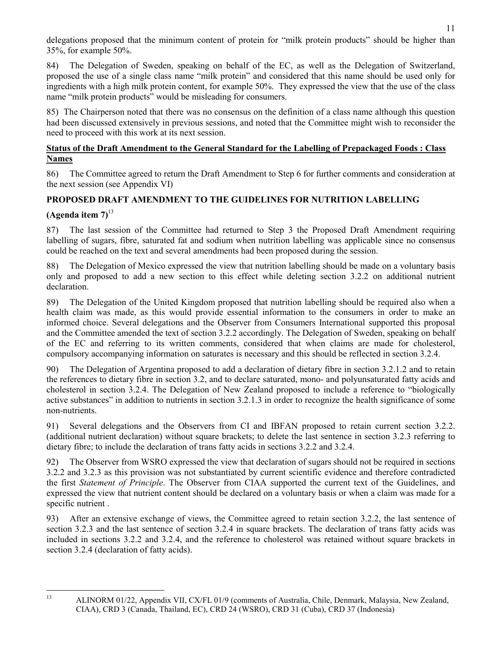delegations proposed that the minimum content of protein for "milk protein products" should be higher than 35%, for example 50%.

84) The Delegation of Sweden, speaking on behalf of the EC, as well as the Delegation of Switzerland, proposed the use of a single class name "milk protein" and considered that this name should be used only for ingredients with a high milk protein content, for example 50%. They expressed the view that the use of the class name "milk protein products" would be misleading for consumers.

85) The Chairperson noted that there was no consensus on the definition of a class name although this question had been discussed extensively in previous sessions, and noted that the Committee might wish to reconsider the need to proceed with this work at its next session.

## **Status of the Draft Amendment to the General Standard for the Labelling of Prepackaged Foods : Class Names**

86) The Committee agreed to return the Draft Amendment to Step 6 for further comments and consideration at the next session (see Appendix VI)

## **PROPOSED DRAFT AMENDMENT TO THE GUIDELINES FOR NUTRITION LABELLING**

#### **(Agenda item 7)**<sup>13</sup>

87) The last session of the Committee had returned to Step 3 the Proposed Draft Amendment requiring labelling of sugars, fibre, saturated fat and sodium when nutrition labelling was applicable since no consensus could be reached on the text and several amendments had been proposed during the session.

88) The Delegation of Mexico expressed the view that nutrition labelling should be made on a voluntary basis only and proposed to add a new section to this effect while deleting section 3.2.2 on additional nutrient declaration.

89) The Delegation of the United Kingdom proposed that nutrition labelling should be required also when a health claim was made, as this would provide essential information to the consumers in order to make an informed choice. Several delegations and the Observer from Consumers International supported this proposal and the Committee amended the text of section 3.2.2 accordingly. The Delegation of Sweden, speaking on behalf of the EC and referring to its written comments, considered that when claims are made for cholesterol, compulsory accompanying information on saturates is necessary and this should be reflected in section 3.2.4.

90) The Delegation of Argentina proposed to add a declaration of dietary fibre in section 3.2.1.2 and to retain the references to dietary fibre in section 3.2, and to declare saturated, mono- and polyunsaturated fatty acids and cholesterol in section 3.2.4. The Delegation of New Zealand proposed to include a reference to "biologically active substances" in addition to nutrients in section 3.2.1.3 in order to recognize the health significance of some non-nutrients.

91) Several delegations and the Observers from CI and IBFAN proposed to retain current section 3.2.2. (additional nutrient declaration) without square brackets; to delete the last sentence in section 3.2.3 referring to dietary fibre; to include the declaration of trans fatty acids in sections 3.2.2 and 3.2.4.

92) The Observer from WSRO expressed the view that declaration of sugars should not be required in sections 3.2.2 and 3.2.3 as this provision was not substantiated by current scientific evidence and therefore contradicted the first *Statement of Principle*. The Observer from CIAA supported the current text of the Guidelines, and expressed the view that nutrient content should be declared on a voluntary basis or when a claim was made for a specific nutrient .

93) After an extensive exchange of views, the Committee agreed to retain section 3.2.2, the last sentence of section 3.2.3 and the last sentence of section 3.2.4 in square brackets. The declaration of trans fatty acids was included in sections 3.2.2 and 3.2.4, and the reference to cholesterol was retained without square brackets in section 3.2.4 (declaration of fatty acids).

l

<sup>&</sup>lt;sup>13</sup> ALINORM 01/22, Appendix VII, CX/FL 01/9 (comments of Australia, Chile, Denmark, Malaysia, New Zealand, CIAA), CRD 3 (Canada, Thailand, EC), CRD 24 (WSRO), CRD 31 (Cuba), CRD 37 (Indonesia)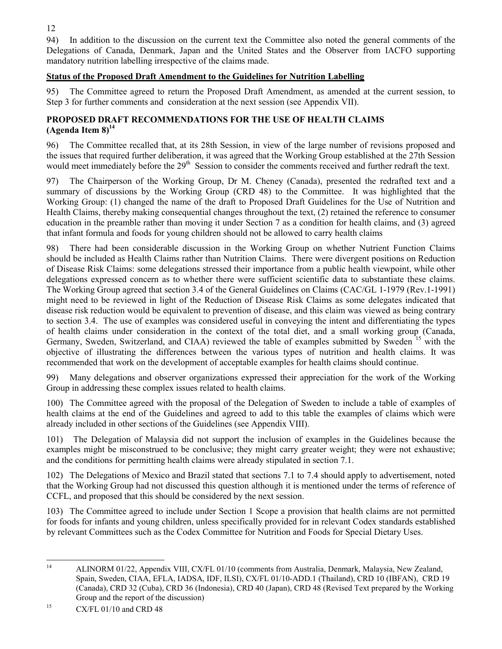94) In addition to the discussion on the current text the Committee also noted the general comments of the Delegations of Canada, Denmark, Japan and the United States and the Observer from IACFO supporting mandatory nutrition labelling irrespective of the claims made.

## **Status of the Proposed Draft Amendment to the Guidelines for Nutrition Labelling**

95) The Committee agreed to return the Proposed Draft Amendment, as amended at the current session, to Step 3 for further comments and consideration at the next session (see Appendix VII).

## **PROPOSED DRAFT RECOMMENDATIONS FOR THE USE OF HEALTH CLAIMS**  $(A$ genda Item  $8)^{14}$

96) The Committee recalled that, at its 28th Session, in view of the large number of revisions proposed and the issues that required further deliberation, it was agreed that the Working Group established at the 27th Session would meet immediately before the 29<sup>th</sup> Session to consider the comments received and further redraft the text.

97) The Chairperson of the Working Group, Dr M. Cheney (Canada), presented the redrafted text and a summary of discussions by the Working Group (CRD 48) to the Committee. It was highlighted that the Working Group: (1) changed the name of the draft to Proposed Draft Guidelines for the Use of Nutrition and Health Claims, thereby making consequential changes throughout the text, (2) retained the reference to consumer education in the preamble rather than moving it under Section 7 as a condition for health claims, and (3) agreed that infant formula and foods for young children should not be allowed to carry health claims

98) There had been considerable discussion in the Working Group on whether Nutrient Function Claims should be included as Health Claims rather than Nutrition Claims. There were divergent positions on Reduction of Disease Risk Claims: some delegations stressed their importance from a public health viewpoint, while other delegations expressed concern as to whether there were sufficient scientific data to substantiate these claims. The Working Group agreed that section 3.4 of the General Guidelines on Claims (CAC/GL 1-1979 (Rev.1-1991) might need to be reviewed in light of the Reduction of Disease Risk Claims as some delegates indicated that disease risk reduction would be equivalent to prevention of disease, and this claim was viewed as being contrary to section 3.4. The use of examples was considered useful in conveying the intent and differentiating the types of health claims under consideration in the context of the total diet, and a small working group (Canada, Germany, Sweden, Switzerland, and CIAA) reviewed the table of examples submitted by Sweden <sup>15</sup> with the objective of illustrating the differences between the various types of nutrition and health claims. It was recommended that work on the development of acceptable examples for health claims should continue.

99) Many delegations and observer organizations expressed their appreciation for the work of the Working Group in addressing these complex issues related to health claims.

100) The Committee agreed with the proposal of the Delegation of Sweden to include a table of examples of health claims at the end of the Guidelines and agreed to add to this table the examples of claims which were already included in other sections of the Guidelines (see Appendix VIII).

101) The Delegation of Malaysia did not support the inclusion of examples in the Guidelines because the examples might be misconstrued to be conclusive; they might carry greater weight; they were not exhaustive; and the conditions for permitting health claims were already stipulated in section 7.1.

102) The Delegations of Mexico and Brazil stated that sections 7.1 to 7.4 should apply to advertisement, noted that the Working Group had not discussed this question although it is mentioned under the terms of reference of CCFL, and proposed that this should be considered by the next session.

103) The Committee agreed to include under Section 1 Scope a provision that health claims are not permitted for foods for infants and young children, unless specifically provided for in relevant Codex standards established by relevant Committees such as the Codex Committee for Nutrition and Foods for Special Dietary Uses.

 $14$ 

<sup>14</sup> ALINORM 01/22, Appendix VIII, CX/FL 01/10 (comments from Australia, Denmark, Malaysia, New Zealand, Spain, Sweden, CIAA, EFLA, IADSA, IDF, ILSI), CX/FL 01/10-ADD.1 (Thailand), CRD 10 (IBFAN), CRD 19 (Canada), CRD 32 (Cuba), CRD 36 (Indonesia), CRD 40 (Japan), CRD 48 (Revised Text prepared by the Working Group and the report of the discussion)

<sup>&</sup>lt;sup>15</sup> CX/FL 01/10 and CRD 48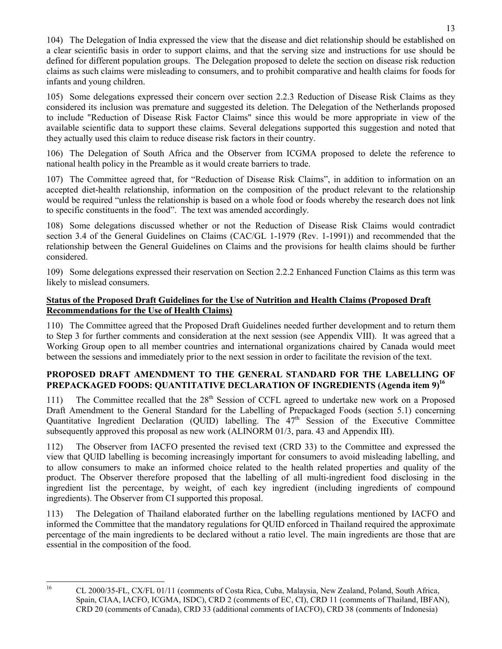104) The Delegation of India expressed the view that the disease and diet relationship should be established on a clear scientific basis in order to support claims, and that the serving size and instructions for use should be defined for different population groups. The Delegation proposed to delete the section on disease risk reduction claims as such claims were misleading to consumers, and to prohibit comparative and health claims for foods for infants and young children.

105) Some delegations expressed their concern over section 2.2.3 Reduction of Disease Risk Claims as they considered its inclusion was premature and suggested its deletion. The Delegation of the Netherlands proposed to include "Reduction of Disease Risk Factor Claims" since this would be more appropriate in view of the available scientific data to support these claims. Several delegations supported this suggestion and noted that they actually used this claim to reduce disease risk factors in their country.

106) The Delegation of South Africa and the Observer from ICGMA proposed to delete the reference to national health policy in the Preamble as it would create barriers to trade.

107) The Committee agreed that, for "Reduction of Disease Risk Claims", in addition to information on an accepted diet-health relationship, information on the composition of the product relevant to the relationship would be required "unless the relationship is based on a whole food or foods whereby the research does not link to specific constituents in the food". The text was amended accordingly.

108) Some delegations discussed whether or not the Reduction of Disease Risk Claims would contradict section 3.4 of the General Guidelines on Claims (CAC/GL 1-1979 (Rev. 1-1991)) and recommended that the relationship between the General Guidelines on Claims and the provisions for health claims should be further considered.

109) Some delegations expressed their reservation on Section 2.2.2 Enhanced Function Claims as this term was likely to mislead consumers.

## **Status of the Proposed Draft Guidelines for the Use of Nutrition and Health Claims (Proposed Draft Recommendations for the Use of Health Claims)**

110) The Committee agreed that the Proposed Draft Guidelines needed further development and to return them to Step 3 for further comments and consideration at the next session (see Appendix VIII). It was agreed that a Working Group open to all member countries and international organizations chaired by Canada would meet between the sessions and immediately prior to the next session in order to facilitate the revision of the text.

## **PROPOSED DRAFT AMENDMENT TO THE GENERAL STANDARD FOR THE LABELLING OF** PREPACKAGED FOODS: QUANTITATIVE DECLARATION OF INGREDIENTS (Agenda item 9)<sup>16</sup>

111) The Committee recalled that the 28<sup>th</sup> Session of CCFL agreed to undertake new work on a Proposed Draft Amendment to the General Standard for the Labelling of Prepackaged Foods (section 5.1) concerning Quantitative Ingredient Declaration (QUID) labelling. The 47<sup>th</sup> Session of the Executive Committee subsequently approved this proposal as new work (ALINORM 01/3, para. 43 and Appendix III).

112) The Observer from IACFO presented the revised text (CRD 33) to the Committee and expressed the view that QUID labelling is becoming increasingly important for consumers to avoid misleading labelling, and to allow consumers to make an informed choice related to the health related properties and quality of the product. The Observer therefore proposed that the labelling of all multi-ingredient food disclosing in the ingredient list the percentage, by weight, of each key ingredient (including ingredients of compound ingredients). The Observer from CI supported this proposal.

113) The Delegation of Thailand elaborated further on the labelling regulations mentioned by IACFO and informed the Committee that the mandatory regulations for QUID enforced in Thailand required the approximate percentage of the main ingredients to be declared without a ratio level. The main ingredients are those that are essential in the composition of the food.

16

<sup>16</sup> CL 2000/35-FL, CX/FL 01/11 (comments of Costa Rica, Cuba, Malaysia, New Zealand, Poland, South Africa, Spain, CIAA, IACFO, ICGMA, ISDC), CRD 2 (comments of EC, CI), CRD 11 (comments of Thailand, IBFAN), CRD 20 (comments of Canada), CRD 33 (additional comments of IACFO), CRD 38 (comments of Indonesia)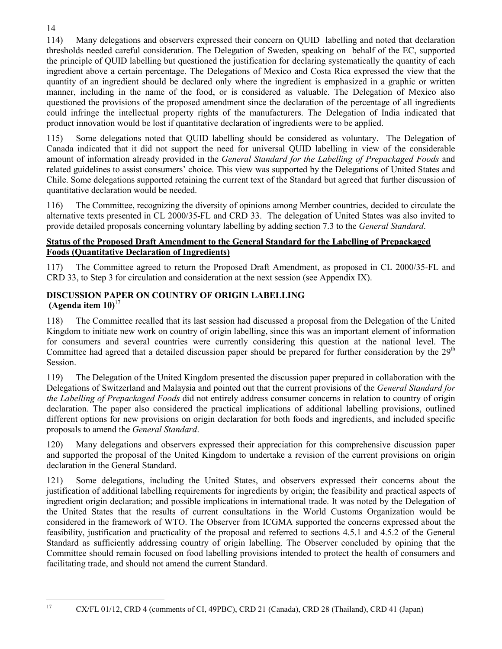114) Many delegations and observers expressed their concern on QUID labelling and noted that declaration thresholds needed careful consideration. The Delegation of Sweden, speaking on behalf of the EC, supported the principle of QUID labelling but questioned the justification for declaring systematically the quantity of each ingredient above a certain percentage. The Delegations of Mexico and Costa Rica expressed the view that the quantity of an ingredient should be declared only where the ingredient is emphasized in a graphic or written manner, including in the name of the food, or is considered as valuable. The Delegation of Mexico also questioned the provisions of the proposed amendment since the declaration of the percentage of all ingredients could infringe the intellectual property rights of the manufacturers. The Delegation of India indicated that product innovation would be lost if quantitative declaration of ingredients were to be applied.

115) Some delegations noted that QUID labelling should be considered as voluntary. The Delegation of Canada indicated that it did not support the need for universal QUID labelling in view of the considerable amount of information already provided in the *General Standard for the Labelling of Prepackaged Foods* and related guidelines to assist consumers' choice. This view was supported by the Delegations of United States and Chile. Some delegations supported retaining the current text of the Standard but agreed that further discussion of quantitative declaration would be needed.

116) The Committee, recognizing the diversity of opinions among Member countries, decided to circulate the alternative texts presented in CL 2000/35-FL and CRD 33. The delegation of United States was also invited to provide detailed proposals concerning voluntary labelling by adding section 7.3 to the *General Standard*.

## **Status of the Proposed Draft Amendment to the General Standard for the Labelling of Prepackaged Foods (Quantitative Declaration of Ingredients)**

117) The Committee agreed to return the Proposed Draft Amendment, as proposed in CL 2000/35-FL and CRD 33, to Step 3 for circulation and consideration at the next session (see Appendix IX).

## **DISCUSSION PAPER ON COUNTRY OF ORIGIN LABELLING (Agenda item 10)**<sup>17</sup>

118) The Committee recalled that its last session had discussed a proposal from the Delegation of the United Kingdom to initiate new work on country of origin labelling, since this was an important element of information for consumers and several countries were currently considering this question at the national level. The Committee had agreed that a detailed discussion paper should be prepared for further consideration by the  $29<sup>th</sup>$ Session.

119) The Delegation of the United Kingdom presented the discussion paper prepared in collaboration with the Delegations of Switzerland and Malaysia and pointed out that the current provisions of the *General Standard for the Labelling of Prepackaged Foods* did not entirely address consumer concerns in relation to country of origin declaration. The paper also considered the practical implications of additional labelling provisions, outlined different options for new provisions on origin declaration for both foods and ingredients, and included specific proposals to amend the *General Standard*.

120) Many delegations and observers expressed their appreciation for this comprehensive discussion paper and supported the proposal of the United Kingdom to undertake a revision of the current provisions on origin declaration in the General Standard.

121) Some delegations, including the United States, and observers expressed their concerns about the justification of additional labelling requirements for ingredients by origin; the feasibility and practical aspects of ingredient origin declaration; and possible implications in international trade. It was noted by the Delegation of the United States that the results of current consultations in the World Customs Organization would be considered in the framework of WTO. The Observer from ICGMA supported the concerns expressed about the feasibility, justification and practicality of the proposal and referred to sections 4.5.1 and 4.5.2 of the General Standard as sufficiently addressing country of origin labelling. The Observer concluded by opining that the Committee should remain focused on food labelling provisions intended to protect the health of consumers and facilitating trade, and should not amend the current Standard.

17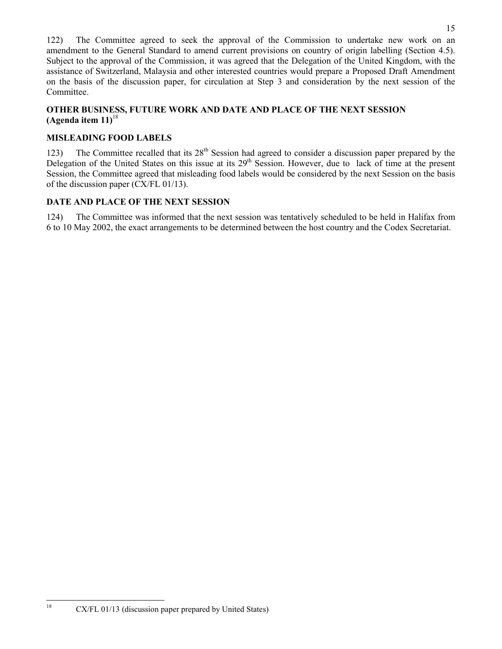122) The Committee agreed to seek the approval of the Commission to undertake new work on an amendment to the General Standard to amend current provisions on country of origin labelling (Section 4.5). Subject to the approval of the Commission, it was agreed that the Delegation of the United Kingdom, with the assistance of Switzerland, Malaysia and other interested countries would prepare a Proposed Draft Amendment on the basis of the discussion paper, for circulation at Step 3 and consideration by the next session of the Committee.

## **OTHER BUSINESS, FUTURE WORK AND DATE AND PLACE OF THE NEXT SESSION (Agenda item 11)**<sup>18</sup>

## **MISLEADING FOOD LABELS**

123) The Committee recalled that its  $28<sup>th</sup>$  Session had agreed to consider a discussion paper prepared by the Delegation of the United States on this issue at its 29<sup>th</sup> Session. However, due to lack of time at the present Session, the Committee agreed that misleading food labels would be considered by the next Session on the basis of the discussion paper (CX/FL 01/13).

## **DATE AND PLACE OF THE NEXT SESSION**

124) The Committee was informed that the next session was tentatively scheduled to be held in Halifax from 6 to 10 May 2002, the exact arrangements to be determined between the host country and the Codex Secretariat.

 $CX/FL$  01/13 (discussion paper prepared by United States)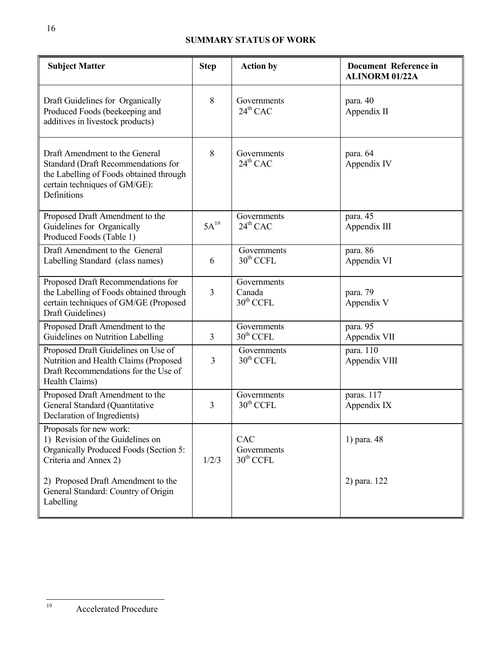## **SUMMARY STATUS OF WORK**

| <b>Subject Matter</b>                                                                                                                                            | <b>Step</b>    | <b>Action by</b>                               | <b>Document Reference in</b><br><b>ALINORM 01/22A</b> |
|------------------------------------------------------------------------------------------------------------------------------------------------------------------|----------------|------------------------------------------------|-------------------------------------------------------|
| Draft Guidelines for Organically<br>Produced Foods (beekeeping and<br>additives in livestock products)                                                           | 8              | Governments<br>$24^{th}$ CAC                   | para. 40<br>Appendix II                               |
| Draft Amendment to the General<br>Standard (Draft Recommendations for<br>the Labelling of Foods obtained through<br>certain techniques of GM/GE):<br>Definitions | 8              | Governments<br>$24^{th}$ CAC                   | para. 64<br>Appendix IV                               |
| Proposed Draft Amendment to the<br>Guidelines for Organically<br>Produced Foods (Table 1)                                                                        | $5A^{19}$      | Governments<br>$24^{th}$ CAC                   | para. 45<br>Appendix III                              |
| Draft Amendment to the General<br>Labelling Standard (class names)                                                                                               | 6              | Governments<br>$30^{\text{th}}$ CCFL           | para. 86<br>Appendix VI                               |
| Proposed Draft Recommendations for<br>the Labelling of Foods obtained through<br>certain techniques of GM/GE (Proposed<br>Draft Guidelines)                      | 3              | Governments<br>Canada<br>$30^{\text{th}}$ CCFL | para. 79<br>Appendix V                                |
| Proposed Draft Amendment to the<br>Guidelines on Nutrition Labelling                                                                                             | $\overline{3}$ | Governments<br>$30th$ CCFL                     | para. 95<br>Appendix VII                              |
| Proposed Draft Guidelines on Use of<br>Nutrition and Health Claims (Proposed<br>Draft Recommendations for the Use of<br>Health Claims)                           | 3              | Governments<br>$30th$ CCFL                     | para. 110<br>Appendix VIII                            |
| Proposed Draft Amendment to the<br>General Standard (Quantitative<br>Declaration of Ingredients)                                                                 | $\overline{3}$ | Governments<br>$30th$ CCFL                     | paras. 117<br>Appendix IX                             |
| Proposals for new work:<br>1) Revision of the Guidelines on<br>Organically Produced Foods (Section 5:<br>Criteria and Annex 2)                                   | 1/2/3          | CAC<br>Governments<br>$30th$ CCFL              | 1) para. 48                                           |
| 2) Proposed Draft Amendment to the<br>General Standard: Country of Origin<br>Labelling                                                                           |                |                                                | 2) para. 122                                          |

 $19$ 

Accelerated Procedure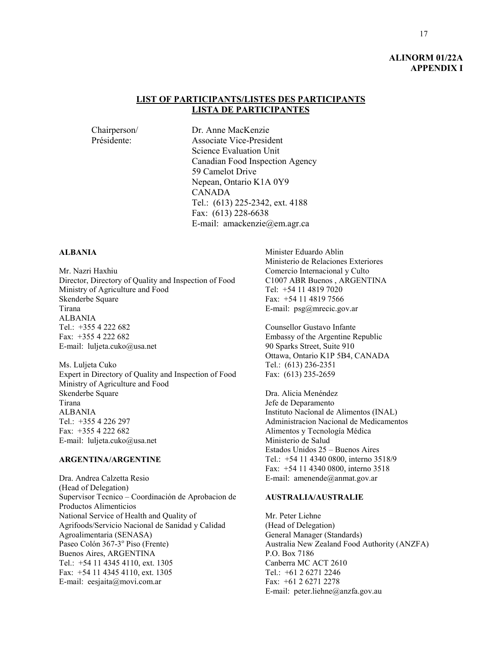#### **ALINORM 01/22A APPENDIX I**

#### **LIST OF PARTICIPANTS/LISTES DES PARTICIPANTS LISTA DE PARTICIPANTES**

Chairperson/ Dr. Anne MacKenzie<br>Présidente: Associate Vice-Presidente Associate Vice-President Science Evaluation Unit Canadian Food Inspection Agency 59 Camelot Drive Nepean, Ontario K1A 0Y9 CANADA Tel.: (613) 225-2342, ext. 4188 Fax: (613) 228-6638 E-mail: amackenzie@em.agr.ca

#### **ALBANIA**

Mr. Nazri Haxhiu Director, Directory of Quality and Inspection of Food Ministry of Agriculture and Food Skenderbe Square Tirana ALBANIA Tel.:  $+3554222682$ Fax: +355 4 222 682 E-mail: luljeta.cuko@usa.net

Ms. Luljeta Cuko Expert in Directory of Quality and Inspection of Food Ministry of Agriculture and Food Skenderbe Square Tirana ALBANIA Tel.: +355 4 226 297 Fax: +355 4 222 682 E-mail: luljeta.cuko@usa.net

#### **ARGENTINA/ARGENTINE**

Dra. Andrea Calzetta Resio (Head of Delegation) Supervisor Tecnico – Coordinación de Aprobacion de Productos Alimenticios National Service of Health and Quality of Agrifoods/Servicio Nacional de Sanidad y Calidad Agroalimentaria (SENASA) Paseo Colón 367-3º Piso (Frente) Buenos Aires, ARGENTINA Tel.: +54 11 4345 4110, ext. 1305 Fax: +54 11 4345 4110, ext. 1305 E-mail: eesjaita@movi.com.ar

Minister Eduardo Ablin Ministerio de Relaciones Exteriores Comercio Internacional y Culto C1007 ABR Buenos , ARGENTINA Tel: +54 11 4819 7020 Fax: +54 11 4819 7566 E-mail: psg@mrecic.gov.ar

Counsellor Gustavo Infante Embassy of the Argentine Republic 90 Sparks Street, Suite 910 Ottawa, Ontario K1P 5B4, CANADA Tel.: (613) 236-2351 Fax: (613) 235-2659

Dra. Alicia Menéndez Jefe de Deparamento Instituto Nacîonal de Alimentos (INAL) Administracion Nacional de Medicamentos Alimentos y Tecnología Médica Ministerio de Salud Estados Unidos 25 – Buenos Aires Tel.: +54 11 4340 0800, interno 3518/9 Fax: +54 11 4340 0800, interno 3518 E-mail: amenende@anmat.gov.ar

#### **AUSTRALIA/AUSTRALIE**

Mr. Peter Liehne (Head of Delegation) General Manager (Standards) Australia New Zealand Food Authority (ANZFA) P.O. Box 7186 Canberra MC ACT 2610 Tel.: +61 2 6271 2246 Fax: +61 2 6271 2278 E-mail: peter.liehne@anzfa.gov.au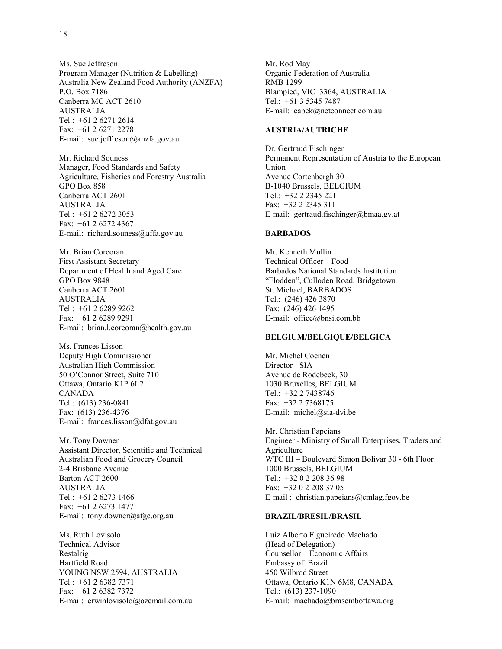Ms. Sue Jeffreson Program Manager (Nutrition & Labelling) Australia New Zealand Food Authority (ANZFA) P.O. Box 7186 Canberra MC ACT 2610 AUSTRALIA Tel.: +61 2 6271 2614 Fax: +61 2 6271 2278 E-mail: sue.jeffreson@anzfa.gov.au

Mr. Richard Souness Manager, Food Standards and Safety Agriculture, Fisheries and Forestry Australia GPO Box 858 Canberra ACT 2601 AUSTRALIA Tel.: +61 2 6272 3053 Fax: +61 2 6272 4367 E-mail: richard.souness@affa.gov.au

Mr. Brian Corcoran First Assistant Secretary Department of Health and Aged Care GPO Box 9848 Canberra ACT 2601 AUSTRALIA Tel.: +61 2 6289 9262 Fax: +61 2 6289 9291 E-mail: brian.l.corcoran@health.gov.au

Ms. Frances Lisson Deputy High Commissioner Australian High Commission 50 O'Connor Street, Suite 710 Ottawa, Ontario K1P 6L2 CANADA Tel.: (613) 236-0841 Fax: (613) 236-4376 E-mail: frances.lisson@dfat.gov.au

Mr. Tony Downer Assistant Director, Scientific and Technical Australian Food and Grocery Council 2-4 Brisbane Avenue Barton ACT 2600 AUSTRALIA Tel.: +61 2 6273 1466 Fax: +61 2 6273 1477 E-mail: tony.downer@afgc.org.au

Ms. Ruth Lovisolo Technical Advisor Restalrig Hartfield Road YOUNG NSW 2594, AUSTRALIA Tel.: +61 2 6382 7371 Fax: +61 2 6382 7372 E-mail: erwinlovisolo@ozemail.com.au

Mr. Rod May Organic Federation of Australia RMB 1299 Blampied, VIC 3364, AUSTRALIA Tel.: +61 3 5345 7487 E-mail: capck@netconnect.com.au

#### **AUSTRIA/AUTRICHE**

Dr. Gertraud Fischinger Permanent Representation of Austria to the European Union Avenue Cortenbergh 30 B-1040 Brussels, BELGIUM Tel.: +32 2 2345 221 Fax: +32 2 2345 311 E-mail: gertraud.fischinger@bmaa.gv.at

#### **BARBADOS**

Mr. Kenneth Mullin Technical Officer – Food Barbados National Standards Institution "Flodden", Culloden Road, Bridgetown St. Michael, BARBADOS Tel.: (246) 426 3870 Fax: (246) 426 1495 E-mail: office@bnsi.com.bb

#### **BELGIUM/BELGIQUE/BELGICA**

Mr. Michel Coenen Director - SIA Avenue de Rodebeek, 30 1030 Bruxelles, BELGIUM Tel.: +32 2 7438746 Fax: +32 2 7368175 E-mail: michel@sia-dvi.be

Mr. Christian Papeians Engineer - Ministry of Small Enterprises, Traders and Agriculture WTC III – Boulevard Simon Bolivar 30 - 6th Floor 1000 Brussels, BELGIUM Tel.: +32 0 2 208 36 98 Fax: +32 0 2 208 37 05 E-mail : christian.papeians@cmlag.fgov.be

#### **BRAZIL/BRESIL/BRASIL**

Luiz Alberto Figueiredo Machado (Head of Delegation) Counsellor – Economic Affairs Embassy of Brazil 450 Wilbrod Street Ottawa, Ontario K1N 6M8, CANADA Tel.: (613) 237-1090 E-mail: machado@brasembottawa.org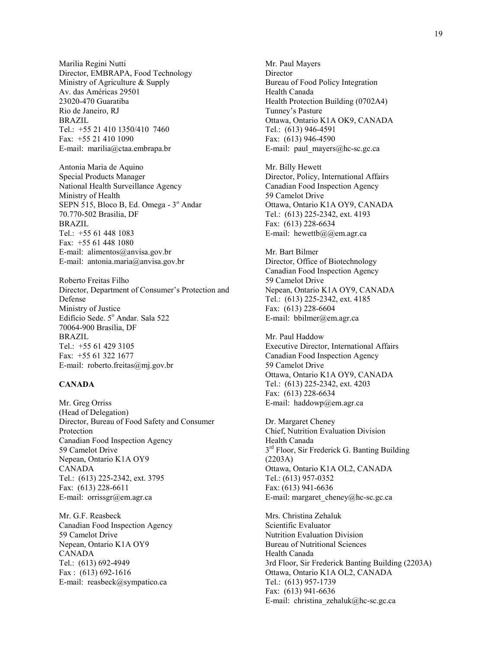Marilia Regini Nutti Director, EMBRAPA, Food Technology Ministry of Agriculture & Supply Av. das Américas 29501 23020-470 Guaratiba Rio de Janeiro, RJ BRAZIL Tel.: +55 21 410 1350/410 7460 Fax: +55 21 410 1090 E-mail: marilia@ctaa.embrapa.br

Antonia Maria de Aquino Special Products Manager National Health Surveillance Agency Ministry of Health SEPN 515, Bloco B, Ed. Omega - 3º Andar 70.770-502 Brasilia, DF BRAZIL Tel.: +55 61 448 1083 Fax: +55 61 448 1080 E-mail: alimentos@anvisa.gov.br E-mail: antonia.maria@anvisa.gov.br

Roberto Freitas Filho Director, Department of Consumer's Protection and Defense Ministry of Justice Edifício Sede. 5º Andar. Sala 522 70064-900 Brasília, DF BRAZIL Tel.: +55 61 429 3105 Fax: +55 61 322 1677 E-mail: roberto.freitas@mj.gov.br

#### **CANADA**

Mr. Greg Orriss (Head of Delegation) Director, Bureau of Food Safety and Consumer Protection Canadian Food Inspection Agency 59 Camelot Drive Nepean, Ontario K1A OY9 CANADA Tel.: (613) 225-2342, ext. 3795 Fax: (613) 228-6611 E-mail: orrissgr@em.agr.ca

Mr. G.F. Reasbeck Canadian Food Inspection Agency 59 Camelot Drive Nepean, Ontario K1A OY9 CANADA Tel.: (613) 692-4949 Fax : (613) 692-1616 E-mail: reasbeck@sympatico.ca

Mr. Paul Mayers Director Bureau of Food Policy Integration Health Canada Health Protection Building (0702A4) Tunney's Pasture Ottawa, Ontario K1A OK9, CANADA Tel.: (613) 946-4591 Fax: (613) 946-4590 E-mail: paul mayers@hc-sc.gc.ca

Mr. Billy Hewett Director, Policy, International Affairs Canadian Food Inspection Agency 59 Camelot Drive Ottawa, Ontario K1A OY9, CANADA Tel.: (613) 225-2342, ext. 4193 Fax: (613) 228-6634 E-mail: hewettb $@@@em.agr.ca$ 

Mr. Bart Bilmer Director, Office of Biotechnology Canadian Food Inspection Agency 59 Camelot Drive Nepean, Ontario K1A OY9, CANADA Tel.: (613) 225-2342, ext. 4185 Fax: (613) 228-6604 E-mail: bbilmer@em.agr.ca

Mr. Paul Haddow Executive Director, International Affairs Canadian Food Inspection Agency 59 Camelot Drive Ottawa, Ontario K1A OY9, CANADA Tel.: (613) 225-2342, ext. 4203 Fax: (613) 228-6634 E-mail: haddowp@em.agr.ca

Dr. Margaret Cheney Chief, Nutrition Evaluation Division Health Canada 3<sup>rd</sup> Floor, Sir Frederick G. Banting Building (2203A) Ottawa, Ontario K1A OL2, CANADA Tel.: (613) 957-0352 Fax: (613) 941-6636 E-mail: margaret\_cheney@hc-sc.gc.ca

Mrs. Christina Zehaluk Scientific Evaluator Nutrition Evaluation Division Bureau of Nutritional Sciences Health Canada 3rd Floor, Sir Frederick Banting Building (2203A) Ottawa, Ontario K1A OL2, CANADA Tel.: (613) 957-1739 Fax: (613) 941-6636 E-mail: christina zehaluk@hc-sc.gc.ca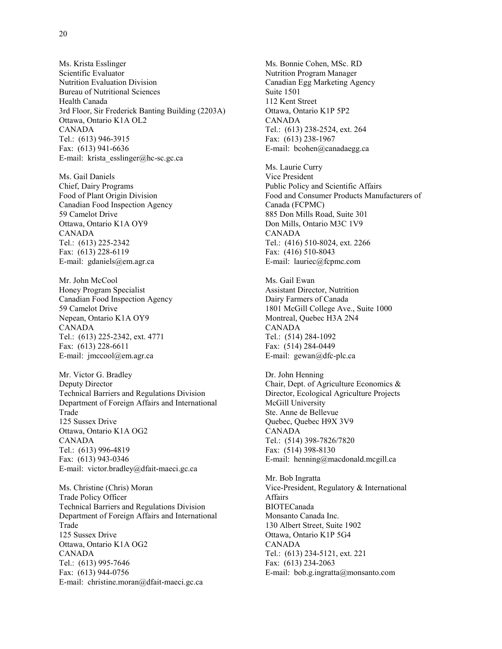Ms. Krista Esslinger Scientific Evaluator Nutrition Evaluation Division Bureau of Nutritional Sciences Health Canada 3rd Floor, Sir Frederick Banting Building (2203A) Ottawa, Ontario K1A OL2 CANADA Tel.: (613) 946-3915 Fax: (613) 941-6636 E-mail: krista\_esslinger@hc-sc.gc.ca

Ms. Gail Daniels Chief, Dairy Programs Food of Plant Origin Division Canadian Food Inspection Agency 59 Camelot Drive Ottawa, Ontario K1A OY9 CANADA Tel.: (613) 225-2342 Fax: (613) 228-6119 E-mail: gdaniels@em.agr.ca

Mr. John McCool Honey Program Specialist Canadian Food Inspection Agency 59 Camelot Drive Nepean, Ontario K1A OY9 CANADA Tel.: (613) 225-2342, ext. 4771 Fax: (613) 228-6611 E-mail: jmccool@em.agr.ca

Mr. Victor G. Bradley Deputy Director Technical Barriers and Regulations Division Department of Foreign Affairs and International Trade 125 Sussex Drive Ottawa, Ontario K1A OG2 CANADA Tel.: (613) 996-4819 Fax: (613) 943-0346 E-mail: victor.bradley@dfait-maeci.gc.ca

Ms. Christine (Chris) Moran Trade Policy Officer Technical Barriers and Regulations Division Department of Foreign Affairs and International Trade 125 Sussex Drive Ottawa, Ontario K1A OG2 CANADA Tel.: (613) 995-7646 Fax: (613) 944-0756 E-mail: christine.moran@dfait-maeci.gc.ca

Ms. Bonnie Cohen, MSc. RD Nutrition Program Manager Canadian Egg Marketing Agency Suite 1501 112 Kent Street Ottawa, Ontario K1P 5P2 CANADA Tel.: (613) 238-2524, ext. 264 Fax: (613) 238-1967 E-mail: bcohen@canadaegg.ca

Ms. Laurie Curry Vice President Public Policy and Scientific Affairs Food and Consumer Products Manufacturers of Canada (FCPMC) 885 Don Mills Road, Suite 301 Don Mills, Ontario M3C 1V9 CANADA Tel.: (416) 510-8024, ext. 2266 Fax: (416) 510-8043 E-mail: lauriec@fcpmc.com

Ms. Gail Ewan Assistant Director, Nutrition Dairy Farmers of Canada 1801 McGill College Ave., Suite 1000 Montreal, Quebec H3A 2N4 CANADA Tel.: (514) 284-1092 Fax: (514) 284-0449 E-mail: gewan@dfc-plc.ca

Dr. John Henning Chair, Dept. of Agriculture Economics & Director, Ecological Agriculture Projects McGill University Ste. Anne de Bellevue Quebec, Quebec H9X 3V9 CANADA Tel.: (514) 398-7826/7820 Fax: (514) 398-8130 E-mail: henning@macdonald.mcgill.ca

Mr. Bob Ingratta Vice-President, Regulatory & International Affairs BIOTECanada Monsanto Canada Inc. 130 Albert Street, Suite 1902 Ottawa, Ontario K1P 5G4 CANADA Tel.: (613) 234-5121, ext. 221 Fax: (613) 234-2063 E-mail: bob.g.ingratta@monsanto.com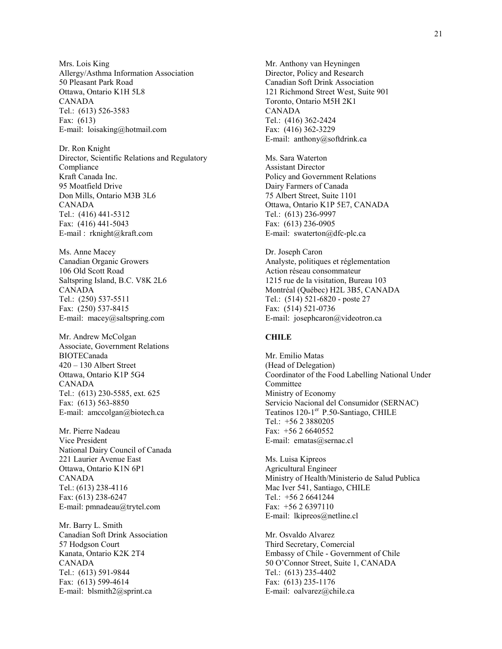Mrs. Lois King Allergy/Asthma Information Association 50 Pleasant Park Road Ottawa, Ontario K1H 5L8 CANADA Tel.: (613) 526-3583 Fax: (613) E-mail: loisaking@hotmail.com

Dr. Ron Knight Director, Scientific Relations and Regulatory Compliance Kraft Canada Inc. 95 Moatfield Drive Don Mills, Ontario M3B 3L6 CANADA Tel.: (416) 441-5312 Fax: (416) 441-5043 E-mail : rknight@kraft.com

Ms. Anne Macey Canadian Organic Growers 106 Old Scott Road Saltspring Island, B.C. V8K 2L6 CANADA Tel.: (250) 537-5511 Fax: (250) 537-8415 E-mail: macey@saltspring.com

Mr. Andrew McColgan Associate, Government Relations BIOTECanada 420 – 130 Albert Street Ottawa, Ontario K1P 5G4 CANADA Tel.: (613) 230-5585, ext. 625 Fax: (613) 563-8850 E-mail: amccolgan@biotech.ca

Mr. Pierre Nadeau Vice President National Dairy Council of Canada 221 Laurier Avenue East Ottawa, Ontario K1N 6P1 CANADA Tel.: (613) 238-4116 Fax: (613) 238-6247 E-mail: pmnadeau@trytel.com

Mr. Barry L. Smith Canadian Soft Drink Association 57 Hodgson Court Kanata, Ontario K2K 2T4 CANADA Tel.: (613) 591-9844 Fax: (613) 599-4614 E-mail: blsmith2@sprint.ca

Mr. Anthony van Heyningen Director, Policy and Research Canadian Soft Drink Association 121 Richmond Street West, Suite 901 Toronto, Ontario M5H 2K1 CANADA Tel.: (416) 362-2424 Fax: (416) 362-3229 E-mail: anthony@softdrink.ca

Ms. Sara Waterton Assistant Director Policy and Government Relations Dairy Farmers of Canada 75 Albert Street, Suite 1101 Ottawa, Ontario K1P 5E7, CANADA Tel.: (613) 236-9997 Fax: (613) 236-0905 E-mail: swaterton@dfc-plc.ca

Dr. Joseph Caron Analyste, politiques et réglementation Action réseau consommateur 1215 rue de la visitation, Bureau 103 Montréal (Québec) H2L 3B5, CANADA Tel.: (514) 521-6820 - poste 27 Fax: (514) 521-0736 E-mail: josephcaron@videotron.ca

#### **CHILE**

Mr. Emilio Matas (Head of Delegation) Coordinator of the Food Labelling National Under Committee Ministry of Economy Servicio Nacional del Consumidor (SERNAC) Teatinos 120-1<sup>er</sup> P.50-Santiago, CHILE Tel.: +56 2 3880205 Fax: +56 2 6640552 E-mail: ematas@sernac.cl

Ms. Luisa Kipreos Agricultural Engineer Ministry of Health/Ministerio de Salud Publica Mac Iver 541, Santiago, CHILE Tel.: +56 2 6641244 Fax: +56 2 6397110 E-mail: lkipreos@netline.cl

Mr. Osvaldo Alvarez Third Secretary, Comercial Embassy of Chile - Government of Chile 50 O'Connor Street, Suite 1, CANADA Tel.: (613) 235-4402 Fax: (613) 235-1176 E-mail: oalvarez@chile.ca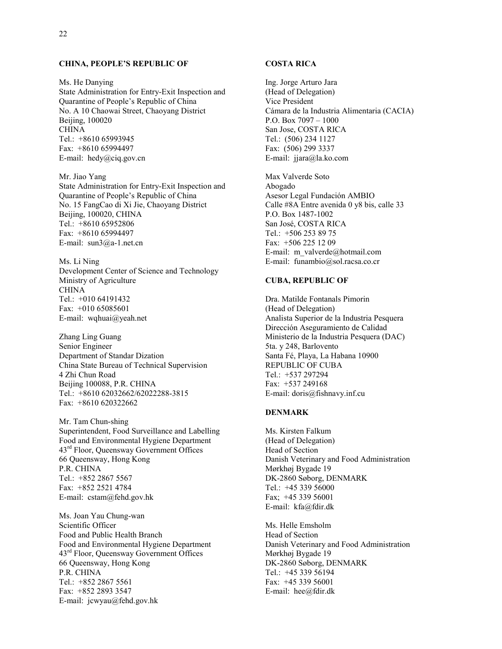#### **CHINA, PEOPLE'S REPUBLIC OF**

Ms. He Danying State Administration for Entry-Exit Inspection and Quarantine of People's Republic of China No. A 10 Chaowai Street, Chaoyang District Beijing, 100020 CHINA Tel.: +8610 65993945 Fax: +8610 65994497 E-mail: hedy@ciq.gov.cn

Mr. Jiao Yang State Administration for Entry-Exit Inspection and Quarantine of People's Republic of China No. 15 FangCao di Xi Jie, Chaoyang District Beijing, 100020, CHINA Tel.: +8610 65952806 Fax: +8610 65994497 E-mail: sun3@a-1.net.cn

Ms. Li Ning Development Center of Science and Technology Ministry of Agriculture CHINA Tel.: +010 64191432 Fax: +010 65085601 E-mail: wqhuai@yeah.net

Zhang Ling Guang Senior Engineer Department of Standar Dization China State Bureau of Technical Supervision 4 Zhi Chun Road Beijing 100088, P.R. CHINA Tel.: +8610 62032662/62022288-3815 Fax: +8610 620322662

Mr. Tam Chun-shing Superintendent, Food Surveillance and Labelling Food and Environmental Hygiene Department 43rd Floor, Queensway Government Offices 66 Queensway, Hong Kong P.R. CHINA Tel.: +852 2867 5567 Fax: +852 2521 4784 E-mail: cstam@fehd.gov.hk

Ms. Joan Yau Chung-wan Scientific Officer Food and Public Health Branch Food and Environmental Hygiene Department 43<sup>rd</sup> Floor, Queensway Government Offices 66 Queensway, Hong Kong P.R. CHINA Tel.: +852 2867 5561 Fax: +852 2893 3547 E-mail: jcwyau@fehd.gov.hk

#### **COSTA RICA**

Ing. Jorge Arturo Jara (Head of Delegation) Vice President Cámara de la Industria Alimentaria (CACIA) P.O. Box 7097 – 1000 San Jose, COSTA RICA Tel.: (506) 234 1127 Fax: (506) 299 3337 E-mail: jjara@la.ko.com

Max Valverde Soto Abogado Asesor Legal Fundación AMBIO Calle #8A Entre avenida 0 y8 bis, calle 33 P.O. Box 1487-1002 San José, COSTA RICA Tel.: +506 253 89 75 Fax: +506 225 12 09 E-mail: m\_valverde@hotmail.com E-mail: funambio@sol.racsa.co.cr

#### **CUBA, REPUBLIC OF**

Dra. Matilde Fontanals Pimorin (Head of Delegation) Analista Superior de la Industria Pesquera Dirección Aseguramiento de Calidad Ministerio de la Industria Pesquera (DAC) 5ta. y 248, Barlovento Santa Fé, Playa, La Habana 10900 REPUBLIC OF CUBA Tel.: +537 297294 Fax: +537 249168 E-mail: doris@fishnavy.inf.cu

#### **DENMARK**

Ms. Kirsten Falkum (Head of Delegation) Head of Section Danish Veterinary and Food Administration Mørkhøj Bygade 19 DK-2860 Søborg, DENMARK Tel.: +45 339 56000 Fax; +45 339 56001 E-mail: kfa@fdir.dk

Ms. Helle Emsholm Head of Section Danish Veterinary and Food Administration Mørkhøj Bygade 19 DK-2860 Søborg, DENMARK Tel.: +45 339 56194 Fax: +45 339 56001 E-mail: hee@fdir.dk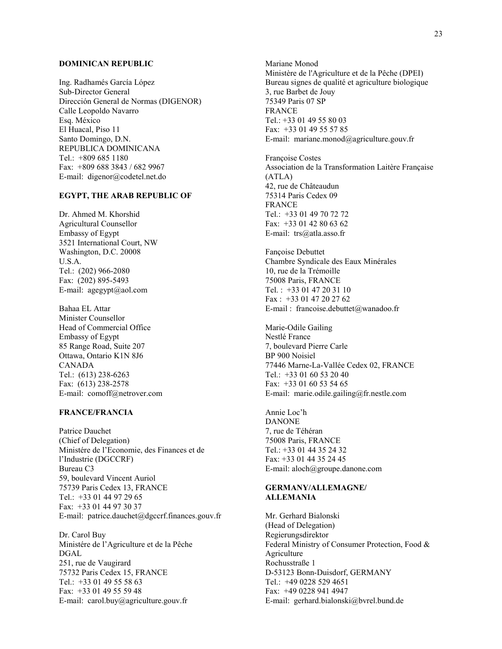#### **DOMINICAN REPUBLIC**

Ing. Radhamés García López Sub-Director General Dirección General de Normas (DIGENOR) Calle Leopoldo Navarro Esq. México El Huacal, Piso 11 Santo Domingo, D.N. REPUBLICA DOMINICANA Tel.: +809 685 1180 Fax: +809 688 3843 / 682 9967 E-mail: digenor@codetel.net.do

#### **EGYPT, THE ARAB REPUBLIC OF**

Dr. Ahmed M. Khorshid Agricultural Counsellor Embassy of Egypt 3521 International Court, NW Washington, D.C. 20008 U.S.A. Tel.: (202) 966-2080 Fax: (202) 895-5493 E-mail: agegypt@aol.com

Bahaa EL Attar Minister Counsellor Head of Commercial Office Embassy of Egypt 85 Range Road, Suite 207 Ottawa, Ontario K1N 8J6 CANADA Tel.: (613) 238-6263 Fax: (613) 238-2578 E-mail: comoff@netrover.com

#### **FRANCE/FRANCIA**

Patrice Dauchet (Chief of Delegation) Ministére de l'Economie, des Finances et de l'Industrie (DGCCRF) Bureau C3 59, boulevard Vincent Auriol 75739 Paris Cedex 13, FRANCE Tel.: +33 01 44 97 29 65 Fax: +33 01 44 97 30 37 E-mail: patrice.dauchet@dgccrf.finances.gouv.fr

Dr. Carol Buy Ministére de l'Agriculture et de la Pêche DGAL 251, rue de Vaugirard 75732 Paris Cedex 15, FRANCE Tel.: +33 01 49 55 58 63 Fax: +33 01 49 55 59 48 E-mail: carol.buy@agriculture.gouv.fr

Mariane Monod Ministère de l'Agriculture et de la Pêche (DPEI) Bureau signes de qualité et agriculture biologique 3, rue Barbet de Jouy 75349 Paris 07 SP FRANCE Tel.: +33 01 49 55 80 03 Fax: +33 01 49 55 57 85 E-mail: mariane.monod@agriculture.gouv.fr

Françoise Costes Association de la Transformation Laitère Française (ATLA) 42, rue de Châteaudun 75314 Paris Cedex 09 FRANCE Tel.: +33 01 49 70 72 72 Fax: +33 01 42 80 63 62 E-mail: trs@atla.asso.fr

Fançoise Debuttet Chambre Syndicale des Eaux Minérales 10, rue de la Trémoille 75008 Paris, FRANCE Tel. : +33 01 47 20 31 10 Fax : +33 01 47 20 27 62 E-mail : francoise.debuttet@wanadoo.fr

Marie-Odile Gailing Nestlé France 7, boulevard Pierre Carle BP 900 Noisiel 77446 Marne-La-Vallée Cedex 02, FRANCE Tel.: +33 01 60 53 20 40 Fax: +33 01 60 53 54 65 E-mail: marie.odile.gailing@fr.nestle.com

Annie Loc'h DANONE 7, rue de Téhéran 75008 Paris, FRANCE Tel.: +33 01 44 35 24 32 Fax: +33 01 44 35 24 45 E-mail: aloch@groupe.danone.com

#### **GERMANY/ALLEMAGNE/ ALLEMANIA**

Mr. Gerhard Bialonski (Head of Delegation) Regierungsdirektor Federal Ministry of Consumer Protection, Food & Agriculture Rochusstraße 1 D-53123 Bonn-Duisdorf, GERMANY Tel.: +49 0228 529 4651 Fax: +49 0228 941 4947 E-mail: gerhard.bialonski@bvrel.bund.de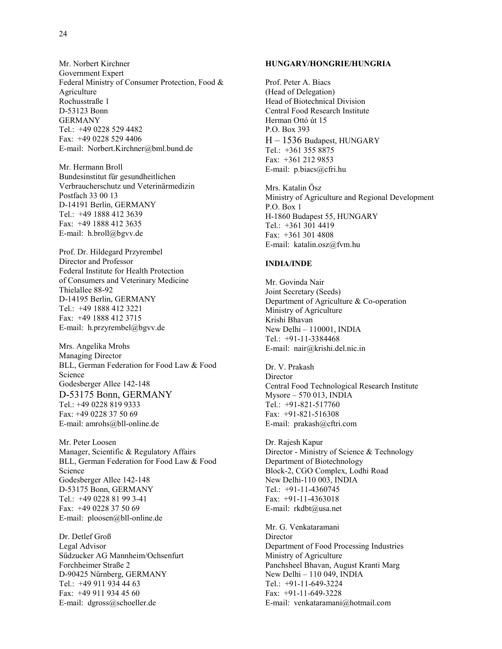Mr. Norbert Kirchner Government Expert Federal Ministry of Consumer Protection, Food & Agriculture Rochusstraße 1 D-53123 Bonn GERMANY Tel.: +49 0228 529 4482 Fax: +49 0228 529 4406 E-mail: Norbert.Kirchner@bml.bund.de

Mr. Hermann Broll Bundesinstitut für gesundheitlichen Verbraucherschutz und Veterinärmedizin Postfach 33 00 13 D-14191 Berlin, GERMANY Tel.: +49 1888 412 3639 Fax: +49 1888 412 3635 E-mail: h.broll@bgvv.de

Prof. Dr. Hildegard Przyrembel Director and Professor Federal Institute for Health Protection of Consumers and Veterinary Medicine Thielallee 88-92 D-14195 Berlin, GERMANY Tel.: +49 1888 412 3221 Fax: +49 1888 412 3715 E-mail: h.przyrembel@bgvv.de

Mrs. Angelika Mrohs Managing Director BLL, German Federation for Food Law & Food Science Godesberger Allee 142-148 D-53175 Bonn, GERMANY Tel.: +49 0228 819 9333 Fax: +49 0228 37 50 69 E-mail: amrohs@bll-online.de

Mr. Peter Loosen Manager, Scientific & Regulatory Affairs BLL, German Federation for Food Law & Food Science Godesberger Allee 142-148 D-53175 Bonn, GERMANY Tel.: +49 0228 81 99 3-41 Fax: +49 0228 37 50 69 E-mail: ploosen@bll-online.de

Dr. Detlef Groß Legal Advisor Sűdzucker AG Mannheim/Ochsenfurt Forchheimer Straße 2 D-90425 Nűrnberg, GERMANY Tel.: +49 911 934 44 63 Fax: +49 911 934 45 60 E-mail: dgross@schoeller.de

#### **HUNGARY/HONGRIE/HUNGRIA**

Prof. Peter A. Biacs (Head of Delegation) Head of Biotechnical Division Central Food Research Institute Herman Ottó út 15 P.O. Box 393 H – 1536 Budapest, HUNGARY Tel.: +361 355 8875 Fax: +361 212 9853 E-mail: p.biacs@cfri.hu

Mrs. Katalin Ösz Ministry of Agriculture and Regional Development P.O. Box 1 H-1860 Budapest 55, HUNGARY Tel.: +361 301 4419 Fax: +361 301 4808 E-mail: katalin.osz@fvm.hu

#### **INDIA/INDE**

Mr. Govinda Nair Joint Secretary (Seeds) Department of Agriculture & Co-operation Ministry of Agriculture Krishi Bhavan New Delhi – 110001, INDIA Tel.: +91-11-3384468 E-mail: nair@krishi.del.nic.in

Dr. V. Prakash Director Central Food Technological Research Institute Mysore – 570 013, INDIA Tel.: +91-821-517760 Fax: +91-821-516308 E-mail: prakash@cftri.com

Dr. Rajesh Kapur Director - Ministry of Science & Technology Department of Biotechnology Block-2, CGO Complex, Lodhi Road New Delhi-110 003, INDIA Tel.: +91-11-4360745 Fax: +91-11-4363018 E-mail: rkdbt@usa.net

Mr. G. Venkataramani Director Department of Food Processing Industries Ministry of Agriculture Panchsheel Bhavan, August Kranti Marg New Delhi – 110 049, INDIA Tel.: +91-11-649-3224 Fax: +91-11-649-3228 E-mail: venkataramani@hotmail.com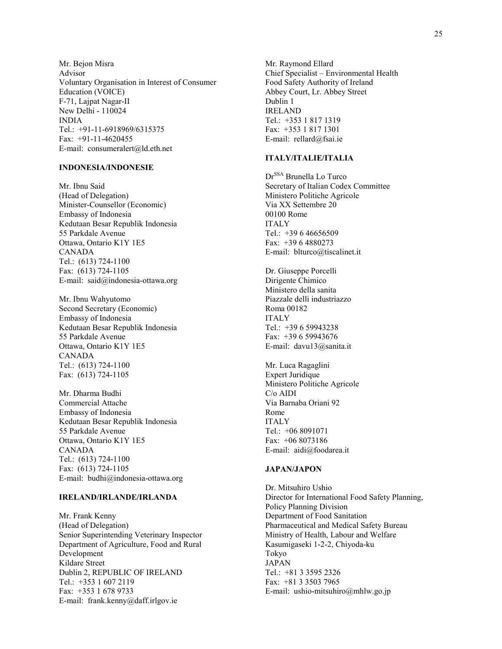Mr. Bejon Misra Advisor Voluntary Organisation in Interest of Consumer Education (VOICE) F-71, Lajpat Nagar-II New Delhi - 110024 INDIA Tel.: +91-11-6918969/6315375 Fax: +91-11-4620455 E-mail: consumeralert@ld.eth.net

#### **INDONESIA/INDONESIE**

Mr. Ibnu Said (Head of Delegation) Minister-Counsellor (Economic) Embassy of Indonesia Kedutaan Besar Republik Indonesia 55 Parkdale Avenue Ottawa, Ontario K1Y 1E5 CANADA Tel.: (613) 724-1100 Fax: (613) 724-1105 E-mail: said@indonesia-ottawa.org

Mr. Ibnu Wahyutomo Second Secretary (Economic) Embassy of Indonesia Kedutaan Besar Republik Indonesia 55 Parkdale Avenue Ottawa, Ontario K1Y 1E5 CANADA Tel.: (613) 724-1100 Fax: (613) 724-1105

Mr. Dharma Budhi Commercial Attache Embassy of Indonesia Kedutaan Besar Republik Indonesia 55 Parkdale Avenue Ottawa, Ontario K1Y 1E5 CANADA Tel.: (613) 724-1100 Fax: (613) 724-1105 E-mail: budhi@indonesia-ottawa.org

#### **IRELAND/IRLANDE/IRLANDA**

Mr. Frank Kenny (Head of Delegation) Senior Superintending Veterinary Inspector Department of Agriculture, Food and Rural Development Kildare Street Dublin 2, REPUBLIC OF IRELAND Tel.: +353 1 607 2119 Fax: +353 1 678 9733 E-mail: frank.kenny@daff.irlgov.ie

Mr. Raymond Ellard Chief Specialist – Environmental Health Food Safety Authority of Ireland Abbey Court, Lr. Abbey Street Dublin 1 IRELAND Tel.: +353 1 817 1319 Fax: +353 1 817 1301 E-mail: rellard@fsai.ie

#### **ITALY/ITALIE/ITALIA**

Dr<sup>SSA</sup> Brunella Lo Turco Secretary of Italian Codex Committee Ministero Politiche Agricole Via XX Settembre 20 00100 Rome ITALY Tel.: +39 6 46656509 Fax: +39 6 4880273 E-mail: blturco@tiscalinet.it

Dr. Giuseppe Porcelli Dirigente Chimico Ministero della sanita Piazzale delli industriazzo Roma 00182 ITALY Tel.: +39 6 59943238 Fax: +39 6 59943676 E-mail: davu13@sanita.it

Mr. Luca Ragaglini Expert Juridique Ministero Politiche Agricole C/o AIDI Via Barnaba Oriani 92 Rome ITALY  $Tel \cdot +068091071$ Fax: +06 8073186 E-mail: aidi@foodarea.it

#### **JAPAN/JAPON**

Dr. Mitsuhiro Ushio Director for International Food Safety Planning, Policy Planning Division Department of Food Sanitation Pharmaceutical and Medical Safety Bureau Ministry of Health, Labour and Welfare Kasumigaseki 1-2-2, Chiyoda-ku Tokyo JAPAN Tel.: +81 3 3595 2326 Fax: +81 3 3503 7965 E-mail: ushio-mitsuhiro@mhlw.go.jp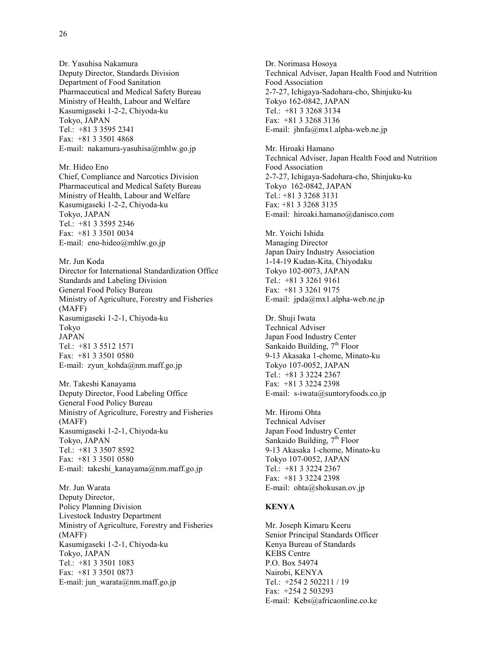Dr. Yasuhisa Nakamura Deputy Director, Standards Division Department of Food Sanitation Pharmaceutical and Medical Safety Bureau Ministry of Health, Labour and Welfare Kasumigaseki 1-2-2, Chiyoda-ku Tokyo, JAPAN Tel.: +81 3 3595 2341 Fax: +81 3 3501 4868 E-mail: nakamura-yasuhisa@mhlw.go.jp

Mr. Hideo Eno Chief, Compliance and Narcotics Division Pharmaceutical and Medical Safety Bureau Ministry of Health, Labour and Welfare Kasumigaseki 1-2-2, Chiyoda-ku Tokyo, JAPAN Tel.: +81 3 3595 2346 Fax: +81 3 3501 0034 E-mail: eno-hideo@mhlw.go.jp

Mr. Jun Koda Director for International Standardization Office Standards and Labeling Division General Food Policy Bureau Ministry of Agriculture, Forestry and Fisheries (MAFF) Kasumigaseki 1-2-1, Chiyoda-ku Tokyo JAPAN Tel.: +81 3 5512 1571 Fax: +81 3 3501 0580 E-mail: zyun\_kohda@nm.maff.go.jp

Mr. Takeshi Kanayama Deputy Director, Food Labeling Office General Food Policy Bureau Ministry of Agriculture, Forestry and Fisheries (MAFF) Kasumigaseki 1-2-1, Chiyoda-ku Tokyo, JAPAN Tel.: +81 3 3507 8592 Fax: +81 3 3501 0580 E-mail: takeshi\_kanayama@nm.maff.go.jp

Mr. Jun Warata Deputy Director, Policy Planning Division Livestock Industry Department Ministry of Agriculture, Forestry and Fisheries (MAFF) Kasumigaseki 1-2-1, Chiyoda-ku Tokyo, JAPAN Tel.: +81 3 3501 1083 Fax: +81 3 3501 0873 E-mail: jun\_warata@nm.maff.go.jp

Dr. Norimasa Hosoya Technical Adviser, Japan Health Food and Nutrition Food Association 2-7-27, Ichigaya-Sadohara-cho, Shinjuku-ku Tokyo 162-0842, JAPAN Tel.: +81 3 3268 3134 Fax: +81 3 3268 3136 E-mail: jhnfa@mx1.alpha-web.ne.jp

Mr. Hiroaki Hamano Technical Adviser, Japan Health Food and Nutrition Food Association 2-7-27, Ichigaya-Sadohara-cho, Shinjuku-ku Tokyo 162-0842, JAPAN Tel.: +81 3 3268 3131 Fax: +81 3 3268 3135 E-mail: hiroaki.hamano@danisco.com

Mr. Yoichi Ishida Managing Director Japan Dairy Industry Association 1-14-19 Kudan-Kita, Chiyodaku Tokyo 102-0073, JAPAN Tel.: +81 3 3261 9161 Fax: +81 3 3261 9175 E-mail: jpda@mx1.alpha-web.ne.jp

Dr. Shuji Iwata Technical Adviser Japan Food Industry Center Sankaido Building,  $7<sup>th</sup>$  Floor 9-13 Akasaka 1-chome, Minato-ku Tokyo 107-0052, JAPAN Tel.: +81 3 3224 2367 Fax: +81 3 3224 2398 E-mail: s-iwata@suntoryfoods.co.jp

Mr. Hiromi Ohta Technical Adviser Japan Food Industry Center Sankaido Building,  $7<sup>th</sup>$  Floor 9-13 Akasaka 1-chome, Minato-ku Tokyo 107-0052, JAPAN Tel.: +81 3 3224 2367 Fax: +81 3 3224 2398 E-mail: ohta@shokusan.ov.jp

#### **KENYA**

Mr. Joseph Kimaru Keeru Senior Principal Standards Officer Kenya Bureau of Standards KEBS Centre P.O. Box 54974 Nairobi, KENYA Tel.: +254 2 502211 / 19 Fax: +254 2 503293 E-mail: Kebs@africaonline.co.ke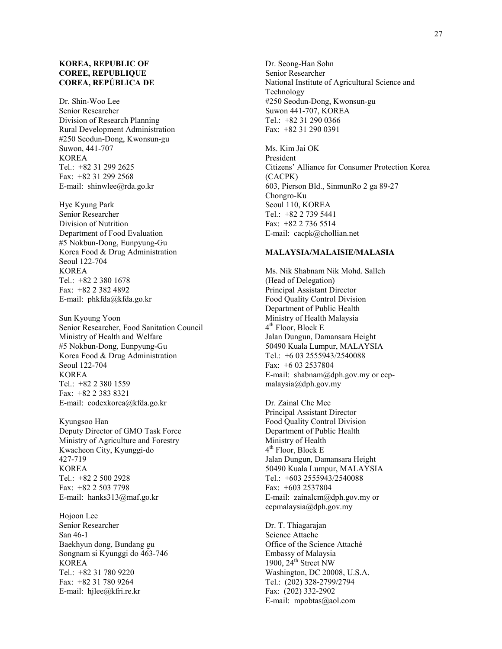#### **KOREA, REPUBLIC OF COREE, REPUBLIQUE COREA, REPÚBLICA DE**

Dr. Shin-Woo Lee Senior Researcher Division of Research Planning Rural Development Administration #250 Seodun-Dong, Kwonsun-gu Suwon, 441-707 KOREA Tel.: +82 31 299 2625 Fax: +82 31 299 2568 E-mail: shinwlee@rda.go.kr

Hye Kyung Park Senior Researcher Division of Nutrition Department of Food Evaluation #5 Nokbun-Dong, Eunpyung-Gu Korea Food & Drug Administration Seoul 122-704 KOREA Tel.: +82 2 380 1678 Fax: +82 2 382 4892 E-mail: phkfda@kfda.go.kr

Sun Kyoung Yoon Senior Researcher, Food Sanitation Council Ministry of Health and Welfare #5 Nokbun-Dong, Eunpyung-Gu Korea Food & Drug Administration Seoul 122-704 KOREA Tel.: +82 2 380 1559 Fax: +82 2 383 8321 E-mail: codexkorea@kfda.go.kr

Kyungsoo Han Deputy Director of GMO Task Force Ministry of Agriculture and Forestry Kwacheon City, Kyunggi-do 427-719 KOREA Tel.: +82 2 500 2928 Fax: +82 2 503 7798 E-mail: hanks313@maf.go.kr

Hojoon Lee Senior Researcher San 46-1 Baekhyun dong, Bundang gu Songnam si Kyunggi do 463-746 KOREA Tel.: +82 31 780 9220 Fax: +82 31 780 9264 E-mail: hjlee@kfri.re.kr

Dr. Seong-Han Sohn Senior Researcher National Institute of Agricultural Science and Technology #250 Seodun-Dong, Kwonsun-gu Suwon 441-707, KOREA Tel.: +82 31 290 0366 Fax: +82 31 290 0391

Ms. Kim Jai OK President Citizens' Alliance for Consumer Protection Korea (CACPK) 603, Pierson Bld., SinmunRo 2 ga 89-27 Chongro-Ku Seoul 110, KOREA Tel.: +82 2 739 5441 Fax: +82 2 736 5514 E-mail: cacpk@chollian.net

#### **MALAYSIA/MALAISIE/MALASIA**

Ms. Nik Shabnam Nik Mohd. Salleh (Head of Delegation) Principal Assistant Director Food Quality Control Division Department of Public Health Ministry of Health Malaysia  $4<sup>th</sup>$  Floor, Block E Jalan Dungun, Damansara Height 50490 Kuala Lumpur, MALAYSIA Tel.: +6 03 2555943/2540088 Fax: +6 03 2537804 E-mail: shabnam@dph.gov.my or ccpmalaysia@dph.gov.my

Dr. Zainal Che Mee Principal Assistant Director Food Quality Control Division Department of Public Health Ministry of Health  $4<sup>th</sup>$  Floor, Block E Jalan Dungun, Damansara Height 50490 Kuala Lumpur, MALAYSIA Tel.: +603 2555943/2540088 Fax: +603 2537804 E-mail: zainalcm@dph.gov.my or ccpmalaysia@dph.gov.my

Dr. T. Thiagarajan Science Attache Office of the Science Attaché Embassy of Malaysia 1900, 24<sup>th</sup> Street NW Washington, DC 20008, U.S.A. Tel.: (202) 328-2799/2794 Fax: (202) 332-2902 E-mail: mpobtas@aol.com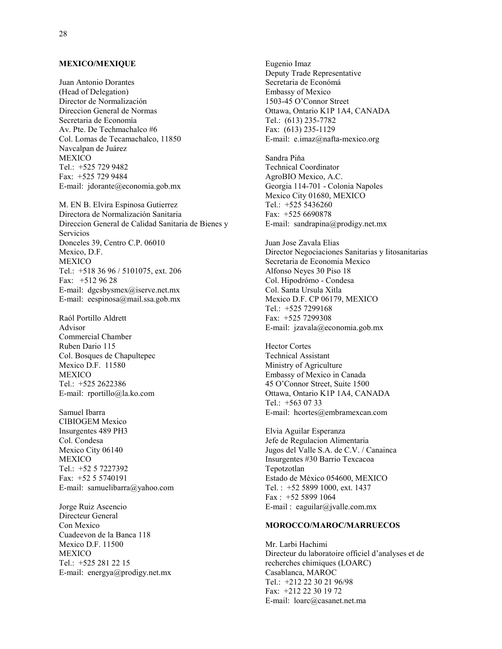#### **MEXICO/MEXIQUE**

Juan Antonio Dorantes (Head of Delegation) Director de Normalización Direccion General de Normas Secretaria de Economía Av. Pte. De Techmachalco #6 Col. Lomas de Tecamachalco, 11850 Navcalpan de Juárez **MEXICO** Tel.: +525 729 9482 Fax: +525 729 9484 E-mail: jdorante@economia.gob.mx

M. EN B. Elvira Espinosa Gutierrez Directora de Normalización Sanitaria Direccion General de Calidad Sanitaria de Bienes y Servicios Donceles 39, Centro C.P. 06010 Mexico, D.F. MEXICO Tel.: +518 36 96 / 5101075, ext. 206 Fax: +512 96 28 E-mail: dgcsbysmex@iserve.net.mx E-mail: eespinosa@mail.ssa.gob.mx

Raól Portillo Aldrett Advisor Commercial Chamber Ruben Dario 115 Col. Bosques de Chapultepec Mexico D.F. 11580 MEXICO Tel.: +525 2622386 E-mail: rportillo@la.ko.com

Samuel Ibarra CIBIOGEM Mexico Insurgentes 489 PH3 Col. Condesa Mexico City 06140 MEXICO Tel.: +52 5 7227392 Fax: +52 5 5740191 E-mail: samuelibarra@yahoo.com

Jorge Ruiz Ascencio Directeur General Con Mexico Cuadeevon de la Banca 118 Mexico D.F. 11500 **MEXICO** Tel.: +525 281 22 15 E-mail: energya@prodigy.net.mx

Eugenio Imaz Deputy Trade Representative Secretaria de Económá Embassy of Mexico 1503-45 O'Connor Street Ottawa, Ontario K1P 1A4, CANADA Tel.: (613) 235-7782 Fax: (613) 235-1129 E-mail: e.imaz@nafta-mexico.org

Sandra Piňa Technical Coordinator AgroBIO Mexico, A.C. Georgia 114-701 - Colonia Napoles Mexico City 01680, MEXICO Tel.: +525 5436260 Fax: +525 6690878 E-mail: sandrapina@prodigy.net.mx

Juan Jose Zavala Elias Director Negociaciones Sanitarias y Iitosanitarias Secretaria de Economia Mexico Alfonso Neyes 30 Piso 18 Col. Hipodrómo - Condesa Col. Santa Ursula Xitla Mexico D.F. CP 06179, MEXICO Tel.: +525 7299168 Fax: +525 7299308 E-mail: jzavala@economia.gob.mx

Hector Cortes Technical Assistant Ministry of Agriculture Embassy of Mexico in Canada 45 O'Connor Street, Suite 1500 Ottawa, Ontario K1P 1A4, CANADA Tel.: +563 07 33 E-mail: hcortes@embramexcan.com

Elvia Aguilar Esperanza Jefe de Regulacion Alimentaria Jugos del Valle S.A. de C.V. / Canainca Insurgentes #30 Barrio Texcacoa Tepotzotlan Estado de México 054600, MEXICO Tel. : +52 5899 1000, ext. 1437 Fax : +52 5899 1064 E-mail : eaguilar@jvalle.com.mx

#### **MOROCCO/MAROC/MARRUECOS**

Mr. Larbi Hachimi Directeur du laboratoire officiel d'analyses et de recherches chimiques (LOARC) Casablanca, MAROC Tel.: +212 22 30 21 96/98 Fax: +212 22 30 19 72 E-mail: loarc@casanet.net.ma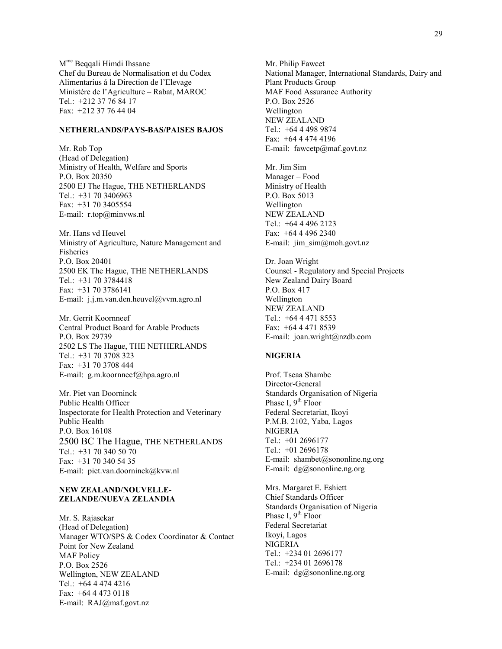Mme Beqqali Himdi Ihssane Chef du Bureau de Normalisation et du Codex Alimentarius á la Direction de l'Elevage Ministère de l'Agriculture – Rabat, MAROC Tel.: +212 37 76 84 17 Fax: +212 37 76 44 04

#### **NETHERLANDS/PAYS-BAS/PAISES BAJOS**

Mr. Rob Top (Head of Delegation) Ministry of Health, Welfare and Sports P.O. Box 20350 2500 EJ The Hague, THE NETHERLANDS Tel.: +31 70 3406963 Fax: +31 70 3405554 E-mail: r.top@minvws.nl

Mr. Hans vd Heuvel Ministry of Agriculture, Nature Management and Fisheries P.O. Box 20401 2500 EK The Hague, THE NETHERLANDS Tel.: +31 70 3784418 Fax: +31 70 3786141 E-mail: j.j.m.van.den.heuvel@vvm.agro.nl

Mr. Gerrit Koornneef Central Product Board for Arable Products P.O. Box 29739 2502 LS The Hague, THE NETHERLANDS Tel.: +31 70 3708 323 Fax: +31 70 3708 444 E-mail: g.m.koornneef@hpa.agro.nl

Mr. Piet van Doorninck Public Health Officer Inspectorate for Health Protection and Veterinary Public Health P.O. Box 16108 2500 BC The Hague, THE NETHERLANDS Tel.: +31 70 340 50 70 Fax: +31 70 340 54 35 E-mail: piet.van.doorninck@kvw.nl

#### **NEW ZEALAND/NOUVELLE-ZELANDE/NUEVA ZELANDIA**

Mr. S. Rajasekar (Head of Delegation) Manager WTO/SPS & Codex Coordinator & Contact Point for New Zealand MAF Policy P.O. Box 2526 Wellington, NEW ZEALAND Tel.: +64 4 474 4216 Fax: +64 4 473 0118 E-mail: RAJ@maf.govt.nz

Mr. Philip Fawcet National Manager, International Standards, Dairy and Plant Products Group MAF Food Assurance Authority P.O. Box 2526 Wellington NEW ZEALAND Tel.: +64 4 498 9874 Fax: +64 4 474 4196 E-mail: fawcetp@maf.govt.nz

Mr. Jim Sim Manager – Food Ministry of Health P.O. Box 5013 Wellington NEW ZEALAND Tel.: +64 4 496 2123 Fax: +64 4 496 2340 E-mail: jim\_sim@moh.govt.nz

Dr. Joan Wright Counsel - Regulatory and Special Projects New Zealand Dairy Board P.O. Box 417 Wellington NEW ZEALAND Tel.: +64 4 471 8553 Fax: +64 4 471 8539 E-mail: joan.wright@nzdb.com

#### **NIGERIA**

Prof. Tseaa Shambe Director-General Standards Organisation of Nigeria Phase I, 9<sup>th</sup> Floor Federal Secretariat, Ikoyi P.M.B. 2102, Yaba, Lagos NIGERIA Tel.: +01 2696177 Tel.: +01 2696178 E-mail: shambet@sononline.ng.org E-mail: dg@sononline.ng.org

Mrs. Margaret E. Eshiett Chief Standards Officer Standards Organisation of Nigeria Phase I,  $9<sup>th</sup>$  Floor Federal Secretariat Ikoyi, Lagos NIGERIA Tel.: +234 01 2696177 Tel.: +234 01 2696178 E-mail: dg@sononline.ng.org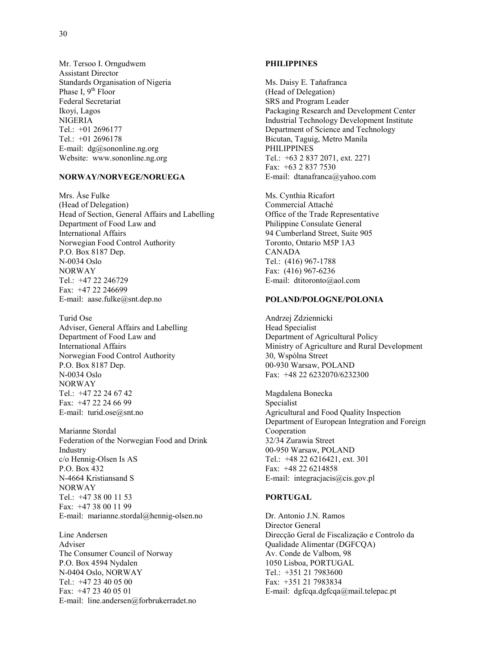Mr. Tersoo I. Orngudwem Assistant Director Standards Organisation of Nigeria Phase I,  $9<sup>th</sup>$  Floor Federal Secretariat Ikoyi, Lagos NIGERIA Tel.: +01 2696177 Tel.: +01 2696178 E-mail: dg@sononline.ng.org Website: www.sononline.ng.org

#### **NORWAY/NORVEGE/NORUEGA**

Mrs. Åse Fulke (Head of Delegation) Head of Section, General Affairs and Labelling Department of Food Law and International Affairs Norwegian Food Control Authority P.O. Box 8187 Dep. N-0034 Oslo NORWAY Tel.: +47 22 246729 Fax: +47 22 246699 E-mail: aase.fulke@snt.dep.no

Turid Ose Adviser, General Affairs and Labelling Department of Food Law and International Affairs Norwegian Food Control Authority P.O. Box 8187 Dep. N-0034 Oslo NORWAY Tel.: +47 22 24 67 42 Fax: +47 22 24 66 99 E-mail: turid.ose@snt.no

Marianne Stordal Federation of the Norwegian Food and Drink Industry c/o Hennig-Olsen Is AS P.O. Box 432 N-4664 Kristiansand S NORWAY Tel.: +47 38 00 11 53 Fax: +47 38 00 11 99 E-mail: marianne.stordal@hennig-olsen.no

Line Andersen Adviser The Consumer Council of Norway P.O. Box 4594 Nydalen N-0404 Oslo, NORWAY Tel.: +47 23 40 05 00 Fax: +47 23 40 05 01 E-mail: line.andersen@forbrukerradet.no

#### **PHILIPPINES**

Ms. Daisy E. Taňafranca (Head of Delegation) SRS and Program Leader Packaging Research and Development Center Industrial Technology Development Institute Department of Science and Technology Bicutan, Taguig, Metro Manila PHILIPPINES Tel.: +63 2 837 2071, ext. 2271 Fax: +63 2 837 7530 E-mail: dtanafranca@yahoo.com

Ms. Cynthia Ricafort Commercial Attaché Office of the Trade Representative Philippine Consulate General 94 Cumberland Street, Suite 905 Toronto, Ontario M5P 1A3 CANADA Tel.: (416) 967-1788 Fax: (416) 967-6236 E-mail: dtitoronto@aol.com

#### **POLAND/POLOGNE/POLONIA**

Andrzej Zdziennicki Head Specialist Department of Agricultural Policy Ministry of Agriculture and Rural Development 30, Wspólna Street 00-930 Warsaw, POLAND Fax: +48 22 6232070/6232300

Magdalena Bonecka Specialist Agricultural and Food Quality Inspection Department of European Integration and Foreign Cooperation 32/34 Zurawia Street 00-950 Warsaw, POLAND Tel.: +48 22 6216421, ext. 301 Fax: +48 22 6214858 E-mail: integracjacis@cis.gov.pl

#### **PORTUGAL**

Dr. Antonio J.N. Ramos Director General Direcçäo Geral de Fiscalizaçäo e Controlo da Qualidade Alimentar (DGFCQA) Av. Conde de Valbom, 98 1050 Lisboa, PORTUGAL Tel.: +351 21 7983600 Fax: +351 21 7983834 E-mail: dgfcqa.dgfcqa@mail.telepac.pt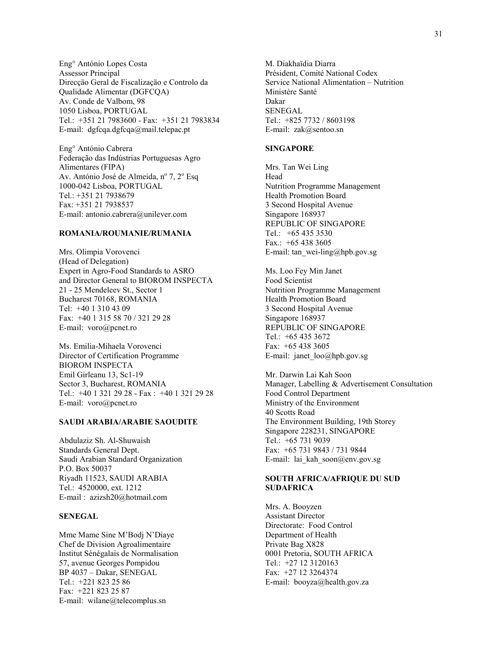Eng° António Lopes Costa Assessor Principal Direcçäo Geral de Fiscalizaçäo e Controlo da Qualidade Alimentar (DGFCQA) Av. Conde de Valbom, 98 1050 Lisboa, PORTUGAL Tel.: +351 21 7983600 - Fax: +351 21 7983834 E-mail: dgfcqa.dgfcqa@mail.telepac.pt

Eng° António Cabrera Federação das Indústrias Portuguesas Agro Alimentares (FIPA) Av. António José de Almeida, nº 7, 2º Esq 1000-042 Lisboa, PORTUGAL Tel.: +351 21 7938679 Fax: +351 21 7938537 E-mail: antonio.cabrera@unilever.com

#### **ROMANIA/ROUMANIE/RUMANIA**

Mrs. Olimpia Vorovenci (Head of Delegation) Expert in Agro-Food Standards to ASRO and Director General to BIOROM INSPECTA 21 - 25 Mendeleev St., Sector 1 Bucharest 70168, ROMANIA Tel: +40 1 310 43 09 Fax: +40 1 315 58 70 / 321 29 28 E-mail: voro@pcnet.ro

Ms. Emilia-Mihaela Vorovenci Director of Certification Programme BIOROM INSPECTA Emil Girleanu 13, Sc1-19 Sector 3, Bucharest, ROMANIA Tel.: +40 1 321 29 28 - Fax : +40 1 321 29 28 E-mail: voro@pcnet.ro

#### **SAUDI ARABIA/ARABIE SAOUDITE**

Abdulaziz Sh. Al-Shuwaish Standards General Dept. Saudi Arabian Standard Organization P.O. Box 50037 Riyadh 11523, SAUDI ARABIA Tel.: 4520000, ext. 1212 E-mail : azizsh20@hotmail.com

#### **SENEGAL**

Mme Mame Sine M'Bodj N'Diaye Chef de Division Agroalimentaire Institut Sénégalais de Normalisation 57, avenue Georges Pompidou BP 4037 – Dakar, SENEGAL Tel.: +221 823 25 86 Fax: +221 823 25 87 E-mail: wilane@telecomplus.sn

M. Diakhaïdia Diarra Président, Comité National Codex Service National Alimentation – Nutrition Ministère Santé Dakar SENEGAL Tel.: +825 7732 / 8603198 E-mail: zak@sentoo.sn

#### **SINGAPORE**

Mrs. Tan Wei Ling Head Nutrition Programme Management Health Promotion Board 3 Second Hospital Avenue Singapore 168937 REPUBLIC OF SINGAPORE Tel.: +65 435 3530 Fax.:  $+654383605$ E-mail: tan\_wei-ling@hpb.gov.sg

Ms. Loo Fey Min Janet Food Scientist Nutrition Programme Management Health Promotion Board 3 Second Hospital Avenue Singapore 168937 REPUBLIC OF SINGAPORE Tel.: +65 435 3672 Fax: +65 438 3605 E-mail: janet\_loo@hpb.gov.sg

Mr. Darwin Lai Kah Soon Manager, Labelling & Advertisement Consultation Food Control Department Ministry of the Environment 40 Scotts Road The Environment Building, 19th Storey Singapore 228231, SINGAPORE Tel.: +65 731 9039 Fax: +65 731 9843 / 731 9844 E-mail: lai\_kah\_soon@env.gov.sg

#### **SOUTH AFRICA/AFRIQUE DU SUD SUDAFRICA**

Mrs. A. Booyzen Assistant Director Directorate: Food Control Department of Health Private Bag X828 0001 Pretoria, SOUTH AFRICA Tel.: +27 12 3120163 Fax: +27 12 3264374 E-mail: booyza@health.gov.za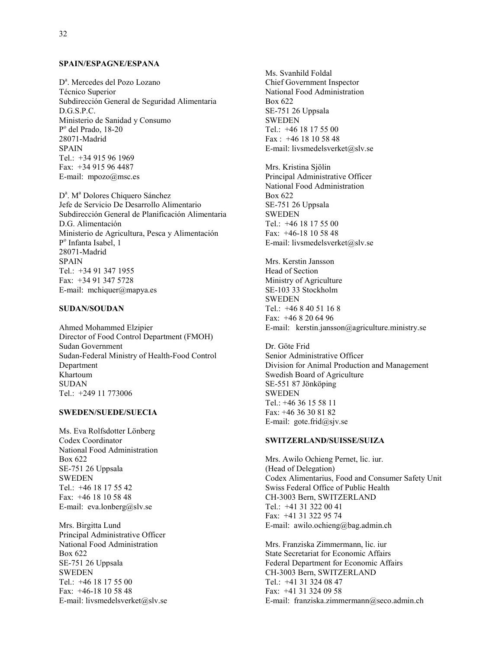## **SPAIN/ESPAGNE/ESPANA**

D<sup>a</sup>. Mercedes del Pozo Lozano Técnico Superior Subdirección General de Seguridad Alimentaria D.G.S.P.C. Ministerio de Sanidad y Consumo Po del Prado, 18-20 28071-Madrid SPAIN Tel.: +34 915 96 1969 Fax: +34 915 96 4487 E-mail: mpozo@msc.es

D<sup>a</sup>. M<sup>a</sup> Dolores Chiquero Sánchez Jefe de Servicio De Desarrollo Alimentario Subdirección General de Planificación Alimentaria D.G. Alimentación Ministerio de Agricultura, Pesca y Alimentación Po Infanta Isabel, 1 28071-Madrid SPAIN Tel.: +34 91 347 1955 Fax: +34 91 347 5728 E-mail: mchiquer@mapya.es

#### **SUDAN/SOUDAN**

Ahmed Mohammed Elzipier Director of Food Control Department (FMOH) Sudan Government Sudan-Federal Ministry of Health-Food Control Department Khartoum SUDAN Tel.: +249 11 773006

#### **SWEDEN/SUEDE/SUECIA**

Ms. Eva Rolfsdotter Lönberg Codex Coordinator National Food Administration Box 622 SE-751 26 Uppsala SWEDEN Tel.: +46 18 17 55 42 Fax: +46 18 10 58 48 E-mail: eva.lonberg@slv.se

Mrs. Birgitta Lund Principal Administrative Officer National Food Administration Box 622 SE-751 26 Uppsala SWEDEN Tel.: +46 18 17 55 00 Fax: +46-18 10 58 48 E-mail: livsmedelsverket@slv.se Ms. Svanhild Foldal Chief Government Inspector National Food Administration Box 622 SE-751 26 Uppsala SWEDEN Tel.: +46 18 17 55 00 Fax : +46 18 10 58 48 E-mail: livsmedelsverket@slv.se

Mrs. Kristina Sjölin Principal Administrative Officer National Food Administration Box 622 SE-751 26 Uppsala SWEDEN Tel.: +46 18 17 55 00 Fax: +46-18 10 58 48 E-mail: livsmedelsverket@slv.se

Mrs. Kerstin Jansson Head of Section Ministry of Agriculture SE-103 33 Stockholm SWEDEN Tel.: +46 8 40 51 16 8 Fax: +46 8 20 64 96 E-mail: kerstin.jansson@agriculture.ministry.se

Dr. Göte Frid Senior Administrative Officer Division for Animal Production and Management Swedish Board of Agriculture SE-551 87 Jönköping SWEDEN Tel.:  $+4636155811$ Fax: +46 36 30 81 82 E-mail: gote.frid@sjv.se

### **SWITZERLAND/SUISSE/SUIZA**

Mrs. Awilo Ochieng Pernet, lic. iur. (Head of Delegation) Codex Alimentarius, Food and Consumer Safety Unit Swiss Federal Office of Public Health CH-3003 Bern, SWITZERLAND Tel.: +41 31 322 00 41 Fax: +41 31 322 95 74 E-mail: awilo.ochieng@bag.admin.ch

Mrs. Franziska Zimmermann, lic. iur State Secretariat for Economic Affairs Federal Department for Economic Affairs CH-3003 Bern, SWITZERLAND Tel.: +41 31 324 08 47 Fax: +41 31 324 09 58 E-mail: franziska.zimmermann@seco.admin.ch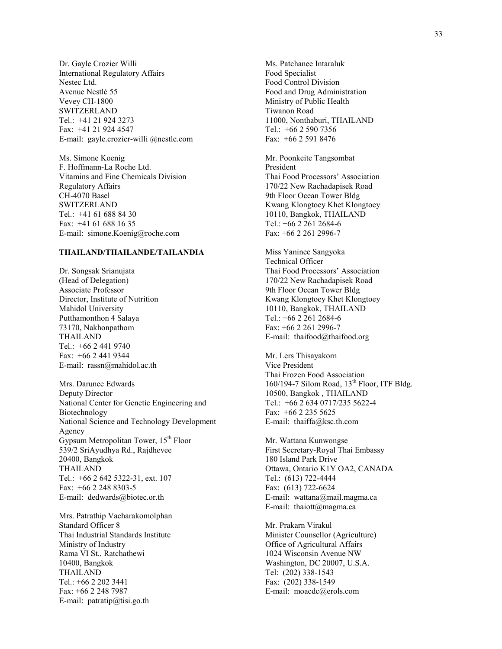Dr. Gayle Crozier Willi International Regulatory Affairs Nestec Ltd. Avenue Nestlé 55 Vevey CH-1800 SWITZERLAND Tel.: +41 21 924 3273 Fax: +41 21 924 4547 E-mail: gayle.crozier-willi @nestle.com

Ms. Simone Koenig F. Hoffmann-La Roche Ltd. Vitamins and Fine Chemicals Division Regulatory Affairs CH-4070 Basel SWITZERLAND Tel.: +41 61 688 84 30 Fax: +41 61 688 16 35 E-mail: simone.Koenig@roche.com

## **THAILAND/THAILANDE/TAILANDIA**

Dr. Songsak Srianujata (Head of Delegation) Associate Professor Director, Institute of Nutrition Mahidol University Putthamonthon 4 Salaya 73170, Nakhonpathom THAILAND Tel.: +66 2 441 9740 Fax: +66 2 441 9344 E-mail: rassn@mahidol.ac.th

Mrs. Darunee Edwards Deputy Director National Center for Genetic Engineering and Biotechnology National Science and Technology Development Agency Gypsum Metropolitan Tower,  $15<sup>th</sup>$  Floor 539/2 SriAyudhya Rd., Rajdhevee 20400, Bangkok THAILAND Tel.: +66 2 642 5322-31, ext. 107 Fax: +66 2 248 8303-5 E-mail: dedwards@biotec.or.th

Mrs. Patrathip Vacharakomolphan Standard Officer 8 Thai Industrial Standards Institute Ministry of Industry Rama VI St., Ratchathewi 10400, Bangkok THAILAND Tel.: +66 2 202 3441 Fax: +66 2 248 7987 E-mail:  $partatip@tisi.gov.th$ 

Ms. Patchanee Intaraluk Food Specialist Food Control Division Food and Drug Administration Ministry of Public Health Tiwanon Road 11000, Nonthaburi, THAILAND Tel.: +66 2 590 7356 Fax: +66 2 591 8476

Mr. Poonkeite Tangsombat President Thai Food Processors' Association 170/22 New Rachadapisek Road 9th Floor Ocean Tower Bldg Kwang Klongtoey Khet Klongtoey 10110, Bangkok, THAILAND Tel.: +66 2 261 2684-6 Fax: +66 2 261 2996-7

Miss Yaninee Sangyoka Technical Officer Thai Food Processors' Association 170/22 New Rachadapisek Road 9th Floor Ocean Tower Bldg Kwang Klongtoey Khet Klongtoey 10110, Bangkok, THAILAND Tel.: +66 2 261 2684-6 Fax: +66 2 261 2996-7 E-mail: thaifood@thaifood.org

Mr. Lers Thisayakorn Vice President Thai Frozen Food Association  $160/194$ -7 Silom Road,  $13<sup>th</sup>$  Floor, ITF Bldg. 10500, Bangkok , THAILAND Tel.: +66 2 634 0717/235 5622-4 Fax: +66 2 235 5625 E-mail: thaiffa@ksc.th.com

Mr. Wattana Kunwongse First Secretary-Royal Thai Embassy 180 Island Park Drive Ottawa, Ontario K1Y OA2, CANADA Tel.: (613) 722-4444 Fax: (613) 722-6624 E-mail: wattana@mail.magma.ca E-mail: thaiott@magma.ca

Mr. Prakarn Virakul Minister Counsellor (Agriculture) Office of Agricultural Affairs 1024 Wisconsin Avenue NW Washington, DC 20007, U.S.A. Tel: (202) 338-1543 Fax: (202) 338-1549 E-mail: moacdc@erols.com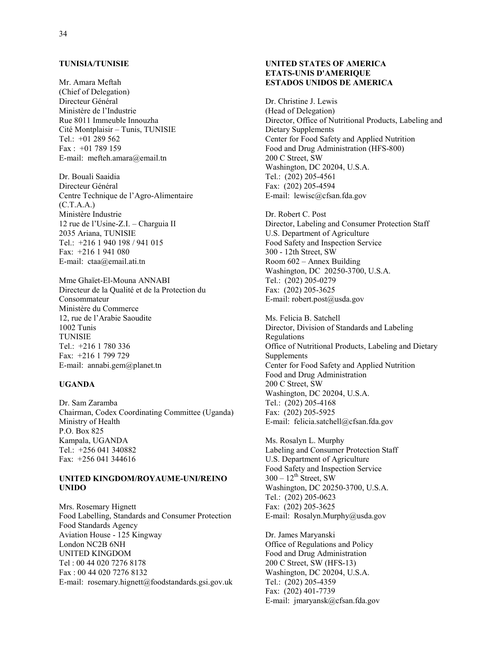### **TUNISIA/TUNISIE**

Mr. Amara Meftah (Chief of Delegation) Directeur Général Ministère de l'Industrie Rue 8011 Immeuble Innouzha Cité Montplaisir – Tunis, TUNISIE Tel.: +01 289 562 Fax : +01 789 159 E-mail: mefteh.amara@email.tn

Dr. Bouali Saaidia Directeur Général Centre Technique de l'Agro-Alimentaire  $(C.T.A.A.)$ Ministère Industrie 12 rue de l'Usine-Z.I. – Charguia II 2035 Ariana, TUNISIE Tel.: +216 1 940 198 / 941 015 Fax: +216 1 941 080 E-mail: ctaa@email.ati.tn

Mme Ghaïet-El-Mouna ANNABI Directeur de la Qualité et de la Protection du Consommateur Ministère du Commerce 12, rue de l'Arabie Saoudite 1002 Tunis TUNISIE Tel.: +216 1 780 336 Fax: +216 1 799 729 E-mail: annabi.gem@planet.tn

## **UGANDA**

Dr. Sam Zaramba Chairman, Codex Coordinating Committee (Uganda) Ministry of Health P.O. Box 825 Kampala, UGANDA Tel.: +256 041 340882 Fax: +256 041 344616

#### **UNITED KINGDOM/ROYAUME-UNI/REINO UNIDO**

Mrs. Rosemary Hignett Food Labelling, Standards and Consumer Protection Food Standards Agency Aviation House - 125 Kingway London NC2B 6NH UNITED KINGDOM Tel : 00 44 020 7276 8178 Fax : 00 44 020 7276 8132 E-mail: rosemary.hignett@foodstandards.gsi.gov.uk

## **UNITED STATES OF AMERICA ETATS-UNIS D'AMERIQUE ESTADOS UNIDOS DE AMERICA**

Dr. Christine J. Lewis (Head of Delegation) Director, Office of Nutritional Products, Labeling and Dietary Supplements Center for Food Safety and Applied Nutrition Food and Drug Administration (HFS-800) 200 C Street, SW Washington, DC 20204, U.S.A. Tel.: (202) 205-4561 Fax: (202) 205-4594 E-mail: lewisc@cfsan.fda.gov

Dr. Robert C. Post Director, Labeling and Consumer Protection Staff U.S. Department of Agriculture Food Safety and Inspection Service 300 - 12th Street, SW Room 602 – Annex Building Washington, DC 20250-3700, U.S.A. Tel.: (202) 205-0279 Fax: (202) 205-3625 E-mail: robert.post@usda.gov

Ms. Felicia B. Satchell Director, Division of Standards and Labeling Regulations Office of Nutritional Products, Labeling and Dietary Supplements Center for Food Safety and Applied Nutrition Food and Drug Administration 200 C Street, SW Washington, DC 20204, U.S.A. Tel.: (202) 205-4168 Fax: (202) 205-5925 E-mail: felicia.satchell@cfsan.fda.gov

Ms. Rosalyn L. Murphy Labeling and Consumer Protection Staff U.S. Department of Agriculture Food Safety and Inspection Service  $300 - 12$ <sup>th</sup> Street, SW Washington, DC 20250-3700, U.S.A. Tel.: (202) 205-0623 Fax: (202) 205-3625 E-mail: Rosalyn.Murphy@usda.gov

Dr. James Maryanski Office of Regulations and Policy Food and Drug Administration 200 C Street, SW (HFS-13) Washington, DC 20204, U.S.A. Tel.: (202) 205-4359 Fax: (202) 401-7739 E-mail: jmaryansk@cfsan.fda.gov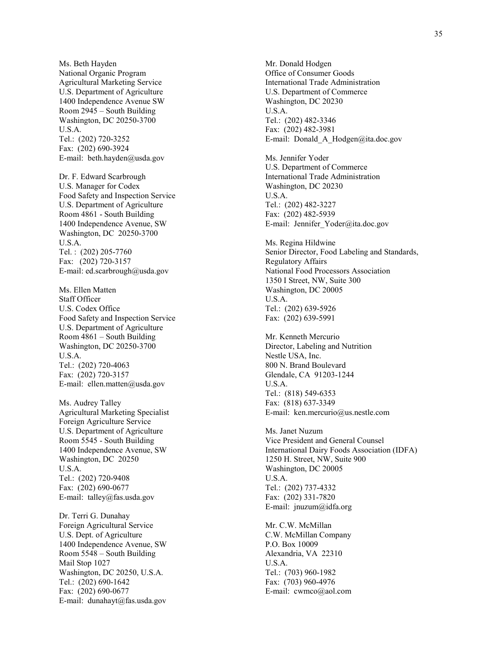Ms. Beth Hayden National Organic Program Agricultural Marketing Service U.S. Department of Agriculture 1400 Independence Avenue SW Room 2945 – South Building Washington, DC 20250-3700 U.S.A. Tel.: (202) 720-3252 Fax: (202) 690-3924 E-mail: beth.hayden@usda.gov

Dr. F. Edward Scarbrough U.S. Manager for Codex Food Safety and Inspection Service U.S. Department of Agriculture Room 4861 - South Building 1400 Independence Avenue, SW Washington, DC 20250-3700 U.S.A. Tel. : (202) 205-7760 Fax: (202) 720-3157 E-mail: ed.scarbrough@usda.gov

Ms. Ellen Matten Staff Officer U.S. Codex Office Food Safety and Inspection Service U.S. Department of Agriculture Room 4861 – South Building Washington, DC 20250-3700 U.S.A. Tel.: (202) 720-4063 Fax: (202) 720-3157 E-mail: ellen.matten@usda.gov

Ms. Audrey Talley Agricultural Marketing Specialist Foreign Agriculture Service U.S. Department of Agriculture Room 5545 - South Building 1400 Independence Avenue, SW Washington, DC 20250 U.S.A. Tel.: (202) 720-9408 Fax: (202) 690-0677 E-mail: talley@fas.usda.gov

Dr. Terri G. Dunahay Foreign Agricultural Service U.S. Dept. of Agriculture 1400 Independence Avenue, SW Room 5548 – South Building Mail Stop 1027 Washington, DC 20250, U.S.A. Tel.: (202) 690-1642 Fax: (202) 690-0677 E-mail: dunahayt@fas.usda.gov

Mr. Donald Hodgen Office of Consumer Goods International Trade Administration U.S. Department of Commerce Washington, DC 20230 U.S.A. Tel.: (202) 482-3346 Fax: (202) 482-3981 E-mail: Donald\_A\_Hodgen@ita.doc.gov

Ms. Jennifer Yoder U.S. Department of Commerce International Trade Administration Washington, DC 20230 U.S.A. Tel.: (202) 482-3227 Fax: (202) 482-5939 E-mail: Jennifer\_Yoder@ita.doc.gov

Ms. Regina Hildwine Senior Director, Food Labeling and Standards, Regulatory Affairs National Food Processors Association 1350 I Street, NW, Suite 300 Washington, DC 20005 U.S.A. Tel.: (202) 639-5926 Fax: (202) 639-5991

Mr. Kenneth Mercurio Director, Labeling and Nutrition Nestle USA, Inc. 800 N. Brand Boulevard Glendale, CA 91203-1244 U.S.A. Tel.: (818) 549-6353 Fax: (818) 637-3349 E-mail: ken.mercurio@us.nestle.com

Ms. Janet Nuzum Vice President and General Counsel International Dairy Foods Association (IDFA) 1250 H. Street, NW, Suite 900 Washington, DC 20005 U.S.A. Tel.: (202) 737-4332 Fax: (202) 331-7820 E-mail: jnuzum@idfa.org

Mr. C.W. McMillan C.W. McMillan Company P.O. Box 10009 Alexandria, VA 22310 U.S.A. Tel.: (703) 960-1982 Fax: (703) 960-4976 E-mail: cwmco@aol.com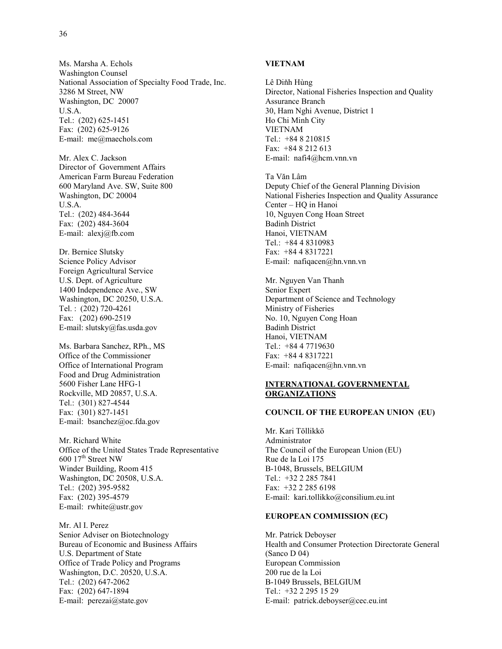Ms. Marsha A. Echols Washington Counsel National Association of Specialty Food Trade, Inc. 3286 M Street, NW Washington, DC 20007 U.S.A. Tel.: (202) 625-1451 Fax: (202) 625-9126 E-mail: me@maechols.com

Mr. Alex C. Jackson Director of Government Affairs American Farm Bureau Federation 600 Maryland Ave. SW, Suite 800 Washington, DC 20004 U.S.A. Tel.: (202) 484-3644 Fax: (202) 484-3604 E-mail: alexj@fb.com

Dr. Bernice Slutsky Science Policy Advisor Foreign Agricultural Service U.S. Dept. of Agriculture 1400 Independence Ave., SW Washington, DC 20250, U.S.A. Tel. : (202) 720-4261 Fax: (202) 690-2519 E-mail: slutsky@fas.usda.gov

Ms. Barbara Sanchez, RPh., MS Office of the Commissioner Office of International Program Food and Drug Administration 5600 Fisher Lane HFG-1 Rockville, MD 20857, U.S.A. Tel.: (301) 827-4544 Fax: (301) 827-1451 E-mail: bsanchez@oc.fda.gov

Mr. Richard White Office of the United States Trade Representative 600 17<sup>th</sup> Street NW Winder Building, Room 415 Washington, DC 20508, U.S.A. Tel.: (202) 395-9582 Fax: (202) 395-4579 E-mail:  $rwhite@$ ustr.gov

Mr. Al I. Perez Senior Adviser on Biotechnology Bureau of Economic and Business Affairs U.S. Department of State Office of Trade Policy and Programs Washington, D.C. 20520, U.S.A. Tel.: (202) 647-2062 Fax: (202) 647-1894 E-mail: perezai@state.gov

## **VIETNAM**

Lê Diňh Hùng Director, National Fisheries Inspection and Quality Assurance Branch 30, Ham Nghi Avenue, District 1 Ho Chi Minh City VIETNAM Tel.: +84 8 210815 Fax: +84 8 212 613 E-mail: nafi4@hcm.vnn.vn

Ta Văn Lâm Deputy Chief of the General Planning Division National Fisheries Inspection and Quality Assurance Center – HQ in Hanoi 10, Nguyen Cong Hoan Street Badinh District Hanoi, VIETNAM Tel.: +84 4 8310983 Fax: +84 4 8317221 E-mail: nafiqacen@hn.vnn.vn

Mr. Nguyen Van Thanh Senior Expert Department of Science and Technology Ministry of Fisheries No. 10, Nguyen Cong Hoan Badinh District Hanoi, VIETNAM Tel.: +84 4 7719630 Fax: +84 4 8317221 E-mail: nafiqacen@hn.vnn.vn

### **INTERNATIONAL GOVERNMENTAL ORGANIZATIONS**

#### **COUNCIL OF THE EUROPEAN UNION (EU)**

Mr. Kari Töllikkö Administrator The Council of the European Union (EU) Rue de la Loi 175 B-1048, Brussels, BELGIUM Tel.: +32 2 285 7841 Fax: +32 2 285 6198 E-mail: kari.tollikko@consilium.eu.int

#### **EUROPEAN COMMISSION (EC)**

Mr. Patrick Deboyser Health and Consumer Protection Directorate General (Sanco D 04) European Commission 200 rue de la Loi B-1049 Brussels, BELGIUM Tel.: +32 2 295 15 29 E-mail: patrick.deboyser@cec.eu.int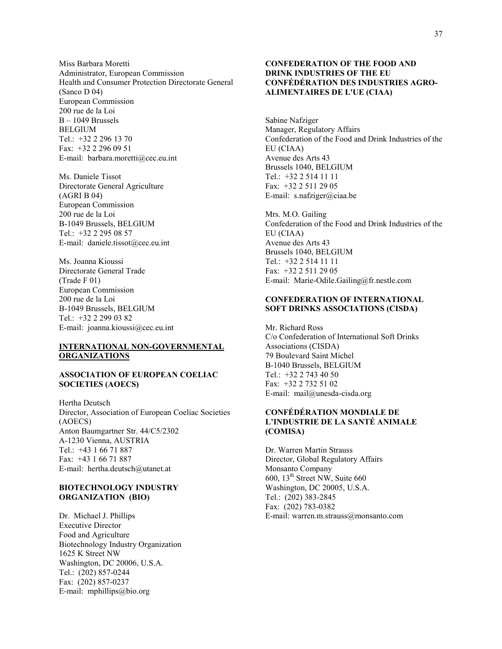Miss Barbara Moretti Administrator, European Commission Health and Consumer Protection Directorate General (Sanco D 04) European Commission 200 rue de la Loi B – 1049 Brussels **BELGIUM** Tel.: +32 2 296 13 70 Fax: +32 2 296 09 51 E-mail: barbara.moretti@cec.eu.int

Ms. Daniele Tissot Directorate General Agriculture (AGRI B 04) European Commission 200 rue de la Loi B-1049 Brussels, BELGIUM Tel.: +32 2 295 08 57 E-mail: daniele.tissot@cec.eu.int

Ms. Joanna Kioussi Directorate General Trade (Trade F 01) European Commission 200 rue de la Loi B-1049 Brussels, BELGIUM Tel.: +32 2 299 03 82 E-mail: joanna.kioussi@cec.eu.int

## **INTERNATIONAL NON-GOVERNMENTAL ORGANIZATIONS**

#### **ASSOCIATION OF EUROPEAN COELIAC SOCIETIES (AOECS)**

Hertha Deutsch Director, Association of European Coeliac Societies (AOECS) Anton Baumgartner Str. 44/C5/2302 A-1230 Vienna, AUSTRIA Tel.: +43 1 66 71 887 Fax: +43 1 66 71 887 E-mail: hertha.deutsch@utanet.at

## **BIOTECHNOLOGY INDUSTRY ORGANIZATION (BIO)**

Dr. Michael J. Phillips Executive Director Food and Agriculture Biotechnology Industry Organization 1625 K Street NW Washington, DC 20006, U.S.A. Tel.: (202) 857-0244 Fax: (202) 857-0237 E-mail: mphillips@bio.org

### **CONFEDERATION OF THE FOOD AND DRINK INDUSTRIES OF THE EU CONFÉDÉRATION DES INDUSTRIES AGRO-ALIMENTAIRES DE L'UE (CIAA)**

Sabine Nafziger Manager, Regulatory Affairs Confederation of the Food and Drink Industries of the EU (CIAA) Avenue des Arts 43 Brussels 1040, BELGIUM Tel.: +32 2 514 11 11 Fax: +32 2 511 29 05 E-mail: s.nafziger@ciaa.be

Mrs. M.O. Gailing Confederation of the Food and Drink Industries of the EU (CIAA) Avenue des Arts 43 Brussels 1040, BELGIUM Tel.: +32 2 514 11 11 Fax: +32 2 511 29 05 E-mail: Marie-Odile.Gailing@fr.nestle.com

### **CONFEDERATION OF INTERNATIONAL SOFT DRINKS ASSOCIATIONS (CISDA)**

Mr. Richard Ross C/o Confederation of International Soft Drinks Associations (CISDA) 79 Boulevard Saint Michel B-1040 Brussels, BELGIUM Tel.: +32 2 743 40 50 Fax: +32 2 732 51 02 E-mail: mail@unesda-cisda.org

## **CONFÉDÉRATION MONDIALE DE L'INDUSTRIE DE LA SANTÉ ANIMALE (COMISA)**

Dr. Warren Martin Strauss Director, Global Regulatory Affairs Monsanto Company 600,  $13<sup>th</sup>$  Street NW, Suite 660 Washington, DC 20005, U.S.A. Tel.: (202) 383-2845 Fax: (202) 783-0382 E-mail: warren.m.strauss@monsanto.com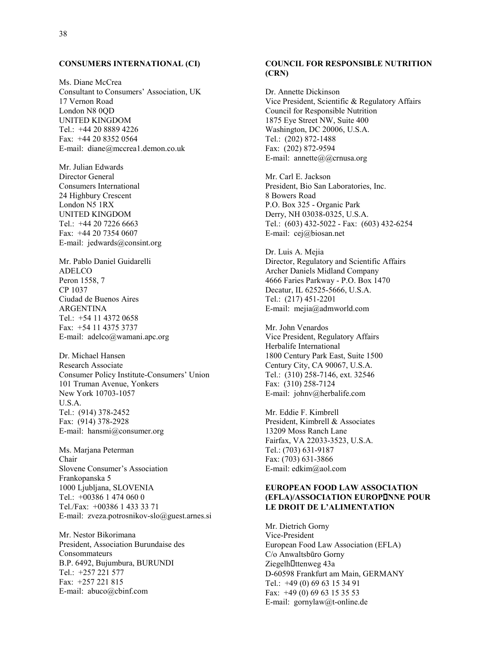#### **CONSUMERS INTERNATIONAL (CI)**

Ms. Diane McCrea Consultant to Consumers' Association, UK 17 Vernon Road London N8 0QD UNITED KINGDOM Tel.: +44 20 8889 4226 Fax: +44 20 8352 0564 E-mail: diane@mccrea1.demon.co.uk

Mr. Julian Edwards Director General Consumers International 24 Highbury Crescent London N5 1RX UNITED KINGDOM Tel.: +44 20 7226 6663 Fax: +44 20 7354 0607 E-mail: jedwards@consint.org

Mr. Pablo Daniel Guidarelli ADELCO Peron 1558, 7 CP 1037 Ciudad de Buenos Aires ARGENTINA Tel.: +54 11 4372 0658 Fax: +54 11 4375 3737 E-mail: adelco@wamani.apc.org

Dr. Michael Hansen Research Associate Consumer Policy Institute-Consumers' Union 101 Truman Avenue, Yonkers New York 10703-1057 U.S.A. Tel.: (914) 378-2452 Fax: (914) 378-2928 E-mail: hansmi@consumer.org

Ms. Marjana Peterman Chair Slovene Consumer's Association Frankopanska 5 1000 Ljubljana, SLOVENIA Tel.: +00386 1 474 060 0 Tel./Fax: +00386 1 433 33 71 E-mail: zveza.potrosnikov-slo@guest.arnes.si

Mr. Nestor Bikorimana President, Association Burundaise des Consommateurs B.P. 6492, Bujumbura, BURUNDI Tel.: +257 221 577 Fax: +257 221 815 E-mail: abuco@cbinf.com

## **COUNCIL FOR RESPONSIBLE NUTRITION (CRN)**

Dr. Annette Dickinson Vice President, Scientific & Regulatory Affairs Council for Responsible Nutrition 1875 Eye Street NW, Suite 400 Washington, DC 20006, U.S.A. Tel.: (202) 872-1488 Fax: (202) 872-9594 E-mail: annette@@crnusa.org

Mr. Carl E. Jackson President, Bio San Laboratories, Inc. 8 Bowers Road P.O. Box 325 - Organic Park Derry, NH 03038-0325, U.S.A. Tel.: (603) 432-5022 - Fax: (603) 432-6254 E-mail: cej@biosan.net

Dr. Luis A. Mejia Director, Regulatory and Scientific Affairs Archer Daniels Midland Company 4666 Faries Parkway - P.O. Box 1470 Decatur, IL 62525-5666, U.S.A. Tel.: (217) 451-2201 E-mail: mejia@admworld.com

Mr. John Venardos Vice President, Regulatory Affairs Herbalife International 1800 Century Park East, Suite 1500 Century City, CA 90067, U.S.A. Tel.: (310) 258-7146, ext. 32546 Fax: (310) 258-7124 E-mail: johnv@herbalife.com

Mr. Eddie F. Kimbrell President, Kimbrell & Associates 13209 Moss Ranch Lane Fairfax, VA 22033-3523, U.S.A. Tel.: (703) 631-9187 Fax: (703) 631-3866 E-mail: edkim@aol.com

## **EUROPEAN FOOD LAW ASSOCIATION (EFLA)/ASSOCIATION EUROPINNE POUR LE DROIT DE L'ALIMENTATION**

Mr. Dietrich Gorny Vice-President European Food Law Association (EFLA) C/o Anwaltsbūro Gorny ZiegelhDttenweg 43a D-60598 Frankfurt am Main, GERMANY Tel.: +49 (0) 69 63 15 34 91 Fax: +49 (0) 69 63 15 35 53 E-mail: gornylaw@t-online.de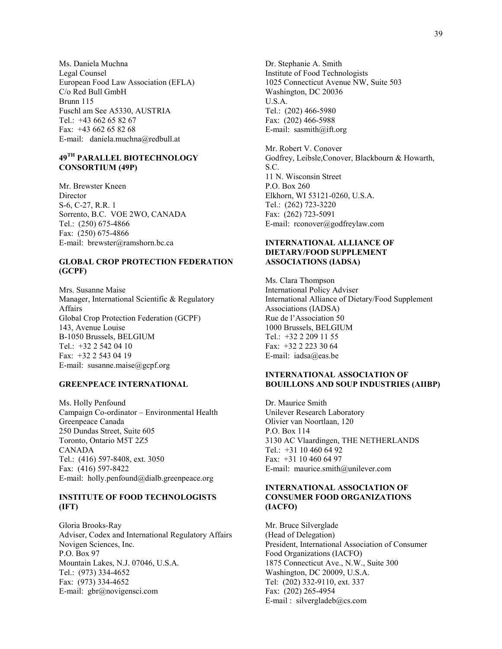Ms. Daniela Muchna Legal Counsel European Food Law Association (EFLA) C/o Red Bull GmbH Brunn 115 Fuschl am See A5330, AUSTRIA Tel.: +43 662 65 82 67 Fax: +43 662 65 82 68 E-mail: daniela.muchna@redbull.at

## **49TH PARALLEL BIOTECHNOLOGY CONSORTIUM (49P)**

Mr. Brewster Kneen Director S-6, C-27, R.R. 1 Sorrento, B.C. VOE 2WO, CANADA Tel.: (250) 675-4866 Fax: (250) 675-4866 E-mail: brewster@ramshorn.bc.ca

#### **GLOBAL CROP PROTECTION FEDERATION (GCPF)**

Mrs. Susanne Maise Manager, International Scientific & Regulatory Affairs Global Crop Protection Federation (GCPF) 143, Avenue Louise B-1050 Brussels, BELGIUM Tel.: +32 2 542 04 10 Fax: +32 2 543 04 19 E-mail: susanne.maise@gcpf.org

## **GREENPEACE INTERNATIONAL**

Ms. Holly Penfound Campaign Co-ordinator – Environmental Health Greenpeace Canada 250 Dundas Street, Suite 605 Toronto, Ontario M5T 2Z5 CANADA Tel.: (416) 597-8408, ext. 3050 Fax: (416) 597-8422 E-mail: holly.penfound@dialb.greenpeace.org

### **INSTITUTE OF FOOD TECHNOLOGISTS (IFT)**

Gloria Brooks-Ray Adviser, Codex and International Regulatory Affairs Novigen Sciences, Inc. P.O. Box 97 Mountain Lakes, N.J. 07046, U.S.A. Tel.: (973) 334-4652 Fax: (973) 334-4652 E-mail: gbr@novigensci.com

Dr. Stephanie A. Smith Institute of Food Technologists 1025 Connecticut Avenue NW, Suite 503 Washington, DC 20036 U.S.A. Tel.: (202) 466-5980 Fax: (202) 466-5988 E-mail: sasmith@ift.org

Mr. Robert V. Conover Godfrey, Leibsle,Conover, Blackbourn & Howarth, S.C. 11 N. Wisconsin Street P.O. Box 260 Elkhorn, WI 53121-0260, U.S.A. Tel.: (262) 723-3220 Fax: (262) 723-5091 E-mail: rconover@godfreylaw.com

## **INTERNATIONAL ALLIANCE OF DIETARY/FOOD SUPPLEMENT ASSOCIATIONS (IADSA)**

Ms. Clara Thompson International Policy Adviser International Alliance of Dietary/Food Supplement Associations (IADSA) Rue de l'Association 50 1000 Brussels, BELGIUM Tel.: +32 2 209 11 55 Fax: +32 2 223 30 64 E-mail: iadsa@eas.be

## **INTERNATIONAL ASSOCIATION OF BOUILLONS AND SOUP INDUSTRIES (AIIBP)**

Dr. Maurice Smith Unilever Research Laboratory Olivier van Noortlaan, 120 P.O. Box 114 3130 AC Vlaardingen, THE NETHERLANDS Tel.: +31 10 460 64 92 Fax: +31 10 460 64 97 E-mail: maurice.smith@unilever.com

## **INTERNATIONAL ASSOCIATION OF CONSUMER FOOD ORGANIZATIONS (IACFO)**

Mr. Bruce Silverglade (Head of Delegation) President, International Association of Consumer Food Organizations (IACFO) 1875 Connecticut Ave., N.W., Suite 300 Washington, DC 20009, U.S.A. Tel: (202) 332-9110, ext. 337 Fax: (202) 265-4954 E-mail : silvergladeb $@cs.com$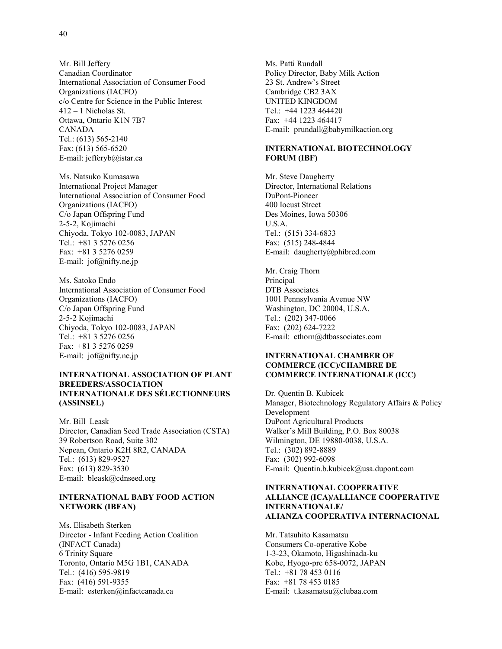Mr. Bill Jeffery Canadian Coordinator International Association of Consumer Food Organizations (IACFO) c/o Centre for Science in the Public Interest 412 – 1 Nicholas St. Ottawa, Ontario K1N 7B7 CANADA Tel.: (613) 565-2140 Fax: (613) 565-6520 E-mail: jefferyb@istar.ca

Ms. Natsuko Kumasawa International Project Manager International Association of Consumer Food Organizations (IACFO) C/o Japan Offspring Fund 2-5-2, Kojimachi Chiyoda, Tokyo 102-0083, JAPAN Tel.: +81 3 5276 0256 Fax: +81 3 5276 0259 E-mail: jof@nifty.ne.jp

Ms. Satoko Endo International Association of Consumer Food Organizations (IACFO) C/o Japan Offspring Fund 2-5-2 Kojimachi Chiyoda, Tokyo 102-0083, JAPAN Tel.: +81 3 5276 0256 Fax: +81 3 5276 0259 E-mail: jof@nifty.ne.jp

### **INTERNATIONAL ASSOCIATION OF PLANT BREEDERS/ASSOCIATION INTERNATIONALE DES SÉLECTIONNEURS (ASSINSEL)**

Mr. Bill Leask Director, Canadian Seed Trade Association (CSTA) 39 Robertson Road, Suite 302 Nepean, Ontario K2H 8R2, CANADA Tel.: (613) 829-9527 Fax: (613) 829-3530 E-mail: bleask@cdnseed.org

### **INTERNATIONAL BABY FOOD ACTION NETWORK (IBFAN)**

Ms. Elisabeth Sterken Director - Infant Feeding Action Coalition (INFACT Canada) 6 Trinity Square Toronto, Ontario M5G 1B1, CANADA Tel.: (416) 595-9819 Fax: (416) 591-9355 E-mail: esterken@infactcanada.ca

Ms. Patti Rundall Policy Director, Baby Milk Action 23 St. Andrew's Street Cambridge CB2 3AX UNITED KINGDOM Tel.: +44 1223 464420 Fax: +44 1223 464417 E-mail: prundall@babymilkaction.org

## **INTERNATIONAL BIOTECHNOLOGY FORUM (IBF)**

Mr. Steve Daugherty Director, International Relations DuPont-Pioneer 400 Iocust Street Des Moines, Iowa 50306 U.S.A. Tel.: (515) 334-6833 Fax: (515) 248-4844 E-mail: daugherty@phibred.com

Mr. Craig Thorn Principal DTB Associates 1001 Pennsylvania Avenue NW Washington, DC 20004, U.S.A. Tel.: (202) 347-0066 Fax: (202) 624-7222 E-mail: cthorn@dtbassociates.com

### **INTERNATIONAL CHAMBER OF COMMERCE (ICC)/CHAMBRE DE COMMERCE INTERNATIONALE (ICC)**

Dr. Quentin B. Kubicek Manager, Biotechnology Regulatory Affairs & Policy Development DuPont Agricultural Products Walker's Mill Building, P.O. Box 80038 Wilmington, DE 19880-0038, U.S.A. Tel.: (302) 892-8889 Fax: (302) 992-6098 E-mail: Quentin.b.kubicek@usa.dupont.com

## **INTERNATIONAL COOPERATIVE ALLIANCE (ICA)/ALLIANCE COOPERATIVE INTERNATIONALE/ ALIANZA COOPERATIVA INTERNACIONAL**

Mr. Tatsuhito Kasamatsu Consumers Co-operative Kobe 1-3-23, Okamoto, Higashinada-ku Kobe, Hyogo-pre 658-0072, JAPAN Tel.: +81 78 453 0116 Fax: +81 78 453 0185 E-mail: t.kasamatsu@clubaa.com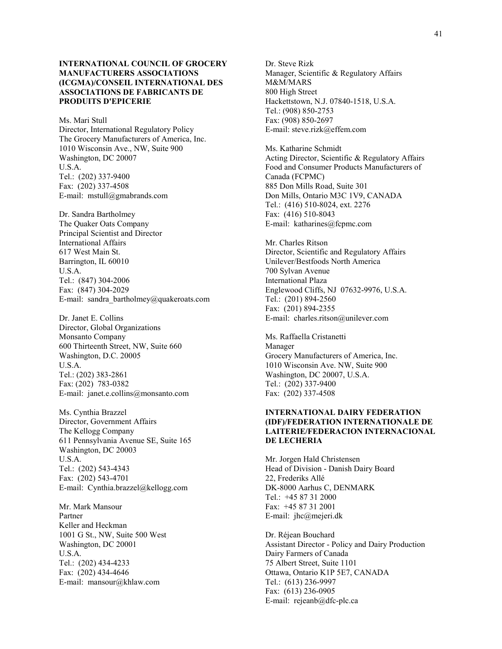## **INTERNATIONAL COUNCIL OF GROCERY MANUFACTURERS ASSOCIATIONS (ICGMA)/CONSEIL INTERNATIONAL DES ASSOCIATIONS DE FABRICANTS DE PRODUITS D'EPICERIE**

Ms. Mari Stull Director, International Regulatory Policy The Grocery Manufacturers of America, Inc. 1010 Wisconsin Ave., NW, Suite 900 Washington, DC 20007 U.S.A. Tel.: (202) 337-9400 Fax: (202) 337-4508 E-mail: mstull@gmabrands.com

Dr. Sandra Bartholmey The Quaker Oats Company Principal Scientist and Director International Affairs 617 West Main St. Barrington, IL 60010 U.S.A. Tel.: (847) 304-2006 Fax: (847) 304-2029 E-mail: sandra bartholmey@quakeroats.com

Dr. Janet E. Collins Director, Global Organizations Monsanto Company 600 Thirteenth Street, NW, Suite 660 Washington, D.C. 20005 U.S.A. Tel.: (202) 383-2861 Fax: (202) 783-0382 E-mail: janet.e.collins@monsanto.com

Ms. Cynthia Brazzel Director, Government Affairs The Kellogg Company 611 Pennsylvania Avenue SE, Suite 165 Washington, DC 20003 U.S.A. Tel.: (202) 543-4343 Fax: (202) 543-4701 E-mail: Cynthia.brazzel@kellogg.com

Mr. Mark Mansour Partner Keller and Heckman 1001 G St., NW, Suite 500 West Washington, DC 20001 U.S.A. Tel.: (202) 434-4233 Fax: (202) 434-4646 E-mail: mansour@khlaw.com

Dr. Steve Rizk Manager, Scientific & Regulatory Affairs M&M/MARS 800 High Street Hackettstown, N.J. 07840-1518, U.S.A. Tel.: (908) 850-2753 Fax: (908) 850-2697 E-mail: steve.rizk@effem.com

Ms. Katharine Schmidt Acting Director, Scientific & Regulatory Affairs Food and Consumer Products Manufacturers of Canada (FCPMC) 885 Don Mills Road, Suite 301 Don Mills, Ontario M3C 1V9, CANADA Tel.: (416) 510-8024, ext. 2276 Fax: (416) 510-8043 E-mail: katharines@fcpmc.com

Mr. Charles Ritson Director, Scientific and Regulatory Affairs Unilever/Bestfoods North America 700 Sylvan Avenue International Plaza Englewood Cliffs, NJ 07632-9976, U.S.A. Tel.: (201) 894-2560 Fax: (201) 894-2355 E-mail: charles.ritson@unilever.com

Ms. Raffaella Cristanetti Manager Grocery Manufacturers of America, Inc. 1010 Wisconsin Ave. NW, Suite 900 Washington, DC 20007, U.S.A. Tel.: (202) 337-9400 Fax: (202) 337-4508

## **INTERNATIONAL DAIRY FEDERATION (IDF)/FEDERATION INTERNATIONALE DE LAITERIE/FEDERACION INTERNACIONAL DE LECHERIA**

Mr. Jorgen Hald Christensen Head of Division - Danish Dairy Board 22, Frederiks Allé DK-8000 Aarhus C, DENMARK Tel.: +45 87 31 2000 Fax: +45 87 31 2001 E-mail: jhc@mejeri.dk

Dr. Réjean Bouchard Assistant Director - Policy and Dairy Production Dairy Farmers of Canada 75 Albert Street, Suite 1101 Ottawa, Ontario K1P 5E7, CANADA Tel.: (613) 236-9997 Fax: (613) 236-0905 E-mail: rejeanb@dfc-plc.ca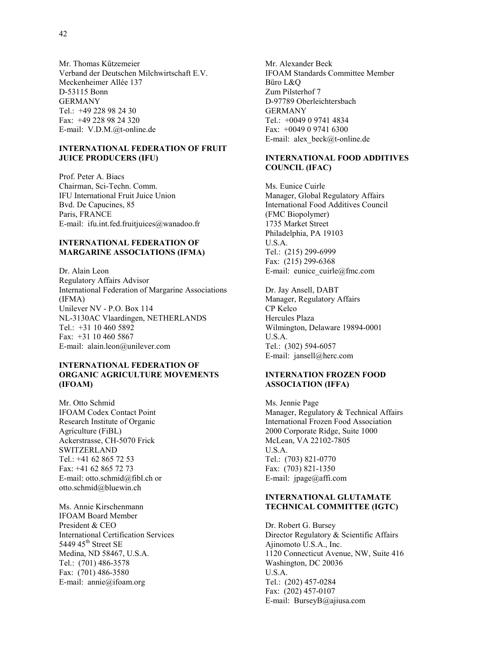Mr. Thomas Kűtzemeier Verband der Deutschen Milchwirtschaft E.V. Meckenheimer Allée 137 D-53115 Bonn GERMANY Tel.: +49 228 98 24 30 Fax: +49 228 98 24 320 E-mail: V.D.M.@t-online.de

## **INTERNATIONAL FEDERATION OF FRUIT JUICE PRODUCERS (IFU)**

Prof. Peter A. Biacs Chairman, Sci-Techn. Comm. IFU International Fruit Juice Union Bvd. De Capucines, 85 Paris, FRANCE E-mail: ifu.int.fed.fruitjuices@wanadoo.fr

#### **INTERNATIONAL FEDERATION OF MARGARINE ASSOCIATIONS (IFMA)**

Dr. Alain Leon Regulatory Affairs Advisor International Federation of Margarine Associations (IFMA) Unilever NV - P.O. Box 114 NL-3130AC Vlaardingen, NETHERLANDS Tel.: +31 10 460 5892 Fax: +31 10 460 5867 E-mail: alain.leon@unilever.com

### **INTERNATIONAL FEDERATION OF ORGANIC AGRICULTURE MOVEMENTS (IFOAM)**

Mr. Otto Schmid IFOAM Codex Contact Point Research Institute of Organic Agriculture (FiBL) Ackerstrasse, CH-5070 Frick SWITZERLAND Tel.: +41 62 865 72 53 Fax: +41 62 865 72 73 E-mail: otto.schmid@fibl.ch or otto.schmid@bluewin.ch

Ms. Annie Kirschenmann IFOAM Board Member President & CEO International Certification Services 5449 45<sup>th</sup> Street SE Medina, ND 58467, U.S.A. Tel.: (701) 486-3578 Fax: (701) 486-3580 E-mail: annie@ifoam.org

Mr. Alexander Beck IFOAM Standards Committee Member Büro L&Q Zum Pilsterhof 7 D-97789 Oberleichtersbach GERMANY Tel.: +0049 0 9741 4834 Fax: +0049 0 9741 6300 E-mail: alex\_beck@t-online.de

## **INTERNATIONAL FOOD ADDITIVES COUNCIL (IFAC)**

Ms. Eunice Cuirle Manager, Global Regulatory Affairs International Food Additives Council (FMC Biopolymer) 1735 Market Street Philadelphia, PA 19103 U.S.A. Tel.: (215) 299-6999 Fax: (215) 299-6368 E-mail: eunice\_cuirle@fmc.com

Dr. Jay Ansell, DABT Manager, Regulatory Affairs CP Kelco Hercules Plaza Wilmington, Delaware 19894-0001 U.S.A. Tel.: (302) 594-6057 E-mail: jansell@herc.com

## **INTERNATION FROZEN FOOD ASSOCIATION (IFFA)**

Ms. Jennie Page Manager, Regulatory & Technical Affairs International Frozen Food Association 2000 Corporate Ridge, Suite 1000 McLean, VA 22102-7805 U.S.A. Tel.: (703) 821-0770 Fax: (703) 821-1350 E-mail: jpage@affi.com

#### **INTERNATIONAL GLUTAMATE TECHNICAL COMMITTEE (IGTC)**

Dr. Robert G. Bursey Director Regulatory & Scientific Affairs Ajinomoto U.S.A., Inc. 1120 Connecticut Avenue, NW, Suite 416 Washington, DC 20036 U.S.A. Tel.: (202) 457-0284 Fax: (202) 457-0107 E-mail: BurseyB@ajiusa.com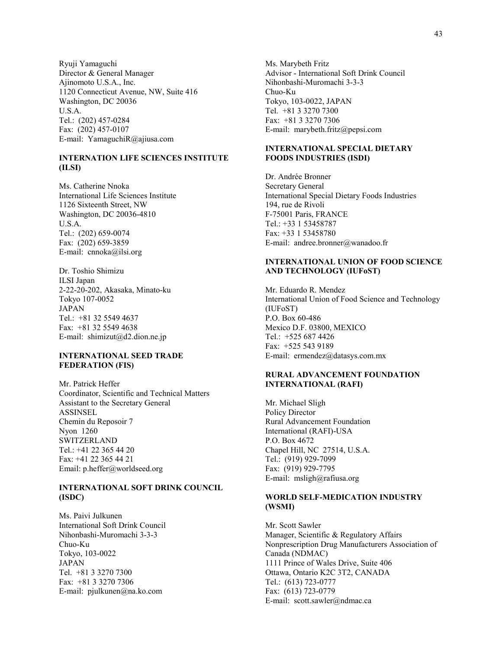Ryuji Yamaguchi Director & General Manager Ajinomoto U.S.A., Inc. 1120 Connecticut Avenue, NW, Suite 416 Washington, DC 20036 U.S.A. Tel.: (202) 457-0284 Fax: (202) 457-0107 E-mail: YamaguchiR@ajiusa.com

## **INTERNATION LIFE SCIENCES INSTITUTE (ILSI)**

Ms. Catherine Nnoka International Life Sciences Institute 1126 Sixteenth Street, NW Washington, DC 20036-4810 U.S.A. Tel.: (202) 659-0074 Fax: (202) 659-3859 E-mail: cnnoka@ilsi.org

Dr. Toshio Shimizu ILSI Japan 2-22-20-202, Akasaka, Minato-ku Tokyo 107-0052 JAPAN Tel.: +81 32 5549 4637 Fax: +81 32 5549 4638 E-mail: shimizut@d2.dion.ne.jp

#### **INTERNATIONAL SEED TRADE FEDERATION (FIS)**

Mr. Patrick Heffer Coordinator, Scientific and Technical Matters Assistant to the Secretary General ASSINSEL Chemin du Reposoir 7 Nyon 1260 SWITZERLAND Tel.: +41 22 365 44 20 Fax: +41 22 365 44 21 Email: p.heffer@worldseed.org

## **INTERNATIONAL SOFT DRINK COUNCIL (ISDC)**

Ms. Paivi Julkunen International Soft Drink Council Nihonbashi-Muromachi 3-3-3 Chuo-Ku Tokyo, 103-0022 JAPAN Tel. +81 3 3270 7300 Fax: +81 3 3270 7306 E-mail: pjulkunen@na.ko.com

Ms. Marybeth Fritz Advisor - International Soft Drink Council Nihonbashi-Muromachi 3-3-3 Chuo-Ku Tokyo, 103-0022, JAPAN Tel. +81 3 3270 7300 Fax: +81 3 3270 7306 E-mail: marybeth.fritz@pepsi.com

## **INTERNATIONAL SPECIAL DIETARY FOODS INDUSTRIES (ISDI)**

Dr. Andrée Bronner Secretary General International Special Dietary Foods Industries 194, rue de Rivoli F-75001 Paris, FRANCE Tel.: +33 1 53458787 Fax: +33 1 53458780 E-mail: andree.bronner@wanadoo.fr

### **INTERNATIONAL UNION OF FOOD SCIENCE AND TECHNOLOGY (IUFoST)**

Mr. Eduardo R. Mendez International Union of Food Science and Technology (IUFoST) P.O. Box 60-486 Mexico D.F. 03800, MEXICO Tel.: +525 687 4426 Fax: +525 543 9189 E-mail: ermendez@datasys.com.mx

## **RURAL ADVANCEMENT FOUNDATION INTERNATIONAL (RAFI)**

Mr. Michael Sligh Policy Director Rural Advancement Foundation International (RAFI)-USA P.O. Box 4672 Chapel Hill, NC 27514, U.S.A. Tel.: (919) 929-7099 Fax: (919) 929-7795 E-mail: msligh@rafiusa.org

## **WORLD SELF-MEDICATION INDUSTRY (WSMI)**

Mr. Scott Sawler Manager, Scientific & Regulatory Affairs Nonprescription Drug Manufacturers Association of Canada (NDMAC) 1111 Prince of Wales Drive, Suite 406 Ottawa, Ontario K2C 3T2, CANADA Tel.: (613) 723-0777 Fax: (613) 723-0779 E-mail: scott.sawler@ndmac.ca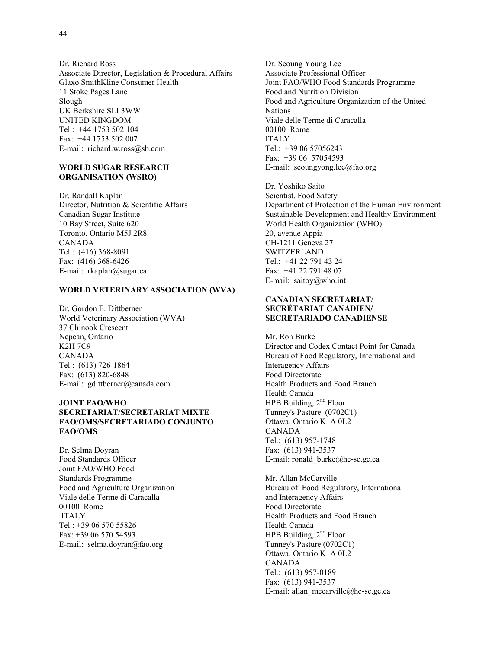Dr. Richard Ross Associate Director, Legislation & Procedural Affairs Glaxo SmithKline Consumer Health 11 Stoke Pages Lane Slough UK Berkshire SLI 3WW UNITED KINGDOM Tel.: +44 1753 502 104 Fax: +44 1753 502 007 E-mail: richard.w.ross@sb.com

### **WORLD SUGAR RESEARCH ORGANISATION (WSRO)**

Dr. Randall Kaplan Director, Nutrition & Scientific Affairs Canadian Sugar Institute 10 Bay Street, Suite 620 Toronto, Ontario M5J 2R8 CANADA Tel.: (416) 368-8091 Fax: (416) 368-6426 E-mail: rkaplan@sugar.ca

#### **WORLD VETERINARY ASSOCIATION (WVA)**

Dr. Gordon E. Dittberner World Veterinary Association (WVA) 37 Chinook Crescent Nepean, Ontario K2H 7C9 CANADA Tel.: (613) 726-1864 Fax: (613) 820-6848 E-mail: gdittberner@canada.com

## **JOINT FAO/WHO SECRETARIAT/SECRÉTARIAT MIXTE FAO/OMS/SECRETARIADO CONJUNTO FAO/OMS**

Dr. Selma Doyran Food Standards Officer Joint FAO/WHO Food Standards Programme Food and Agriculture Organization Viale delle Terme di Caracalla 00100 Rome ITALY Tel.: +39 06 570 55826 Fax: +39 06 570 54593 E-mail: selma.doyran@fao.org

Dr. Seoung Young Lee Associate Professional Officer Joint FAO/WHO Food Standards Programme Food and Nutrition Division Food and Agriculture Organization of the United Nations Viale delle Terme di Caracalla 00100 Rome ITALY Tel.: +39 06 57056243 Fax: +39 06 57054593 E-mail: seoungyong.lee@fao.org

Dr. Yoshiko Saito Scientist, Food Safety Department of Protection of the Human Environment Sustainable Development and Healthy Environment World Health Organization (WHO) 20, avenue Appia CH-1211 Geneva 27 SWITZERLAND Tel.: +41 22 791 43 24 Fax: +41 22 791 48 07 E-mail: saitoy@who.int

### **CANADIAN SECRETARIAT/ SECRÉTARIAT CANADIEN/ SECRETARIADO CANADIENSE**

Mr. Ron Burke Director and Codex Contact Point for Canada Bureau of Food Regulatory, International and Interagency Affairs Food Directorate Health Products and Food Branch Health Canada HPB Building, 2<sup>nd</sup> Floor Tunney's Pasture (0702C1) Ottawa, Ontario K1A 0L2 CANADA Tel.: (613) 957-1748 Fax: (613) 941-3537 E-mail: ronald\_burke@hc-sc.gc.ca

Mr. Allan McCarville Bureau of Food Regulatory, International and Interagency Affairs Food Directorate Health Products and Food Branch Health Canada HPB Building, 2<sup>nd</sup> Floor Tunney's Pasture (0702C1) Ottawa, Ontario K1A 0L2 CANADA Tel.: (613) 957-0189 Fax: (613) 941-3537 E-mail: allan\_mccarville@hc-sc.gc.ca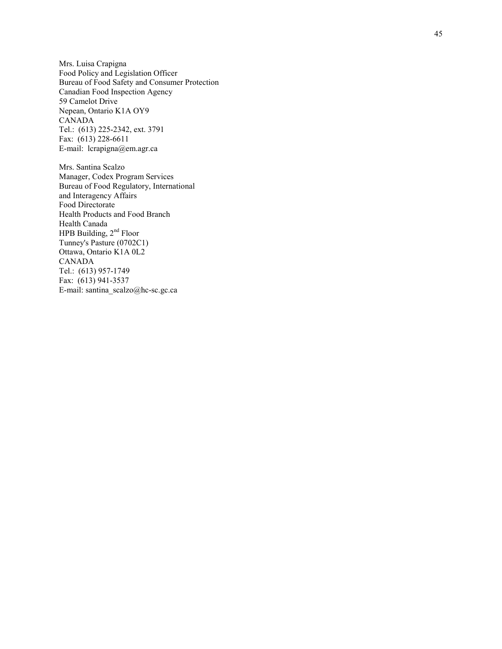Mrs. Luisa Crapigna Food Policy and Legislation Officer Bureau of Food Safety and Consumer Protection Canadian Food Inspection Agency 59 Camelot Drive Nepean, Ontario K1A OY9 CANADA Tel.: (613) 225-2342, ext. 3791 Fax: (613) 228-6611 E-mail: lcrapigna@em.agr.ca

Mrs. Santina Scalzo Manager, Codex Program Services Bureau of Food Regulatory, International and Interagency Affairs Food Directorate Health Products and Food Branch Health Canada HPB Building, 2<sup>nd</sup> Floor Tunney's Pasture (0702C1) Ottawa, Ontario K1A 0L2 CANADA Tel.: (613) 957-1749 Fax: (613) 941-3537 E-mail: santina\_scalzo@hc-sc.gc.ca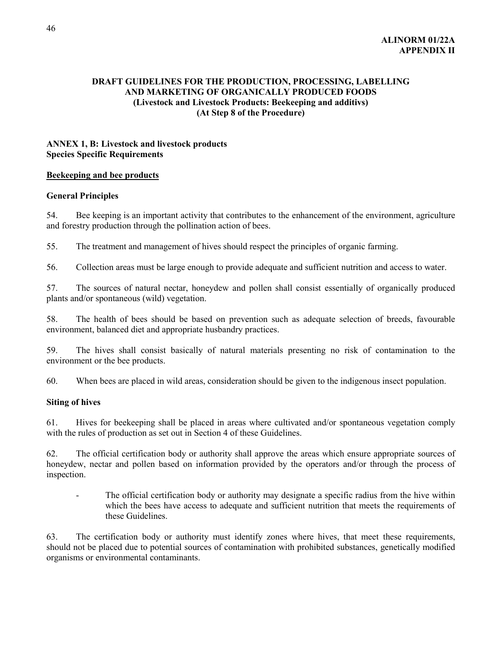# **DRAFT GUIDELINES FOR THE PRODUCTION, PROCESSING, LABELLING AND MARKETING OF ORGANICALLY PRODUCED FOODS (Livestock and Livestock Products: Beekeeping and additivs) (At Step 8 of the Procedure)**

# **ANNEX 1, B: Livestock and livestock products Species Specific Requirements**

## **Beekeeping and bee products**

## **General Principles**

54. Bee keeping is an important activity that contributes to the enhancement of the environment, agriculture and forestry production through the pollination action of bees.

55. The treatment and management of hives should respect the principles of organic farming.

56. Collection areas must be large enough to provide adequate and sufficient nutrition and access to water.

57. The sources of natural nectar, honeydew and pollen shall consist essentially of organically produced plants and/or spontaneous (wild) vegetation.

58. The health of bees should be based on prevention such as adequate selection of breeds, favourable environment, balanced diet and appropriate husbandry practices.

59. The hives shall consist basically of natural materials presenting no risk of contamination to the environment or the bee products.

60. When bees are placed in wild areas, consideration should be given to the indigenous insect population.

# **Siting of hives**

61. Hives for beekeeping shall be placed in areas where cultivated and/or spontaneous vegetation comply with the rules of production as set out in Section 4 of these Guidelines.

62. The official certification body or authority shall approve the areas which ensure appropriate sources of honeydew, nectar and pollen based on information provided by the operators and/or through the process of inspection.

The official certification body or authority may designate a specific radius from the hive within which the bees have access to adequate and sufficient nutrition that meets the requirements of these Guidelines.

63. The certification body or authority must identify zones where hives, that meet these requirements, should not be placed due to potential sources of contamination with prohibited substances, genetically modified organisms or environmental contaminants.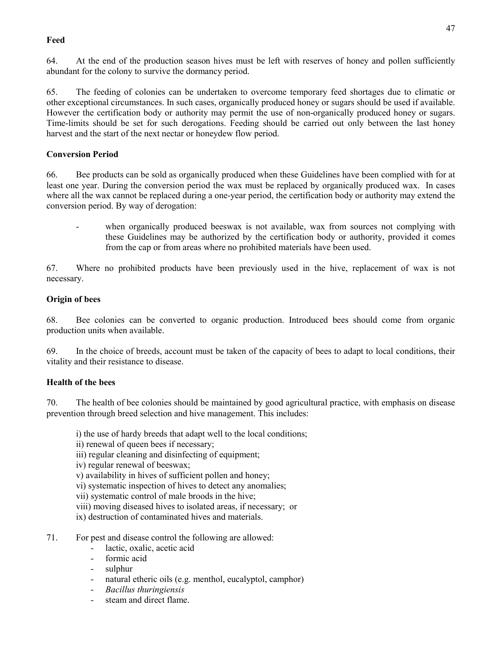# **Feed**

64. At the end of the production season hives must be left with reserves of honey and pollen sufficiently abundant for the colony to survive the dormancy period.

65. The feeding of colonies can be undertaken to overcome temporary feed shortages due to climatic or other exceptional circumstances. In such cases, organically produced honey or sugars should be used if available. However the certification body or authority may permit the use of non-organically produced honey or sugars. Time-limits should be set for such derogations. Feeding should be carried out only between the last honey harvest and the start of the next nectar or honeydew flow period.

# **Conversion Period**

66. Bee products can be sold as organically produced when these Guidelines have been complied with for at least one year. During the conversion period the wax must be replaced by organically produced wax. In cases where all the wax cannot be replaced during a one-year period, the certification body or authority may extend the conversion period. By way of derogation:

when organically produced beeswax is not available, wax from sources not complying with these Guidelines may be authorized by the certification body or authority, provided it comes from the cap or from areas where no prohibited materials have been used.

67. Where no prohibited products have been previously used in the hive, replacement of wax is not necessary.

# **Origin of bees**

68. Bee colonies can be converted to organic production. Introduced bees should come from organic production units when available.

69. In the choice of breeds, account must be taken of the capacity of bees to adapt to local conditions, their vitality and their resistance to disease.

# **Health of the bees**

70. The health of bee colonies should be maintained by good agricultural practice, with emphasis on disease prevention through breed selection and hive management. This includes:

i) the use of hardy breeds that adapt well to the local conditions;

- ii) renewal of queen bees if necessary;
- iii) regular cleaning and disinfecting of equipment;
- iv) regular renewal of beeswax;
- v) availability in hives of sufficient pollen and honey;
- vi) systematic inspection of hives to detect any anomalies;

vii) systematic control of male broods in the hive;

viii) moving diseased hives to isolated areas, if necessary; or

ix) destruction of contaminated hives and materials.

- 71. For pest and disease control the following are allowed:
	- lactic, oxalic, acetic acid
	- formic acid
	- sulphur
	- natural etheric oils (e.g. menthol, eucalyptol, camphor)
	- *Bacillus thuringiensis*
	- steam and direct flame.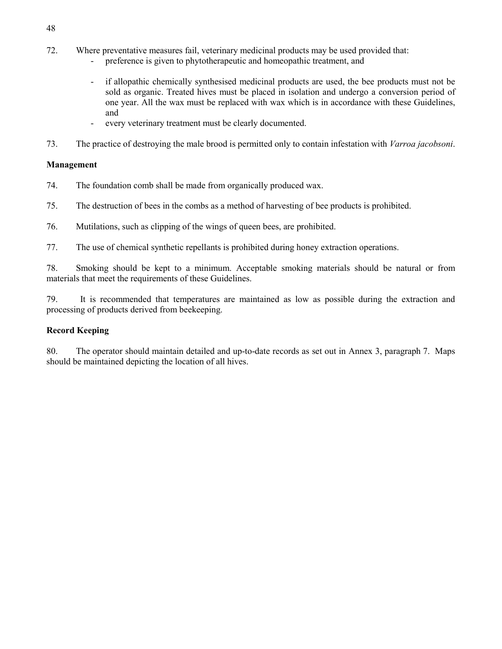- 72. Where preventative measures fail, veterinary medicinal products may be used provided that:
	- preference is given to phytotherapeutic and homeopathic treatment, and
	- if allopathic chemically synthesised medicinal products are used, the bee products must not be sold as organic. Treated hives must be placed in isolation and undergo a conversion period of one year. All the wax must be replaced with wax which is in accordance with these Guidelines, and
	- every veterinary treatment must be clearly documented.
- 73. The practice of destroying the male brood is permitted only to contain infestation with *Varroa jacobsoni*.

# **Management**

- 74. The foundation comb shall be made from organically produced wax.
- 75. The destruction of bees in the combs as a method of harvesting of bee products is prohibited.
- 76. Mutilations, such as clipping of the wings of queen bees, are prohibited.
- 77. The use of chemical synthetic repellants is prohibited during honey extraction operations.

78. Smoking should be kept to a minimum. Acceptable smoking materials should be natural or from materials that meet the requirements of these Guidelines.

79. It is recommended that temperatures are maintained as low as possible during the extraction and processing of products derived from beekeeping.

# **Record Keeping**

80. The operator should maintain detailed and up-to-date records as set out in Annex 3, paragraph 7. Maps should be maintained depicting the location of all hives.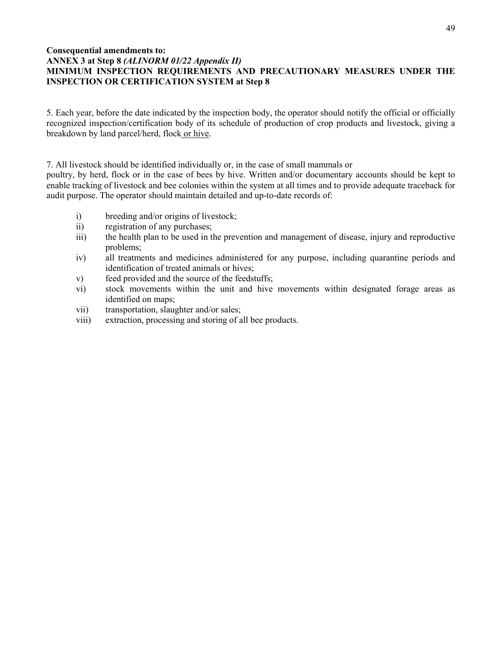# **Consequential amendments to: ANNEX 3 at Step 8** *(ALINORM 01/22 Appendix II)* **MINIMUM INSPECTION REQUIREMENTS AND PRECAUTIONARY MEASURES UNDER THE INSPECTION OR CERTIFICATION SYSTEM at Step 8**

5. Each year, before the date indicated by the inspection body, the operator should notify the official or officially recognized inspection/certification body of its schedule of production of crop products and livestock, giving a breakdown by land parcel/herd, flock or hive.

7. All livestock should be identified individually or, in the case of small mammals or

poultry, by herd, flock or in the case of bees by hive. Written and/or documentary accounts should be kept to enable tracking of livestock and bee colonies within the system at all times and to provide adequate traceback for audit purpose. The operator should maintain detailed and up-to-date records of:

- i) breeding and/or origins of livestock;
- ii) registration of any purchases;
- iii) the health plan to be used in the prevention and management of disease, injury and reproductive problems;
- iv) all treatments and medicines administered for any purpose, including quarantine periods and identification of treated animals or hives;
- v) feed provided and the source of the feedstuffs;
- vi) stock movements within the unit and hive movements within designated forage areas as identified on maps;
- vii) transportation, slaughter and/or sales;
- viii) extraction, processing and storing of all bee products.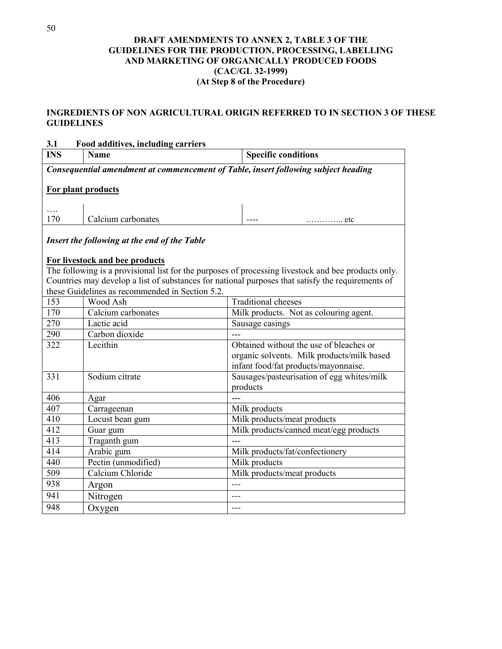# **DRAFT AMENDMENTS TO ANNEX 2, TABLE 3 OF THE GUIDELINES FOR THE PRODUCTION, PROCESSING, LABELLING AND MARKETING OF ORGANICALLY PRODUCED FOODS (CAC/GL 32-1999) (At Step 8 of the Procedure)**

# **INGREDIENTS OF NON AGRICULTURAL ORIGIN REFERRED TO IN SECTION 3 OF THESE GUIDELINES**

| 3.1<br>Food additives, including carriers |                                                 |                                                                                                     |  |  |  |  |
|-------------------------------------------|-------------------------------------------------|-----------------------------------------------------------------------------------------------------|--|--|--|--|
| <b>INS</b>                                | <b>Name</b>                                     | <b>Specific conditions</b>                                                                          |  |  |  |  |
|                                           |                                                 | Consequential amendment at commencement of Table, insert following subject heading                  |  |  |  |  |
|                                           |                                                 |                                                                                                     |  |  |  |  |
|                                           | For plant products                              |                                                                                                     |  |  |  |  |
|                                           |                                                 |                                                                                                     |  |  |  |  |
| .                                         |                                                 |                                                                                                     |  |  |  |  |
| 170                                       | Calcium carbonates                              | . etc                                                                                               |  |  |  |  |
|                                           | Insert the following at the end of the Table    |                                                                                                     |  |  |  |  |
|                                           |                                                 |                                                                                                     |  |  |  |  |
|                                           | For livestock and bee products                  |                                                                                                     |  |  |  |  |
|                                           |                                                 | The following is a provisional list for the purposes of processing livestock and bee products only. |  |  |  |  |
|                                           |                                                 | Countries may develop a list of substances for national purposes that satisfy the requirements of   |  |  |  |  |
|                                           | these Guidelines as recommended in Section 5.2. |                                                                                                     |  |  |  |  |
| 153                                       | Wood Ash                                        | <b>Traditional</b> cheeses                                                                          |  |  |  |  |
| 170                                       | Calcium carbonates                              | Milk products. Not as colouring agent.                                                              |  |  |  |  |
| 270                                       | Lactic acid                                     | Sausage casings                                                                                     |  |  |  |  |
| 290                                       | Carbon dioxide                                  |                                                                                                     |  |  |  |  |
| 322                                       | Lecithin                                        | Obtained without the use of bleaches or                                                             |  |  |  |  |
|                                           |                                                 | organic solvents. Milk products/milk based                                                          |  |  |  |  |
|                                           |                                                 | infant food/fat products/mayonnaise.                                                                |  |  |  |  |
| 331                                       | Sodium citrate                                  | Sausages/pasteurisation of egg whites/milk                                                          |  |  |  |  |
|                                           |                                                 | products                                                                                            |  |  |  |  |
| 406                                       | Agar                                            |                                                                                                     |  |  |  |  |
| 407                                       | Carrageenan                                     | Milk products                                                                                       |  |  |  |  |
| 410                                       | Locust bean gum                                 | Milk products/meat products                                                                         |  |  |  |  |
| 412                                       | Guar gum                                        | Milk products/canned meat/egg products                                                              |  |  |  |  |
| 413                                       | Traganth gum                                    |                                                                                                     |  |  |  |  |
| 414                                       | Arabic gum                                      | Milk products/fat/confectionery                                                                     |  |  |  |  |
| 440                                       | Pectin (unmodified)                             | Milk products                                                                                       |  |  |  |  |
| 509                                       | Calcium Chloride                                | Milk products/meat products                                                                         |  |  |  |  |
| 938                                       | Argon                                           |                                                                                                     |  |  |  |  |
| 941                                       | Nitrogen                                        | ---                                                                                                 |  |  |  |  |
| 948                                       | Oxygen                                          | ---                                                                                                 |  |  |  |  |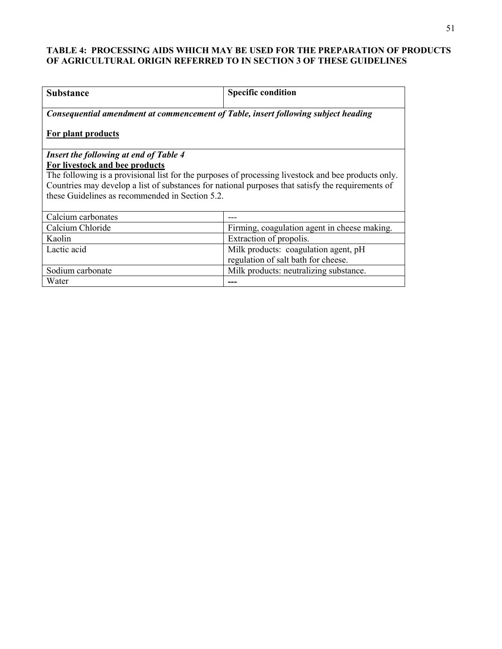# **TABLE 4: PROCESSING AIDS WHICH MAY BE USED FOR THE PREPARATION OF PRODUCTS OF AGRICULTURAL ORIGIN REFERRED TO IN SECTION 3 OF THESE GUIDELINES**

| <b>Substance</b>                                                                                    | <b>Specific condition</b>                    |  |  |  |  |
|-----------------------------------------------------------------------------------------------------|----------------------------------------------|--|--|--|--|
| Consequential amendment at commencement of Table, insert following subject heading                  |                                              |  |  |  |  |
| For plant products                                                                                  |                                              |  |  |  |  |
| <b>Insert the following at end of Table 4</b>                                                       |                                              |  |  |  |  |
| For livestock and bee products                                                                      |                                              |  |  |  |  |
| The following is a provisional list for the purposes of processing livestock and bee products only. |                                              |  |  |  |  |
| Countries may develop a list of substances for national purposes that satisfy the requirements of   |                                              |  |  |  |  |
| these Guidelines as recommended in Section 5.2.                                                     |                                              |  |  |  |  |
| Calcium carbonates                                                                                  |                                              |  |  |  |  |
| Calcium Chloride                                                                                    | Firming, coagulation agent in cheese making. |  |  |  |  |
| Kaolin                                                                                              | Extraction of propolis.                      |  |  |  |  |
| Lactic acid                                                                                         | Milk products: coagulation agent, pH         |  |  |  |  |
|                                                                                                     | regulation of salt bath for cheese.          |  |  |  |  |
| Sodium carbonate                                                                                    | Milk products: neutralizing substance.       |  |  |  |  |
| Water                                                                                               |                                              |  |  |  |  |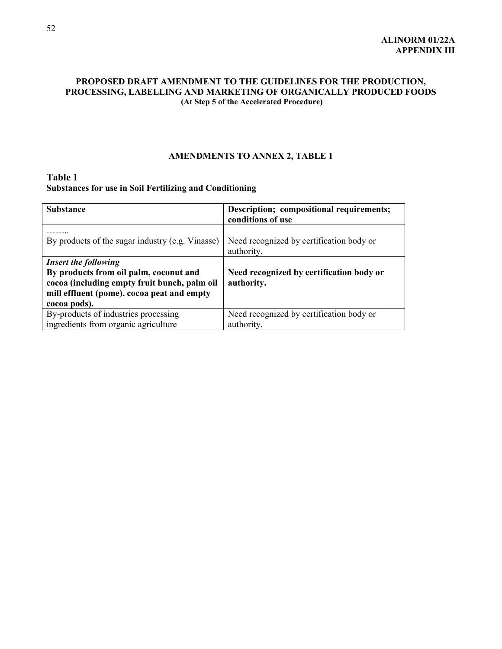# **PROPOSED DRAFT AMENDMENT TO THE GUIDELINES FOR THE PRODUCTION, PROCESSING, LABELLING AND MARKETING OF ORGANICALLY PRODUCED FOODS (At Step 5 of the Accelerated Procedure)**

# **AMENDMENTS TO ANNEX 2, TABLE 1**

# **Table 1 Substances for use in Soil Fertilizing and Conditioning**

| <b>Substance</b>                                                                                                                                                                    | Description; compositional requirements;<br>conditions of use |
|-------------------------------------------------------------------------------------------------------------------------------------------------------------------------------------|---------------------------------------------------------------|
| By products of the sugar industry (e.g. Vinasse)                                                                                                                                    | Need recognized by certification body or<br>authority.        |
| <b>Insert the following</b><br>By products from oil palm, coconut and<br>cocoa (including empty fruit bunch, palm oil<br>mill effluent (pome), cocoa peat and empty<br>cocoa pods). | Need recognized by certification body or<br>authority.        |
| By-products of industries processing<br>ingredients from organic agriculture                                                                                                        | Need recognized by certification body or<br>authority.        |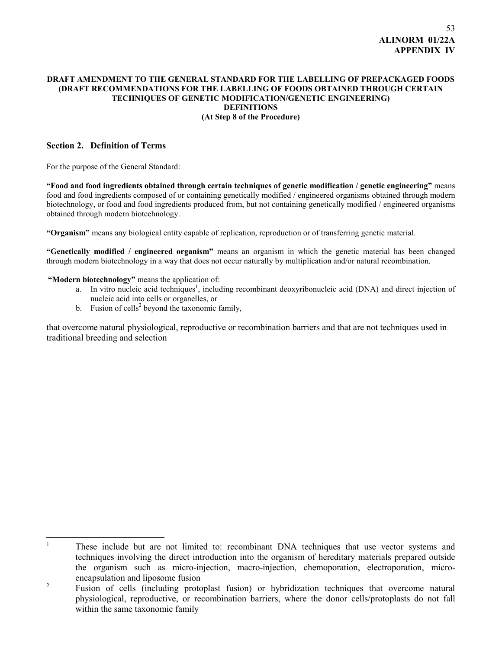## **DRAFT AMENDMENT TO THE GENERAL STANDARD FOR THE LABELLING OF PREPACKAGED FOODS (DRAFT RECOMMENDATIONS FOR THE LABELLING OF FOODS OBTAINED THROUGH CERTAIN TECHNIQUES OF GENETIC MODIFICATION/GENETIC ENGINEERING) DEFINITIONS (At Step 8 of the Procedure)**

## **Section 2. Definition of Terms**

For the purpose of the General Standard:

**"Food and food ingredients obtained through certain techniques of genetic modification / genetic engineering"** means food and food ingredients composed of or containing genetically modified / engineered organisms obtained through modern biotechnology, or food and food ingredients produced from, but not containing genetically modified / engineered organisms obtained through modern biotechnology.

**"Organism"** means any biological entity capable of replication, reproduction or of transferring genetic material.

**"Genetically modified / engineered organism"** means an organism in which the genetic material has been changed through modern biotechnology in a way that does not occur naturally by multiplication and/or natural recombination.

**"Modern biotechnology"** means the application of:

- a. In vitro nucleic acid techniques<sup>1</sup>, including recombinant deoxyribonucleic acid (DNA) and direct injection of nucleic acid into cells or organelles, or
- b. Fusion of cells<sup>2</sup> beyond the taxonomic family,

that overcome natural physiological, reproductive or recombination barriers and that are not techniques used in traditional breeding and selection

 $\frac{1}{1}$  These include but are not limited to: recombinant DNA techniques that use vector systems and techniques involving the direct introduction into the organism of hereditary materials prepared outside the organism such as micro-injection, macro-injection, chemoporation, electroporation, microencapsulation and liposome fusion

2 Fusion of cells (including protoplast fusion) or hybridization techniques that overcome natural physiological, reproductive, or recombination barriers, where the donor cells/protoplasts do not fall within the same taxonomic family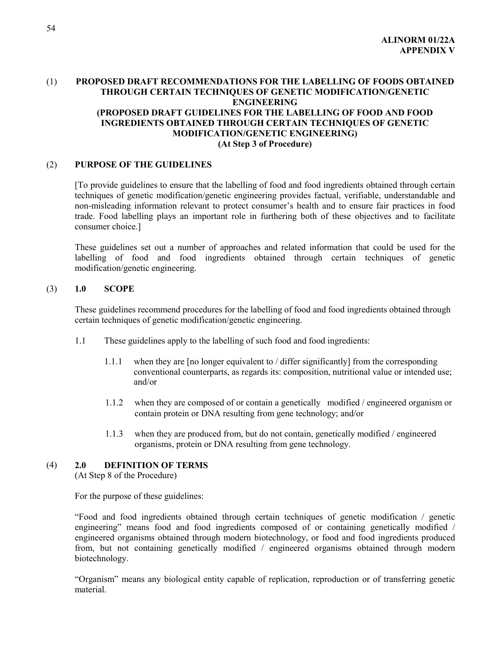# (1) **PROPOSED DRAFT RECOMMENDATIONS FOR THE LABELLING OF FOODS OBTAINED THROUGH CERTAIN TECHNIQUES OF GENETIC MODIFICATION/GENETIC ENGINEERING (PROPOSED DRAFT GUIDELINES FOR THE LABELLING OF FOOD AND FOOD INGREDIENTS OBTAINED THROUGH CERTAIN TECHNIQUES OF GENETIC MODIFICATION/GENETIC ENGINEERING) (At Step 3 of Procedure)**

# (2) **PURPOSE OF THE GUIDELINES**

[To provide guidelines to ensure that the labelling of food and food ingredients obtained through certain techniques of genetic modification/genetic engineering provides factual, verifiable, understandable and non-misleading information relevant to protect consumer's health and to ensure fair practices in food trade. Food labelling plays an important role in furthering both of these objectives and to facilitate consumer choice.]

These guidelines set out a number of approaches and related information that could be used for the labelling of food and food ingredients obtained through certain techniques of genetic modification/genetic engineering.

## (3) **1.0 SCOPE**

These guidelines recommend procedures for the labelling of food and food ingredients obtained through certain techniques of genetic modification/genetic engineering.

- 1.1 These guidelines apply to the labelling of such food and food ingredients:
	- 1.1.1 when they are [no longer equivalent to / differ significantly] from the corresponding conventional counterparts, as regards its: composition, nutritional value or intended use; and/or
	- 1.1.2 when they are composed of or contain a genetically modified / engineered organism or contain protein or DNA resulting from gene technology; and/or
	- 1.1.3 when they are produced from, but do not contain, genetically modified / engineered organisms, protein or DNA resulting from gene technology.

# (4) **2.0 DEFINITION OF TERMS**

(At Step 8 of the Procedure)

For the purpose of these guidelines:

"Food and food ingredients obtained through certain techniques of genetic modification / genetic engineering" means food and food ingredients composed of or containing genetically modified / engineered organisms obtained through modern biotechnology, or food and food ingredients produced from, but not containing genetically modified / engineered organisms obtained through modern biotechnology.

"Organism" means any biological entity capable of replication, reproduction or of transferring genetic material.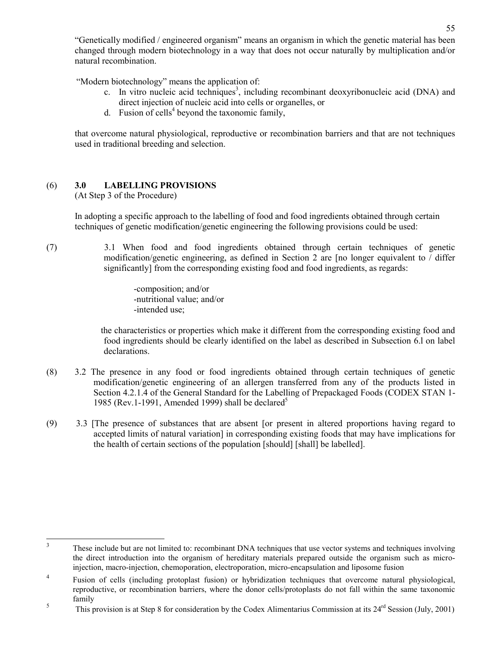"Genetically modified / engineered organism" means an organism in which the genetic material has been changed through modern biotechnology in a way that does not occur naturally by multiplication and/or natural recombination.

"Modern biotechnology" means the application of:

- c. In vitro nucleic acid techniques<sup>3</sup>, including recombinant deoxyribonucleic acid (DNA) and direct injection of nucleic acid into cells or organelles, or
- d. Fusion of cells<sup>4</sup> beyond the taxonomic family,

that overcome natural physiological, reproductive or recombination barriers and that are not techniques used in traditional breeding and selection.

# (6) **3.0 LABELLING PROVISIONS**

(At Step 3 of the Procedure)

In adopting a specific approach to the labelling of food and food ingredients obtained through certain techniques of genetic modification/genetic engineering the following provisions could be used:

(7) 3.1 When food and food ingredients obtained through certain techniques of genetic modification/genetic engineering, as defined in Section 2 are [no longer equivalent to / differ significantly] from the corresponding existing food and food ingredients, as regards:

> -composition; and/or -nutritional value; and/or -intended use;

 the characteristics or properties which make it different from the corresponding existing food and food ingredients should be clearly identified on the label as described in Subsection 6.l on label declarations.

- (8) 3.2 The presence in any food or food ingredients obtained through certain techniques of genetic modification/genetic engineering of an allergen transferred from any of the products listed in Section 4.2.1.4 of the General Standard for the Labelling of Prepackaged Foods (CODEX STAN 1- 1985 (Rev. 1-1991, Amended 1999) shall be declared<sup>5</sup>
- (9) 3.3 [The presence of substances that are absent [or present in altered proportions having regard to accepted limits of natural variation] in corresponding existing foods that may have implications for the health of certain sections of the population [should] [shall] be labelled].

 $\overline{\mathbf{3}}$ These include but are not limited to: recombinant DNA techniques that use vector systems and techniques involving the direct introduction into the organism of hereditary materials prepared outside the organism such as microinjection, macro-injection, chemoporation, electroporation, micro-encapsulation and liposome fusion

<sup>&</sup>lt;sup>4</sup> Fusion of cells (including protoplast fusion) or hybridization techniques that overcome natural physiological, reproductive, or recombination barriers, where the donor cells/protoplasts do not fall within the same taxonomic family

<sup>&</sup>lt;sup>5</sup> This provision is at Step 8 for consideration by the Codex Alimentarius Commission at its 24<sup>rd</sup> Session (July, 2001)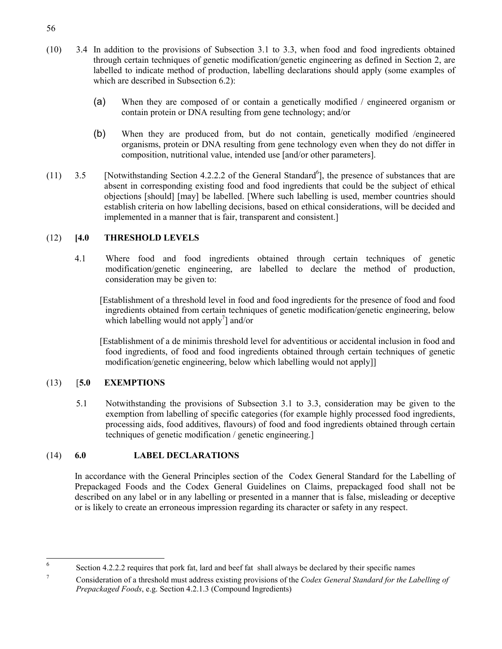- (10) 3.4 In addition to the provisions of Subsection 3.1 to 3.3, when food and food ingredients obtained through certain techniques of genetic modification/genetic engineering as defined in Section 2, are labelled to indicate method of production, labelling declarations should apply (some examples of which are described in Subsection 6.2):
	- (a) When they are composed of or contain a genetically modified / engineered organism or contain protein or DNA resulting from gene technology; and/or
	- (b) When they are produced from, but do not contain, genetically modified /engineered organisms, protein or DNA resulting from gene technology even when they do not differ in composition, nutritional value, intended use [and/or other parameters].
- $(11)$  3.5 [Notwithstanding Section 4.2.2.2 of the General Standard<sup>6</sup>], the presence of substances that are absent in corresponding existing food and food ingredients that could be the subject of ethical objections [should] [may] be labelled. [Where such labelling is used, member countries should establish criteria on how labelling decisions, based on ethical considerations, will be decided and implemented in a manner that is fair, transparent and consistent.]

# (12) **[4.0 THRESHOLD LEVELS**

4.1 Where food and food ingredients obtained through certain techniques of genetic modification/genetic engineering, are labelled to declare the method of production, consideration may be given to:

 [Establishment of a threshold level in food and food ingredients for the presence of food and food ingredients obtained from certain techniques of genetic modification/genetic engineering, below which labelling would not apply<sup>7</sup> and/or

 [Establishment of a de minimis threshold level for adventitious or accidental inclusion in food and food ingredients, of food and food ingredients obtained through certain techniques of genetic modification/genetic engineering, below which labelling would not apply]]

# (13) [**5.0 EXEMPTIONS**

5.1 Notwithstanding the provisions of Subsection 3.1 to 3.3, consideration may be given to the exemption from labelling of specific categories (for example highly processed food ingredients, processing aids, food additives, flavours) of food and food ingredients obtained through certain techniques of genetic modification / genetic engineering.]

# (14) **6.0 LABEL DECLARATIONS**

In accordance with the General Principles section of the Codex General Standard for the Labelling of Prepackaged Foods and the Codex General Guidelines on Claims, prepackaged food shall not be described on any label or in any labelling or presented in a manner that is false, misleading or deceptive or is likely to create an erroneous impression regarding its character or safety in any respect.

 $\overline{6}$ Section 4.2.2.2 requires that pork fat, lard and beef fat shall always be declared by their specific names

<sup>7</sup> Consideration of a threshold must address existing provisions of the *Codex General Standard for the Labelling of Prepackaged Foods*, e.g. Section 4.2.1.3 (Compound Ingredients)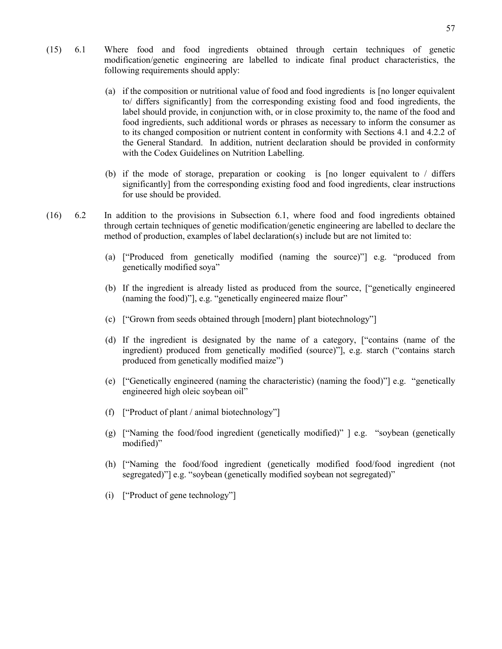- (15) 6.1 Where food and food ingredients obtained through certain techniques of genetic modification/genetic engineering are labelled to indicate final product characteristics, the following requirements should apply:
	- (a) if the composition or nutritional value of food and food ingredients is [no longer equivalent to/ differs significantly] from the corresponding existing food and food ingredients, the label should provide, in conjunction with, or in close proximity to, the name of the food and food ingredients, such additional words or phrases as necessary to inform the consumer as to its changed composition or nutrient content in conformity with Sections 4.1 and 4.2.2 of the General Standard. In addition, nutrient declaration should be provided in conformity with the Codex Guidelines on Nutrition Labelling.
	- (b) if the mode of storage, preparation or cooking is [no longer equivalent to / differs significantly] from the corresponding existing food and food ingredients, clear instructions for use should be provided.
- (16) 6.2 In addition to the provisions in Subsection 6.1, where food and food ingredients obtained through certain techniques of genetic modification/genetic engineering are labelled to declare the method of production, examples of label declaration(s) include but are not limited to:
	- (a) ["Produced from genetically modified (naming the source)"] e.g. "produced from genetically modified soya"
	- (b) If the ingredient is already listed as produced from the source, ["genetically engineered (naming the food)"], e.g. "genetically engineered maize flour"
	- (c) ["Grown from seeds obtained through [modern] plant biotechnology"]
	- (d) If the ingredient is designated by the name of a category, ["contains (name of the ingredient) produced from genetically modified (source)"], e.g. starch ("contains starch produced from genetically modified maize")
	- (e) ["Genetically engineered (naming the characteristic) (naming the food)"] e.g. "genetically engineered high oleic soybean oil"
	- (f) ["Product of plant / animal biotechnology"]
	- (g) ["Naming the food/food ingredient (genetically modified)" ] e.g. "soybean (genetically modified)"
	- (h) ["Naming the food/food ingredient (genetically modified food/food ingredient (not segregated)"] e.g. "soybean (genetically modified soybean not segregated)"
	- (i) ["Product of gene technology"]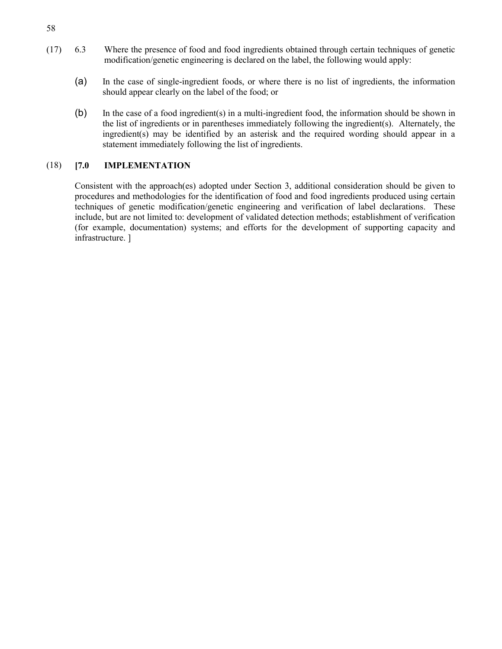- (17) 6.3 Where the presence of food and food ingredients obtained through certain techniques of genetic modification/genetic engineering is declared on the label, the following would apply:
	- (a) In the case of single-ingredient foods, or where there is no list of ingredients, the information should appear clearly on the label of the food; or
	- (b) In the case of a food ingredient(s) in a multi-ingredient food, the information should be shown in the list of ingredients or in parentheses immediately following the ingredient(s). Alternately, the ingredient(s) may be identified by an asterisk and the required wording should appear in a statement immediately following the list of ingredients.

# (18) **[7.0 IMPLEMENTATION**

Consistent with the approach(es) adopted under Section 3, additional consideration should be given to procedures and methodologies for the identification of food and food ingredients produced using certain techniques of genetic modification/genetic engineering and verification of label declarations. These include, but are not limited to: development of validated detection methods; establishment of verification (for example, documentation) systems; and efforts for the development of supporting capacity and infrastructure. ]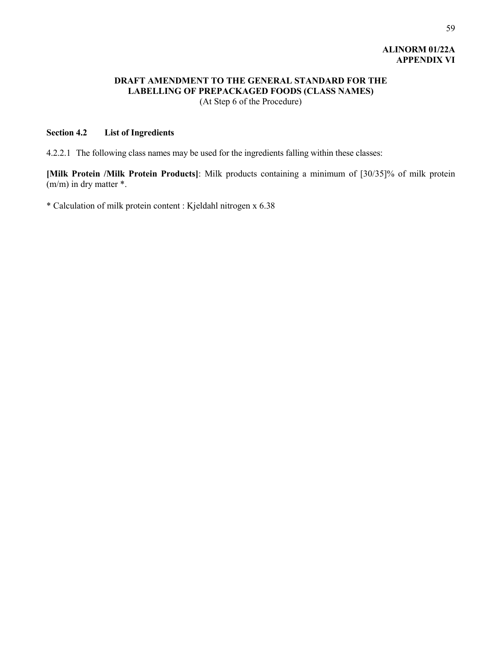# **ALINORM 01/22A APPENDIX VI**

# **DRAFT AMENDMENT TO THE GENERAL STANDARD FOR THE LABELLING OF PREPACKAGED FOODS (CLASS NAMES)** (At Step 6 of the Procedure)

# **Section 4.2 List of Ingredients**

4.2.2.1 The following class names may be used for the ingredients falling within these classes:

**[Milk Protein /Milk Protein Products]**: Milk products containing a minimum of [30/35]% of milk protein (m/m) in dry matter \*.

\* Calculation of milk protein content : Kjeldahl nitrogen x 6.38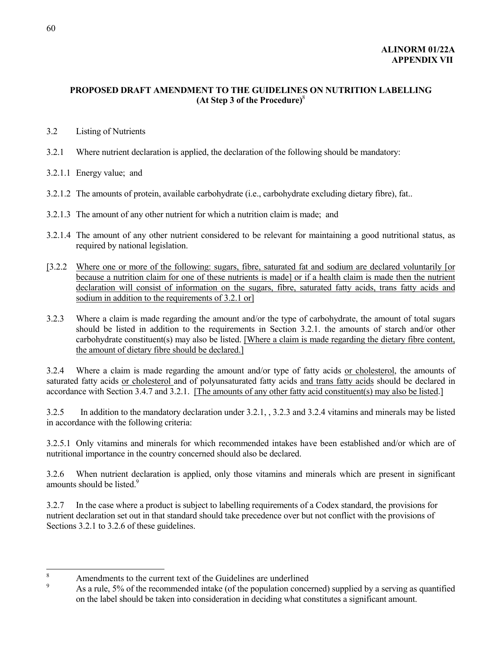# **PROPOSED DRAFT AMENDMENT TO THE GUIDELINES ON NUTRITION LABELLING (At Step 3 of the Procedure)**<sup>8</sup>

- 3.2 Listing of Nutrients
- 3.2.1 Where nutrient declaration is applied, the declaration of the following should be mandatory:
- 3.2.1.1 Energy value; and
- 3.2.1.2 The amounts of protein, available carbohydrate (i.e., carbohydrate excluding dietary fibre), fat..
- 3.2.1.3 The amount of any other nutrient for which a nutrition claim is made; and
- 3.2.1.4 The amount of any other nutrient considered to be relevant for maintaining a good nutritional status, as required by national legislation.
- [3.2.2 Where one or more of the following: sugars, fibre, saturated fat and sodium are declared voluntarily [or because a nutrition claim for one of these nutrients is made] or if a health claim is made then the nutrient declaration will consist of information on the sugars, fibre, saturated fatty acids, trans fatty acids and sodium in addition to the requirements of 3.2.1 or
- 3.2.3 Where a claim is made regarding the amount and/or the type of carbohydrate, the amount of total sugars should be listed in addition to the requirements in Section 3.2.1. the amounts of starch and/or other carbohydrate constituent(s) may also be listed. [Where a claim is made regarding the dietary fibre content, the amount of dietary fibre should be declared.]

3.2.4 Where a claim is made regarding the amount and/or type of fatty acids or cholesterol, the amounts of saturated fatty acids or cholesterol and of polyunsaturated fatty acids and trans fatty acids should be declared in accordance with Section 3.4.7 and 3.2.1. [The amounts of any other fatty acid constituent(s) may also be listed.]

3.2.5 In addition to the mandatory declaration under 3.2.1, , 3.2.3 and 3.2.4 vitamins and minerals may be listed in accordance with the following criteria:

3.2.5.1 Only vitamins and minerals for which recommended intakes have been established and/or which are of nutritional importance in the country concerned should also be declared.

3.2.6 When nutrient declaration is applied, only those vitamins and minerals which are present in significant amounts should be listed. $9$ 

3.2.7 In the case where a product is subject to labelling requirements of a Codex standard, the provisions for nutrient declaration set out in that standard should take precedence over but not conflict with the provisions of Sections 3.2.1 to 3.2.6 of these guidelines.

 8  $\frac{8}{9}$  Amendments to the current text of the Guidelines are underlined

<sup>9</sup> As a rule, 5% of the recommended intake (of the population concerned) supplied by a serving as quantified on the label should be taken into consideration in deciding what constitutes a significant amount.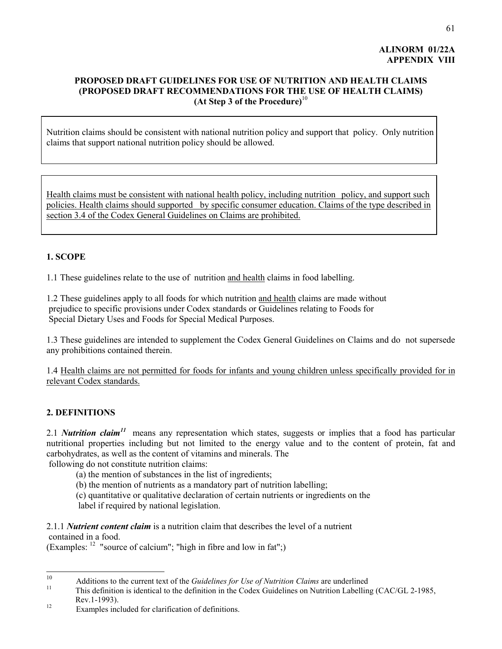# **ALINORM 01/22A APPENDIX VIII**

# **PROPOSED DRAFT GUIDELINES FOR USE OF NUTRITION AND HEALTH CLAIMS (PROPOSED DRAFT RECOMMENDATIONS FOR THE USE OF HEALTH CLAIMS) (At Step 3 of the Procedure)**<sup>10</sup>

Nutrition claims should be consistent with national nutrition policy and support that policy. Only nutrition claims that support national nutrition policy should be allowed.

Health claims must be consistent with national health policy, including nutrition policy, and support such policies. Health claims should supported by specific consumer education. Claims of the type described in section 3.4 of the Codex General Guidelines on Claims are prohibited.

# **1. SCOPE**

1.1 These guidelines relate to the use of nutrition and health claims in food labelling.

1.2 These guidelines apply to all foods for which nutrition and health claims are made without prejudice to specific provisions under Codex standards or Guidelines relating to Foods for Special Dietary Uses and Foods for Special Medical Purposes.

1.3 These guidelines are intended to supplement the Codex General Guidelines on Claims and do not supersede any prohibitions contained therein.

1.4 Health claims are not permitted for foods for infants and young children unless specifically provided for in relevant Codex standards.

# **2. DEFINITIONS**

2.1 *Nutrition claim<sup>11</sup>* means any representation which states, suggests or implies that a food has particular nutritional properties including but not limited to the energy value and to the content of protein, fat and carbohydrates, as well as the content of vitamins and minerals. The

following do not constitute nutrition claims:

- (a) the mention of substances in the list of ingredients;
- (b) the mention of nutrients as a mandatory part of nutrition labelling;
- (c) quantitative or qualitative declaration of certain nutrients or ingredients on the label if required by national legislation.

2.1.1 *Nutrient content claim* is a nutrition claim that describes the level of a nutrient contained in a food.

(Examples:  $12$  "source of calcium"; "high in fibre and low in fat";)

 $10\,$ <sup>10</sup> Additions to the current text of the *Guidelines for Use of Nutrition Claims* are underlined<br><sup>11</sup> This definition is identical to the definition in the Codex Guidelines on Nutrition Labelling (CAC/GL 2-1985,

 $\text{Rev.1-1993}.$ <br><sup>12</sup> Examples included for clarification of definitions.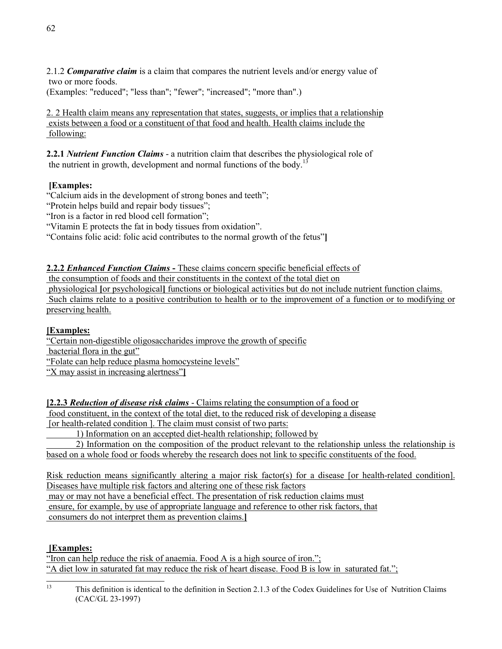2.1.2 *Comparative claim* is a claim that compares the nutrient levels and/or energy value of two or more foods.

(Examples: "reduced"; "less than"; "fewer"; "increased"; "more than".)

2. 2 Health claim means any representation that states, suggests, or implies that a relationship exists between a food or a constituent of that food and health. Health claims include the following:

**2.2.1** *Nutrient Function Claims* - a nutrition claim that describes the physiological role of the nutrient in growth, development and normal functions of the body.<sup>13</sup>

# **[Examples:**

"Calcium aids in the development of strong bones and teeth";

"Protein helps build and repair body tissues";

"Iron is a factor in red blood cell formation";

"Vitamin E protects the fat in body tissues from oxidation".

"Contains folic acid: folic acid contributes to the normal growth of the fetus"**]**

**2.2.2** *Enhanced Function Claims* **-** These claims concern specific beneficial effects of

the consumption of foods and their constituents in the context of the total diet on

 physiological **[**or psychological**]** functions or biological activities but do not include nutrient function claims. Such claims relate to a positive contribution to health or to the improvement of a function or to modifying or preserving health.

# **[Examples:**

"Certain non-digestible oligosaccharides improve the growth of specific

bacterial flora in the gut"

"Folate can help reduce plasma homocysteine levels"

"X may assist in increasing alertness"**]**

**[2.2.3** *Reduction of disease risk claims* - Claims relating the consumption of a food or

food constituent, in the context of the total diet, to the reduced risk of developing a disease

[or health-related condition ]. The claim must consist of two parts:

1) Information on an accepted diet-health relationship; followed by

 2) Information on the composition of the product relevant to the relationship unless the relationship is based on a whole food or foods whereby the research does not link to specific constituents of the food.

Risk reduction means significantly altering a major risk factor(s) for a disease [or health-related condition]. Diseases have multiple risk factors and altering one of these risk factors

 may or may not have a beneficial effect. The presentation of risk reduction claims must ensure, for example, by use of appropriate language and reference to other risk factors, that consumers do not interpret them as prevention claims.**]**

# **[Examples:**

"Iron can help reduce the risk of anaemia. Food A is a high source of iron."; "A diet low in saturated fat may reduce the risk of heart disease. Food B is low in saturated fat.";

 $13$ 13 This definition is identical to the definition in Section 2.1.3 of the Codex Guidelines for Use of Nutrition Claims (CAC/GL 23-1997)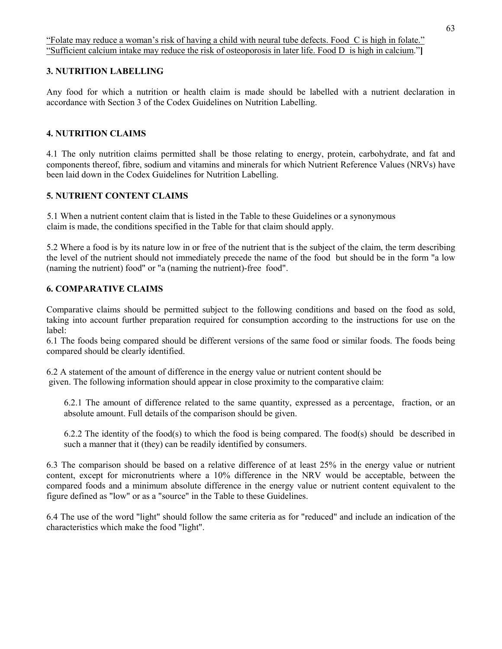# **3. NUTRITION LABELLING**

Any food for which a nutrition or health claim is made should be labelled with a nutrient declaration in accordance with Section 3 of the Codex Guidelines on Nutrition Labelling.

# **4. NUTRITION CLAIMS**

4.1 The only nutrition claims permitted shall be those relating to energy, protein, carbohydrate, and fat and components thereof, fibre, sodium and vitamins and minerals for which Nutrient Reference Values (NRVs) have been laid down in the Codex Guidelines for Nutrition Labelling.

# **5. NUTRIENT CONTENT CLAIMS**

 5.1 When a nutrient content claim that is listed in the Table to these Guidelines or a synonymous claim is made, the conditions specified in the Table for that claim should apply.

5.2 Where a food is by its nature low in or free of the nutrient that is the subject of the claim, the term describing the level of the nutrient should not immediately precede the name of the food but should be in the form "a low (naming the nutrient) food" or "a (naming the nutrient)-free food".

# **6. COMPARATIVE CLAIMS**

Comparative claims should be permitted subject to the following conditions and based on the food as sold, taking into account further preparation required for consumption according to the instructions for use on the label:

6.1 The foods being compared should be different versions of the same food or similar foods. The foods being compared should be clearly identified.

6.2 A statement of the amount of difference in the energy value or nutrient content should be given. The following information should appear in close proximity to the comparative claim:

6.2.1 The amount of difference related to the same quantity, expressed as a percentage, fraction, or an absolute amount. Full details of the comparison should be given.

6.2.2 The identity of the food(s) to which the food is being compared. The food(s) should be described in such a manner that it (they) can be readily identified by consumers.

6.3 The comparison should be based on a relative difference of at least 25% in the energy value or nutrient content, except for micronutrients where a 10% difference in the NRV would be acceptable, between the compared foods and a minimum absolute difference in the energy value or nutrient content equivalent to the figure defined as "low" or as a "source" in the Table to these Guidelines.

6.4 The use of the word "light" should follow the same criteria as for "reduced" and include an indication of the characteristics which make the food "light".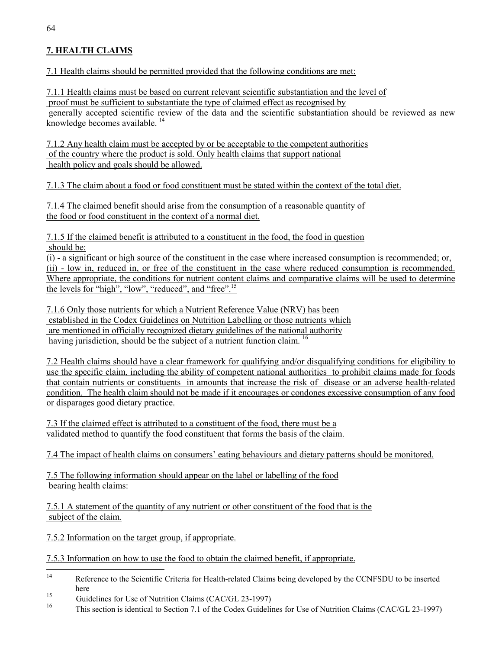# **7. HEALTH CLAIMS**

7.1 Health claims should be permitted provided that the following conditions are met:

7.1.1 Health claims must be based on current relevant scientific substantiation and the level of proof must be sufficient to substantiate the type of claimed effect as recognised by generally accepted scientific review of the data and the scientific substantiation should be reviewed as new knowledge becomes available.  $14$ 

7.1.2 Any health claim must be accepted by or be acceptable to the competent authorities of the country where the product is sold. Only health claims that support national health policy and goals should be allowed.

7.1.3 The claim about a food or food constituent must be stated within the context of the total diet.

7.1.4 The claimed benefit should arise from the consumption of a reasonable quantity of the food or food constituent in the context of a normal diet.

7.1.5 If the claimed benefit is attributed to a constituent in the food, the food in question should be:

(i) - a significant or high source of the constituent in the case where increased consumption is recommended; or, (ii) - low in, reduced in, or free of the constituent in the case where reduced consumption is recommended. Where appropriate, the conditions for nutrient content claims and comparative claims will be used to determine the levels for "high", "low", "reduced", and "free".15

7.1.6 Only those nutrients for which a Nutrient Reference Value (NRV) has been established in the Codex Guidelines on Nutrition Labelling or those nutrients which are mentioned in officially recognized dietary guidelines of the national authority having jurisdiction, should be the subject of a nutrient function claim.<sup>16</sup>

7.2 Health claims should have a clear framework for qualifying and/or disqualifying conditions for eligibility to use the specific claim, including the ability of competent national authorities to prohibit claims made for foods that contain nutrients or constituents in amounts that increase the risk of disease or an adverse health-related condition. The health claim should not be made if it encourages or condones excessive consumption of any food or disparages good dietary practice.

7.3 If the claimed effect is attributed to a constituent of the food, there must be a validated method to quantify the food constituent that forms the basis of the claim.

7.4 The impact of health claims on consumers' eating behaviours and dietary patterns should be monitored.

7.5 The following information should appear on the label or labelling of the food bearing health claims:

7.5.1 A statement of the quantity of any nutrient or other constituent of the food that is the subject of the claim.

7.5.2 Information on the target group, if appropriate.

7.5.3 Information on how to use the food to obtain the claimed benefit, if appropriate.

 $14$ Reference to the Scientific Criteria for Health-related Claims being developed by the CCNFSDU to be inserted here

<sup>&</sup>lt;sup>15</sup><br>Guidelines for Use of Nutrition Claims (CAC/GL 23-1997)<br><sup>16</sup><br>This section is identical to Section 7.1 of the Coden Cuidelin

<sup>16</sup> This section is identical to Section 7.1 of the Codex Guidelines for Use of Nutrition Claims (CAC/GL 23-1997)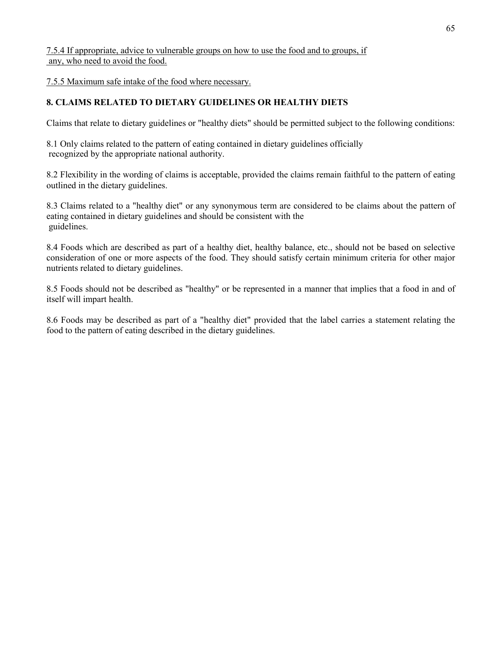7.5.4 If appropriate, advice to vulnerable groups on how to use the food and to groups, if any, who need to avoid the food.

7.5.5 Maximum safe intake of the food where necessary.

# **8. CLAIMS RELATED TO DIETARY GUIDELINES OR HEALTHY DIETS**

Claims that relate to dietary guidelines or "healthy diets" should be permitted subject to the following conditions:

8.1 Only claims related to the pattern of eating contained in dietary guidelines officially recognized by the appropriate national authority.

8.2 Flexibility in the wording of claims is acceptable, provided the claims remain faithful to the pattern of eating outlined in the dietary guidelines.

8.3 Claims related to a "healthy diet" or any synonymous term are considered to be claims about the pattern of eating contained in dietary guidelines and should be consistent with the guidelines.

8.4 Foods which are described as part of a healthy diet, healthy balance, etc., should not be based on selective consideration of one or more aspects of the food. They should satisfy certain minimum criteria for other major nutrients related to dietary guidelines.

8.5 Foods should not be described as "healthy" or be represented in a manner that implies that a food in and of itself will impart health.

8.6 Foods may be described as part of a "healthy diet" provided that the label carries a statement relating the food to the pattern of eating described in the dietary guidelines.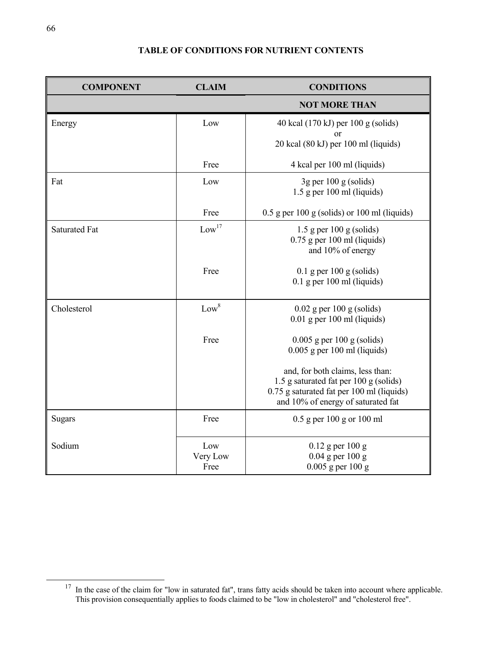# **TABLE OF CONDITIONS FOR NUTRIENT CONTENTS**

| <b>COMPONENT</b>     | <b>CLAIM</b>            | <b>CONDITIONS</b>                                                                                                                                             |
|----------------------|-------------------------|---------------------------------------------------------------------------------------------------------------------------------------------------------------|
|                      |                         | <b>NOT MORE THAN</b>                                                                                                                                          |
| Energy               | Low                     | 40 kcal (170 kJ) per 100 g (solids)                                                                                                                           |
|                      |                         | 20 kcal (80 kJ) per 100 ml (liquids)                                                                                                                          |
|                      | Free                    | 4 kcal per 100 ml (liquids)                                                                                                                                   |
| Fat                  | Low                     | $3g$ per 100 g (solids)<br>$1.5$ g per 100 ml (liquids)                                                                                                       |
|                      | Free                    | $0.5$ g per 100 g (solids) or 100 ml (liquids)                                                                                                                |
| <b>Saturated Fat</b> | Low <sup>17</sup>       | $1.5$ g per 100 g (solids)<br>$0.75$ g per 100 ml (liquids)<br>and 10% of energy                                                                              |
|                      | Free                    | $0.1$ g per 100 g (solids)<br>$0.1$ g per 100 ml (liquids)                                                                                                    |
| Cholesterol          | Low <sup>8</sup>        | $0.02$ g per 100 g (solids)<br>$0.01$ g per 100 ml (liquids)                                                                                                  |
|                      | Free                    | $0.005$ g per 100 g (solids)<br>$0.005$ g per 100 ml (liquids)                                                                                                |
|                      |                         | and, for both claims, less than:<br>1.5 g saturated fat per 100 g (solids)<br>0.75 g saturated fat per 100 ml (liquids)<br>and 10% of energy of saturated fat |
| <b>Sugars</b>        | Free                    | $0.5$ g per 100 g or 100 ml                                                                                                                                   |
| Sodium               | Low<br>Very Low<br>Free | $0.12$ g per 100 g<br>$0.04$ g per 100 g<br>$0.005$ g per 100 g                                                                                               |

<sup>&</sup>lt;sup>17</sup> In the case of the claim for "low in saturated fat", trans fatty acids should be taken into account where applicable. This provision consequentially applies to foods claimed to be "low in cholesterol" and "cholesterol free".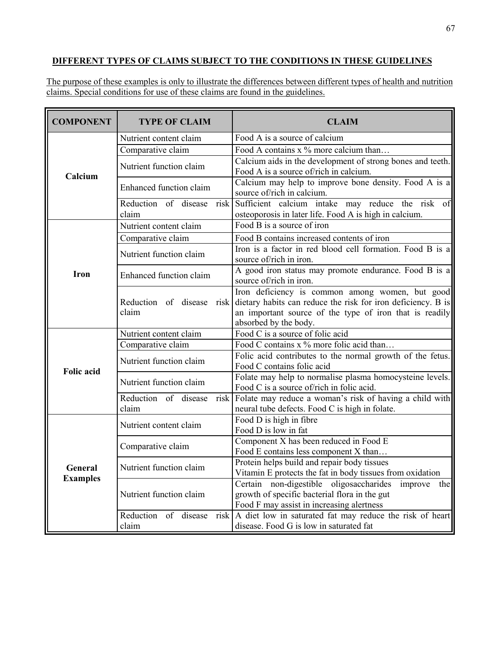# **DIFFERENT TYPES OF CLAIMS SUBJECT TO THE CONDITIONS IN THESE GUIDELINES**

The purpose of these examples is only to illustrate the differences between different types of health and nutrition claims. Special conditions for use of these claims are found in the guidelines.

| <b>COMPONENT</b>           | <b>TYPE OF CLAIM</b>                  | <b>CLAIM</b>                                                                                                                                                                                        |
|----------------------------|---------------------------------------|-----------------------------------------------------------------------------------------------------------------------------------------------------------------------------------------------------|
| Calcium                    | Nutrient content claim                | Food A is a source of calcium                                                                                                                                                                       |
|                            | Comparative claim                     | Food A contains x % more calcium than                                                                                                                                                               |
|                            | Nutrient function claim               | Calcium aids in the development of strong bones and teeth.<br>Food A is a source of/rich in calcium.                                                                                                |
|                            | <b>Enhanced function claim</b>        | Calcium may help to improve bone density. Food A is a<br>source of/rich in calcium.                                                                                                                 |
|                            | risk<br>Reduction of disease<br>claim | Sufficient calcium intake may reduce the risk<br>of<br>osteoporosis in later life. Food A is high in calcium.                                                                                       |
| Iron                       | Nutrient content claim                | Food B is a source of iron                                                                                                                                                                          |
|                            | Comparative claim                     | Food B contains increased contents of iron                                                                                                                                                          |
|                            | Nutrient function claim               | Iron is a factor in red blood cell formation. Food B is a<br>source of/rich in iron.                                                                                                                |
|                            | <b>Enhanced</b> function claim        | A good iron status may promote endurance. Food B is a<br>source of/rich in iron.                                                                                                                    |
|                            | Reduction of disease<br>risk<br>claim | Iron deficiency is common among women, but good<br>dietary habits can reduce the risk for iron deficiency. B is<br>an important source of the type of iron that is readily<br>absorbed by the body. |
| <b>Folic acid</b>          | Nutrient content claim                | Food C is a source of folic acid                                                                                                                                                                    |
|                            | Comparative claim                     | Food C contains x % more folic acid than                                                                                                                                                            |
|                            | Nutrient function claim               | Folic acid contributes to the normal growth of the fetus.<br>Food C contains folic acid                                                                                                             |
|                            | Nutrient function claim               | Folate may help to normalise plasma homocysteine levels.<br>Food C is a source of/rich in folic acid.                                                                                               |
|                            | Reduction of disease<br>risk          | Folate may reduce a woman's risk of having a child with                                                                                                                                             |
|                            | claim                                 | neural tube defects. Food C is high in folate.                                                                                                                                                      |
| General<br><b>Examples</b> | Nutrient content claim                | Food D is high in fibre<br>Food D is low in fat                                                                                                                                                     |
|                            | Comparative claim                     | Component X has been reduced in Food E<br>Food E contains less component X than                                                                                                                     |
|                            | Nutrient function claim               | Protein helps build and repair body tissues<br>Vitamin E protects the fat in body tissues from oxidation                                                                                            |
|                            | Nutrient function claim               | Certain non-digestible oligosaccharides<br>improve<br>the<br>growth of specific bacterial flora in the gut<br>Food F may assist in increasing alertness                                             |
|                            | Reduction of disease<br>risk<br>claim | A diet low in saturated fat may reduce the risk of heart<br>disease. Food G is low in saturated fat                                                                                                 |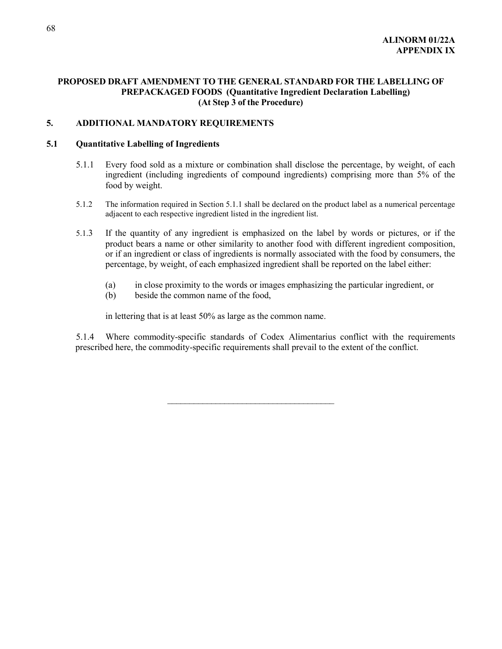## **PROPOSED DRAFT AMENDMENT TO THE GENERAL STANDARD FOR THE LABELLING OF PREPACKAGED FOODS (Quantitative Ingredient Declaration Labelling) (At Step 3 of the Procedure)**

### **5. ADDITIONAL MANDATORY REQUIREMENTS**

## **5.1 Quantitative Labelling of Ingredients**

- 5.1.1 Every food sold as a mixture or combination shall disclose the percentage, by weight, of each ingredient (including ingredients of compound ingredients) comprising more than 5% of the food by weight.
- 5.1.2 The information required in Section 5.1.1 shall be declared on the product label as a numerical percentage adjacent to each respective ingredient listed in the ingredient list.
- 5.1.3 If the quantity of any ingredient is emphasized on the label by words or pictures, or if the product bears a name or other similarity to another food with different ingredient composition, or if an ingredient or class of ingredients is normally associated with the food by consumers, the percentage, by weight, of each emphasized ingredient shall be reported on the label either:
	- (a) in close proximity to the words or images emphasizing the particular ingredient, or
	- (b) beside the common name of the food,

in lettering that is at least 50% as large as the common name.

5.1.4 Where commodity-specific standards of Codex Alimentarius conflict with the requirements prescribed here, the commodity-specific requirements shall prevail to the extent of the conflict.

 $\overline{\phantom{a}}$  , where  $\overline{\phantom{a}}$  , where  $\overline{\phantom{a}}$  , where  $\overline{\phantom{a}}$  , where  $\overline{\phantom{a}}$